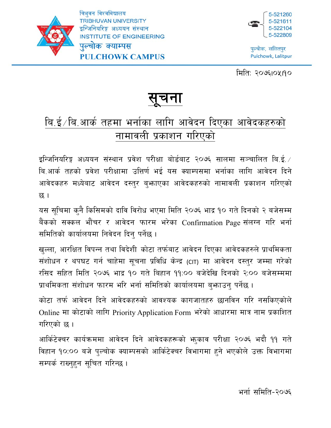

त्रिभवन विश्वविद्यालय **TRIBHUVAN UNIVERSITY** इन्जिनियरिङ्ग अध्ययन संस्थान **INSTITUTE OF ENGINEERING** पल्चोक क्याम्पस **PULCHOWK CAMPUS** 



पुल्चोक, ललितपुर Pulchowk, Lalitpur

मिति: २०७६1०५19०

## <u>सूचना</u> "

# <u>बि.ई ∕ बि.आर्क तहमा भर्नाका लागि आवेदन दिएका आवेदकहरुको</u> नामावली प्रकाशन गरिएको

इन्जिनियरिङ्ग अध्ययन संस्थान प्रवेश परीक्षा बोर्डबाट २०७६ सालमा सञ्चालित बि.ई.  $\angle$ बि.आर्क तहको प्रवेश परीक्षामा उत्तिर्ण भई यस क्याम्पसमा भर्नाका लागि आवेदन दिने आवेदकहरु मध्येबाट आवेदन दस्तुर बुभ्राएका आवेदकहरुको नामावली प्रकाशन गरिएको छ ।

यस सूचिमा कुनै किसिमको दावि विरोध भएमा मिति २०७६ भाद्र १० गते दिनको २ बजेसम्म बैंकको सक्कल भौंचर र आवेदन फारम भरेका Confirmation Page संलग्न गरि भर्ना समितिको कार्यालयमा निवेदन दिन् पर्नेछ।

खल्ला, आरक्षित विपन्न तथा विदेशी कोटा तर्फबाट आवेदन दिएका आवेदकहरुले प्राथमिकता संशोधन र थपघट गर्न चाहेमा सूचना प्रविधि केन्द्र (CIT) मा आवेदन दस्तुर जम्मा गरेको रसिद सहित मिति २०७६ भाद्र १० गते बिहान ११:०० बजेदेखि दिनको २:०० बजेसम्ममा प्राथमिकता संशोधन फारम भरि भर्ना समितिको कार्यालयमा बुभ्राउनु पर्नेछ ।

कोटा तर्फ आवेदन दिने आवेदकहरुको आवश्यक कागजातहरु छानविन गरि नसकिएकोले Online मा कोटाको लागि Priority Application Form भरेको आधारमा मात्र नाम प्रकाशित गरिएको छ ।

आर्किटेक्चर कार्यक्रममा आवेदन दिने आवेदकहरूको भाकाव परीक्षा २०७६ भदौ ११ गते विहान १०:०० बजे पुल्चोक क्याम्पसको आर्किटेक्चर विभागमा हुने भएकोले उक्त विभागमा सम्पर्क राख्नुहुन सूचित गरिन्छ।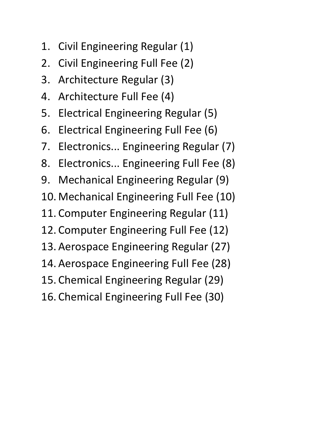- 1. Civil Engineering Regular (1)
- 2. Civil Engineering Full Fee (2)
- 3. Architecture Regular (3)
- 4. Architecture Full Fee (4)
- 5. Electrical Engineering Regular (5)
- 6. Electrical Engineering Full Fee (6)
- 7. Electronics... Engineering Regular (7)
- 8. Electronics... Engineering Full Fee (8)
- 9. Mechanical Engineering Regular (9)
- 10. Mechanical Engineering Full Fee (10)
- 11. Computer Engineering Regular (11)
- 12. Computer Engineering Full Fee (12)
- 13. Aerospace Engineering Regular (27)
- 14. Aerospace Engineering Full Fee (28)
- 15. Chemical Engineering Regular (29)
- 16. Chemical Engineering Full Fee (30)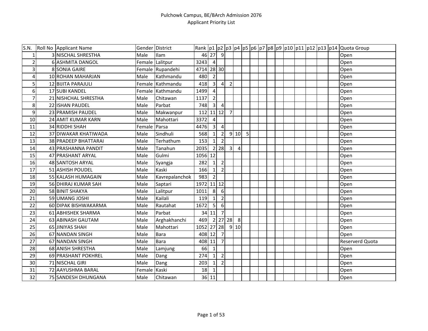| S.N. | Roll No Applicant Name    | Gender District       |                  |                         |                         |                  |                |                |   |  |  |  |  | Rank  p1  p2  p3  p4  p5  p6  p7  p8  p9  p10  p11  p12  p13  p14  Quota Group |
|------|---------------------------|-----------------------|------------------|-------------------------|-------------------------|------------------|----------------|----------------|---|--|--|--|--|--------------------------------------------------------------------------------|
|      | 3 NISCHAL SHRESTHA        | Male                  | Ilam             |                         | 46 27 9                 |                  |                |                |   |  |  |  |  | Open                                                                           |
| 2    | 6 ASHMITA DANGOL          |                       | Female Lalitpur  | 3243                    | $\overline{4}$          |                  |                |                |   |  |  |  |  | Open                                                                           |
| 3    | 8 SONIA GAIRE             |                       | Female Rupandehi | 4714 28 30              |                         |                  |                |                |   |  |  |  |  | Open                                                                           |
| 4    | 10 ROHAN MAHARJAN         | Male                  | Kathmandu        | 480                     | $\overline{2}$          |                  |                |                |   |  |  |  |  | Open                                                                           |
| 5    | 12 BIJITA PARAJULI        |                       | Female Kathmandu | 418                     | $\overline{\mathbf{3}}$ | $\overline{4}$   | $\overline{2}$ |                |   |  |  |  |  | Open                                                                           |
| 6    | 17 SUBI KANDEL            |                       | Female Kathmandu | 1499                    | $\overline{4}$          |                  |                |                |   |  |  |  |  | Open                                                                           |
| 7    | 21 NISHCHAL SHRESTHA      | Male                  | Chitawan         | 1137                    | $\overline{2}$          |                  |                |                |   |  |  |  |  | Open                                                                           |
| 8    | 22 ISHAN PAUDEL           | Male                  | Parbat           | 748                     | $\overline{3}$          | $\overline{4}$   |                |                |   |  |  |  |  | Open                                                                           |
| 9    | 23 PRAMISH PAUDEL         | Male                  | Makwanpur        | 112 11 12               |                         |                  | $\overline{7}$ |                |   |  |  |  |  | Open                                                                           |
| 10   | <b>24 AMIT KUMAR KARN</b> | Male                  | Mahottari        | 3372                    | $\overline{4}$          |                  |                |                |   |  |  |  |  | Open                                                                           |
| 11   | 34 RIDDHI SHAH            | Female <b>I</b> Parsa |                  | 4476                    | $\overline{\mathbf{3}}$ | $\overline{4}$   |                |                |   |  |  |  |  | Open                                                                           |
| 12   | 37 DIWAKAR KHATIWADA      | Male                  | Sindhuli         | 568                     | $\mathbf{1}$            | $\overline{2}$   |                | 910            | 5 |  |  |  |  | Open                                                                           |
| 13   | 38 PRADEEP BHATTARAI      | Male                  | Terhathum        | 153                     | $1\vert$                | $\overline{2}$   |                |                |   |  |  |  |  | Open                                                                           |
| 14   | 43 PRASHANNA PANDIT       | Male                  | Tanahun          | 2035                    |                         | 2 28             | $\overline{3}$ | $\overline{4}$ |   |  |  |  |  | Open                                                                           |
| 15   | 47 PRASHANT ARYAL         | Male                  | Gulmi            | 1056 12                 |                         |                  |                |                |   |  |  |  |  | Open                                                                           |
| 16   | 48 SANTOSH ARYAL          | Male                  | Syangja          | 282                     | $1\overline{ }$         | $\overline{2}$   |                |                |   |  |  |  |  | Open                                                                           |
| 17   | 51 ASHISH POUDEL          | Male                  | Kaski            | 166                     | $1\vert$                | $\overline{2}$   |                |                |   |  |  |  |  | Open                                                                           |
| 18   | 55 KALASH HUMAGAIN        | Male                  | Kavrepalanchok   | 983                     | $\overline{2}$          |                  |                |                |   |  |  |  |  | Open                                                                           |
| 19   | 56 DHIRAJ KUMAR SAH       | Male                  | Saptari          | $\overline{1972}$ 11 12 |                         |                  |                |                |   |  |  |  |  | Open                                                                           |
| 20   | 58 BINIT SHAKYA           | Male                  | Lalitpur         | 1011                    | 8                       | 6                |                |                |   |  |  |  |  | Open                                                                           |
| 21   | 59 UMANG JOSHI            | Male                  | Kailali          | 119                     | 1                       | $\mathbf 2$      |                |                |   |  |  |  |  | Open                                                                           |
| 22   | 60 DIPAK BISHWAKARMA      | Male                  | Rautahat         | 1672                    | 5                       | $6 \overline{6}$ |                |                |   |  |  |  |  | Open                                                                           |
| 23   | 61 ABHISHEK SHARMA        | Male                  | Parbat           |                         | 34 11                   | $\overline{7}$   |                |                |   |  |  |  |  | Open                                                                           |
| 24   | 63 ABINASH GAUTAM         | Male                  | Arghakhanchi     | 469                     |                         |                  | 2 27 28        | 8              |   |  |  |  |  | Open                                                                           |
| 25   | 65 JINIYAS SHAH           | Male                  | Mahottari        | 1052 27 28              |                         |                  |                | 910            |   |  |  |  |  | Open                                                                           |
| 26   | 67 NANDAN SINGH           | Male                  | <b>Bara</b>      | 408 12                  |                         | $\overline{7}$   |                |                |   |  |  |  |  | Open                                                                           |
| 27   | 67 NANDAN SINGH           | Male                  | Bara             | 408                     | 11                      | $\overline{7}$   |                |                |   |  |  |  |  | <b>Reserverd Quota</b>                                                         |
| 28   | 68 ANISH SHRESTHA         | Male                  | Lamjung          | 66                      | $\vert$ 1               |                  |                |                |   |  |  |  |  | Open                                                                           |
| 29   | 69 PRASHANT POKHREL       | Male                  | Dang             | 274                     | $\mathbf{1}$            | $\mathbf 2$      |                |                |   |  |  |  |  | Open                                                                           |
| 30   | 71 NISCHAL GIRI           | Male                  | Dang             | 203                     | $\mathbf{1}$            | $\overline{2}$   |                |                |   |  |  |  |  | Open                                                                           |
| 31   | 72 AAYUSHMA BARAL         | Female                | Kaski            | 18                      | 1                       |                  |                |                |   |  |  |  |  | Open                                                                           |
| 32   | 75 SANDESH DHUNGANA       | Male                  | Chitawan         |                         | 36 11                   |                  |                |                |   |  |  |  |  | Open                                                                           |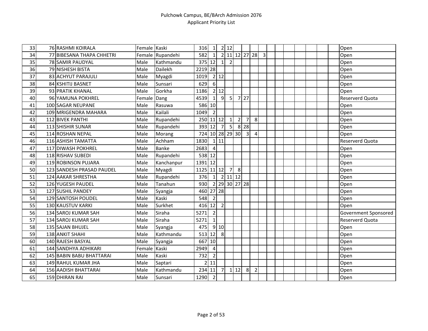| 33 | 76 RASHMI KOIRALA           | Female Kaski |                  | 316             | 1                |                | 2 12           |                |                         |                |                |  |  |  | Open                 |
|----|-----------------------------|--------------|------------------|-----------------|------------------|----------------|----------------|----------------|-------------------------|----------------|----------------|--|--|--|----------------------|
| 34 | 77 BIBESANA THAPA CHHETRI   |              | Female Rupandehi | 582             | 1                |                | 2 11 12 27 28  |                |                         |                | $\overline{3}$ |  |  |  | Open                 |
| 35 | 78 SAMIR PAUDYAL            | Male         | Kathmandu        | $375$ 12        |                  | 1              | $\overline{2}$ |                |                         |                |                |  |  |  | Open                 |
| 36 | 79 NISHESH BISTA            | Male         | Dailekh          | 2219 28         |                  |                |                |                |                         |                |                |  |  |  | Open                 |
| 37 | 83 ACHYUT PARAJULI          | Male         | Myagdi           | 1019            |                  | 2 12           |                |                |                         |                |                |  |  |  | Open                 |
| 38 | 84 KSHITIJ BASNET           | Male         | Sunsari          | 629             | $6 \overline{6}$ |                |                |                |                         |                |                |  |  |  | Open                 |
| 39 | 93 PRATIK KHANAL            | Male         | Gorkha           | 1186            |                  | 2 12           |                |                |                         |                |                |  |  |  | Open                 |
| 40 | 96 YAMUNA POKHREL           | Female       | Dang             | 4539            | $1\vert$         | 9              | 5 <sup>1</sup> |                | $7$   27                |                |                |  |  |  | Reserverd Quota      |
| 41 | 100 SAGAR NEUPANE           | Male         | Rasuwa           | 586 10          |                  |                |                |                |                         |                |                |  |  |  | Open                 |
| 42 | 109 MRIGENDRA MAHARA        | Male         | Kailali          | 1049            | $\overline{2}$   |                |                |                |                         |                |                |  |  |  | Open                 |
| 43 | 112 BIVEK PANTHI            | Male         | Rupandehi        | 250 11 12       |                  |                | $\mathbf{1}$   | $\overline{2}$ | 7                       | 8              |                |  |  |  | Open                 |
| 44 | 113 SHISHIR SUNAR           | Male         | Rupandehi        | 393 12          |                  | 7              | -51            |                | 8 28                    |                |                |  |  |  | Open                 |
| 45 | 114 ROSHAN NEPAL            | Male         | Morang           | 724 10 28 29 30 |                  |                |                |                | $\overline{\mathbf{3}}$ | 4              |                |  |  |  | Open                 |
| 46 | 116 ASHISH TAMATTA          | Male         | Achham           | 1830            |                  | 111            |                |                |                         |                |                |  |  |  | Reserverd Quota      |
| 47 | 117 DIWASH POKHREL          | Male         | <b>Banke</b>     | 2683            | $\overline{4}$   |                |                |                |                         |                |                |  |  |  | Open                 |
| 48 | 118 RISHAV SUBEDI           | Male         | Rupandehi        | 538 12          |                  |                |                |                |                         |                |                |  |  |  | Open                 |
| 49 | 119 ROBINSON PUJARA         | Male         | Kanchanpur       | 1391 12         |                  |                |                |                |                         |                |                |  |  |  | Open                 |
| 50 | 123 SANDESH PRASAD PAUDEL   | Male         | Myagdi           | 1125 11 12      |                  |                | $\overline{7}$ | 8              |                         |                |                |  |  |  | Open                 |
| 51 | 124 AAKAR SHRESTHA          | Male         | Rupandehi        | 376             | $\overline{1}$   | $\overline{2}$ | $11$ $12$      |                |                         |                |                |  |  |  | Open                 |
| 52 | 126 YUGESH PAUDEL           | Male         | Tanahun          | 930             |                  |                | 2 29 30 27 28  |                |                         |                |                |  |  |  | Open                 |
| 53 | 127 SUSHIL PANDEY           | Male         | Syangja          | 460             |                  | 27 28          |                |                |                         |                |                |  |  |  | Open                 |
| 54 | 129 SANTOSH POUDEL          | Male         | Kaski            | 548             | $\overline{2}$   |                |                |                |                         |                |                |  |  |  | Open                 |
| 55 | 130 KAUSTUV KARKI           | Male         | Surkhet          | 416 12          |                  | $\overline{2}$ |                |                |                         |                |                |  |  |  | Open                 |
| 56 | 134 SAROJ KUMAR SAH         | Male         | Siraha           | 5271            | $\overline{2}$   |                |                |                |                         |                |                |  |  |  | Government Sponsored |
| 57 | 134 SAROJ KUMAR SAH         | Male         | Siraha           | 5271            | $\mathbf{1}$     |                |                |                |                         |                |                |  |  |  | Reserverd Quota      |
| 58 | 135 SAJAN BHUJEL            | Male         | Syangja          | 475             |                  | 9 10           |                |                |                         |                |                |  |  |  | Open                 |
| 59 | 138 ANKIT SHAHI             | Male         | Kathmandu        | 513 12          |                  | 8              |                |                |                         |                |                |  |  |  | Open                 |
| 60 | 140 RAJESH BASYAL           | Male         | Syangja          | 667 10          |                  |                |                |                |                         |                |                |  |  |  | Open                 |
| 61 | 144 SANDHYA ADHIKARI        | Female Kaski |                  | 2949            | $\overline{4}$   |                |                |                |                         |                |                |  |  |  | Open                 |
| 62 | 145 BABIN BABU BHATTARAI    | Male         | Kaski            | 732             | $\overline{2}$   |                |                |                |                         |                |                |  |  |  | Open                 |
| 63 | 149 RAHUL KUMAR JHA         | Male         | Saptari          | $\overline{2}$  | 11               |                |                |                |                         |                |                |  |  |  | Open                 |
| 64 | <b>156 AADISH BHATTARAI</b> | Male         | Kathmandu        | 234 11          |                  | 7 <sup>1</sup> |                | 112            | 8                       | $\overline{2}$ |                |  |  |  | Open                 |
| 65 | 159 DHIRAN RAI              | Male         | Sunsari          | 1290            | $\overline{2}$   |                |                |                |                         |                |                |  |  |  | Open                 |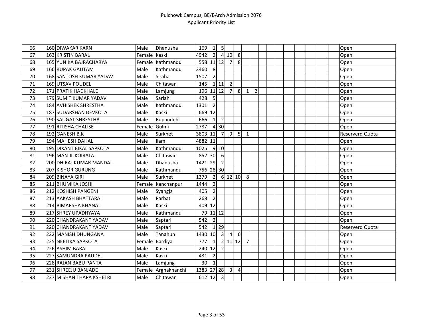| 66 | <b>160 DIWAKAR KARN</b>       | Male         | Dhanusha            | 169        | $\vert$ 1      | 5 <sub>l</sub>          |                |            |                |                |  |  |  |  | Open                   |
|----|-------------------------------|--------------|---------------------|------------|----------------|-------------------------|----------------|------------|----------------|----------------|--|--|--|--|------------------------|
| 67 | 163 KRISTIN BARAL             | Female Kaski |                     | 4942       | $\overline{2}$ |                         | 410            | 8          |                |                |  |  |  |  | Open                   |
| 68 | <b>165 YUNIKA BAJRACHARYA</b> |              | Female Kathmandu    | 558 11 12  |                |                         | 7 <sup>1</sup> | 8          |                |                |  |  |  |  | Open                   |
| 69 | <b>166 RUPAK GAUTAM</b>       | Male         | Kathmandu           | 3460       | 8              |                         |                |            |                |                |  |  |  |  | Open                   |
| 70 | 168 SANTOSH KUMAR YADAV       | Male         | Siraha              | 1507       | $\overline{2}$ |                         |                |            |                |                |  |  |  |  | Open                   |
| 71 | 169 UTSAV POUDEL              | Male         | Chitawan            | 145        |                | $1$ 11                  | $\overline{2}$ |            |                |                |  |  |  |  | Open                   |
| 72 | 171 PRATIK HADKHALE           | Male         | Lamjung             | 196 11 12  |                |                         | 7              | 8          | 1              | $\overline{2}$ |  |  |  |  | Open                   |
| 73 | <b>179 SUMIT KUMAR YADAV</b>  | Male         | Sarlahi             | 428        | 5              |                         |                |            |                |                |  |  |  |  | Open                   |
| 74 | <b>184 AVHISHEK SHRESTHA</b>  | Male         | Kathmandu           | 1301       | $\overline{2}$ |                         |                |            |                |                |  |  |  |  | Open                   |
| 75 | 187 SUDARSHAN DEVKOTA         | Male         | Kaski               | 669 12     |                |                         |                |            |                |                |  |  |  |  | Open                   |
| 76 | 190 SAUGAT SHRESTHA           | Male         | Rupandehi           | 666        | $\mathbf{1}$   | $\overline{2}$          |                |            |                |                |  |  |  |  | Open                   |
| 77 | 191 RITISHA CHALISE           | Female Gulmi |                     | 2787       |                | 4 30                    |                |            |                |                |  |  |  |  | Open                   |
| 78 | 192 GANESH B.K                | Male         | Surkhet             | 3803 11    |                | $\overline{7}$          | $\overline{9}$ | 5          | $\mathbf{1}$   |                |  |  |  |  | <b>Reserverd Quota</b> |
| 79 | 194 MAHESH DAHAL              | Male         | <b>Ilam</b>         | 4882 11    |                |                         |                |            |                |                |  |  |  |  | Open                   |
| 80 | 195 DIXANT BIKAL SAPKOTA      | Male         | Kathmandu           | 1025       |                | 9 10                    |                |            |                |                |  |  |  |  | Open                   |
| 81 | 196 MANJIL KOIRALA            | Male         | Chitawan            | 852 30     |                | 6                       |                |            |                |                |  |  |  |  | Open                   |
| 82 | 200 DHIRAJ KUMAR MANDAL       | Male         | Dhanusha            | 1421 29    |                | $\overline{2}$          |                |            |                |                |  |  |  |  | Open                   |
| 83 | 207 KISHOR GURUNG             | Male         | Kathmandu           | 756 28 30  |                |                         |                |            |                |                |  |  |  |  | Open                   |
| 84 | 209 BINAYA GIRI               | Male         | Surkhet             | 1379       | $\overline{2}$ |                         | $6$ 12 10      |            | 8              |                |  |  |  |  | Open                   |
| 85 | 211 BHUMIKA JOSHI             |              | Female Kanchanpur   | 1444       | $\overline{2}$ |                         |                |            |                |                |  |  |  |  | Open                   |
| 86 | 212 KOSHISH PANGENI           | Male         | Syangja             | 405        | $\overline{2}$ |                         |                |            |                |                |  |  |  |  | Open                   |
| 87 | 213 AAKASH BHATTARAI          | Male         | Parbat              | 268        | $\overline{2}$ |                         |                |            |                |                |  |  |  |  | Open                   |
| 88 | 214 BIMARSHA KHANAL           | Male         | Kaski               | 409 12     |                |                         |                |            |                |                |  |  |  |  | Open                   |
| 89 | 217 SHREY UPADHYAYA           | Male         | Kathmandu           | 79         | 11 12          |                         |                |            |                |                |  |  |  |  | Open                   |
| 90 | 220 CHANDRAKANT YADAV         | Male         | Saptari             | 542        | $\overline{2}$ |                         |                |            |                |                |  |  |  |  | Open                   |
| 91 | 220 CHANDRAKANT YADAV         | Male         | Saptari             | 542        |                | 1 2 9                   |                |            |                |                |  |  |  |  | <b>Reserverd Quota</b> |
| 92 | 222 MANISH DHUNGANA           | Male         | Tanahun             | 1430 10    |                | $\overline{3}$          | 4              | 6          |                |                |  |  |  |  | Open                   |
| 93 | 225 NEETIKA SAPKOTA           | Female       | Bardiya             | 777        | $1\vert$       |                         | $2$ 11 12      |            | $\overline{7}$ |                |  |  |  |  | Open                   |
| 94 | 226 ASHIM BARAL               | Male         | Kaski               | 240        | 12             | $\overline{2}$          |                |            |                |                |  |  |  |  | Open                   |
| 95 | 227 SAMUNDRA PAUDEL           | Male         | Kaski               | 431        | $\overline{2}$ |                         |                |            |                |                |  |  |  |  | Open                   |
| 96 | 228 RAJAN BABU PANTA          | Male         | Lamjung             | 30         | $\mathbf{1}$   |                         |                |            |                |                |  |  |  |  | Open                   |
| 97 | 231 SHREEJU BANJADE           |              | Female Arghakhanchi | 1383 27 28 |                |                         | $\overline{3}$ | $\sqrt{4}$ |                |                |  |  |  |  | Open                   |
| 98 | 237 MISHAN THAPA KSHETRI      | Male         | Chitawan            | 612 12     |                | $\overline{\mathbf{3}}$ |                |            |                |                |  |  |  |  | Open                   |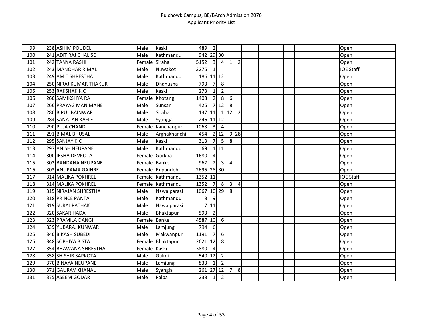| 99  | 238 ASHIM POUDEL       | Male          | Kaski             | 489        | $\overline{2}$          |                         |                         |                |  |  |  |  |  | Open             |
|-----|------------------------|---------------|-------------------|------------|-------------------------|-------------------------|-------------------------|----------------|--|--|--|--|--|------------------|
| 100 | 241 ADIT RAJ CHALISE   | Male          | Kathmandu         | 942        |                         | 29 30                   |                         |                |  |  |  |  |  | Open             |
| 101 | 242 TANYA RASHI        | Female Siraha |                   | 5152       | $\overline{3}$          | $\overline{4}$          | $\overline{\mathbf{1}}$ | $\overline{2}$ |  |  |  |  |  | Open             |
| 102 | 243 MANOHAR RIMAL      | Male          | Nuwakot           | 3275       | 1                       |                         |                         |                |  |  |  |  |  | <b>IOE Staff</b> |
| 103 | 249 AMIT SHRESTHA      | Male          | Kathmandu         | 186        |                         | $11$ 12                 |                         |                |  |  |  |  |  | Open             |
| 104 | 250 NIRAJ KUMAR THAKUR | Male          | Dhanusha          | 793        | $\overline{7}$          | 8                       |                         |                |  |  |  |  |  | Open             |
| 105 | 253 RAKSHAK K.C        | Male          | Kaski             | 273        | $\mathbf{1}$            | $\overline{2}$          |                         |                |  |  |  |  |  | Open             |
| 106 | 260 SAMIKSHYA RAI      | Female        | Khotang           | 1403       | $\overline{2}$          | 8                       | 6                       |                |  |  |  |  |  | Open             |
| 107 | 266 PRAYAG MAN MANE    | Male          | Sunsari           | 425        |                         | 712                     | 8                       |                |  |  |  |  |  | Open             |
| 108 | 280 BIPUL BAINWAR      | Male          | Siraha            | 137        | 11                      |                         | 112                     | $\overline{2}$ |  |  |  |  |  | Open             |
| 109 | 284 SANATAN KAFLE      | Male          | Syangja           | 246        |                         | $11$ 12                 |                         |                |  |  |  |  |  | Open             |
| 110 | 290 PUJA CHAND         |               | Female Kanchanpur | 1063       | $\overline{3}$          | $\overline{a}$          |                         |                |  |  |  |  |  | Open             |
| 111 | 291 BIMAL BHUSAL       | Male          | Arghakhanchi      | 454        |                         | 2 12                    |                         | $9$ 28         |  |  |  |  |  | Open             |
| 112 | 295 SANJAY K.C         | Male          | Kaski             | 313        | 7                       | 5                       | 8                       |                |  |  |  |  |  | Open             |
| 113 | 297 ANISH NEUPANE      | Male          | Kathmandu         | 69         |                         | 111                     |                         |                |  |  |  |  |  | Open             |
| 114 | 300 IESHA DEVKOTA      |               | Female Gorkha     | 1680       | $\overline{\mathbf{4}}$ |                         |                         |                |  |  |  |  |  | Open             |
| 115 | 302 BANDANA NEUPANE    | Female Banke  |                   | 967        | $\overline{2}$          | $\overline{\mathbf{3}}$ | $\Delta$                |                |  |  |  |  |  | Open             |
| 116 | 303 ANUPAMA GAIHRE     |               | Female Rupandehi  | 2695 28 30 |                         |                         |                         |                |  |  |  |  |  | Open             |
| 117 | 314 MALIKA POKHREL     |               | Female Kathmandu  | 1352 11    |                         |                         |                         |                |  |  |  |  |  | <b>IOE Staff</b> |
| 118 | 314 MALIKA POKHREL     |               | Female Kathmandu  | 1352       | $\overline{7}$          | 8                       | $\overline{3}$          | 4              |  |  |  |  |  | Open             |
| 119 | 315 NIRAJAN SHRESTHA   | Male          | Nawalparasi       | 1067       |                         | $10$   29               | 8                       |                |  |  |  |  |  | Open             |
| 120 | 318 PRINCE PANTA       | Male          | Kathmandu         | 8          | $\overline{9}$          |                         |                         |                |  |  |  |  |  | Open             |
| 121 | 319 SURAJ PATHAK       | Male          | Nawalparasi       |            | 11                      |                         |                         |                |  |  |  |  |  | Open             |
| 122 | 320 SAKAR HADA         | Male          | Bhaktapur         | 593        | $\overline{2}$          |                         |                         |                |  |  |  |  |  | Open             |
| 123 | 323 PRAMILA DANGI      | Female        | <b>Banke</b>      | 4587       | 10                      | 6                       |                         |                |  |  |  |  |  | Open             |
| 124 | 339 YUBARAJ KUNWAR     | Male          | Lamjung           | 794        | 6                       |                         |                         |                |  |  |  |  |  | Open             |
| 125 | 340 BIKASH SUBEDI      | Male          | Makwanpur         | 1191       | $\overline{7}$          | 6                       |                         |                |  |  |  |  |  | Open             |
| 126 | 348 SOPHIYA BISTA      | Female        | Bhaktapur         | 2621       | 12                      | 8                       |                         |                |  |  |  |  |  | Open             |
| 127 | 354 BHAWANA SHRESTHA   | Female Kaski  |                   | 3880       | $\overline{4}$          |                         |                         |                |  |  |  |  |  | Open             |
| 128 | 358 SHISHIR SAPKOTA    | Male          | Gulmi             | 540        | 12                      | $\overline{2}$          |                         |                |  |  |  |  |  | Open             |
| 129 | 370 BINAYA NEUPANE     | Male          | Lamjung           | 833        | $\mathbf{1}$            | $\mathbf 2$             |                         |                |  |  |  |  |  | Open             |
| 130 | 371 GAURAV KHANAL      | Male          | Syangja           | 261        |                         | $27$ 12                 | 7                       | 8              |  |  |  |  |  | Open             |
| 131 | 375 ASEEM GODAR        | Male          | Palpa             | 238        | $1\vert$                | $\overline{2}$          |                         |                |  |  |  |  |  | Open             |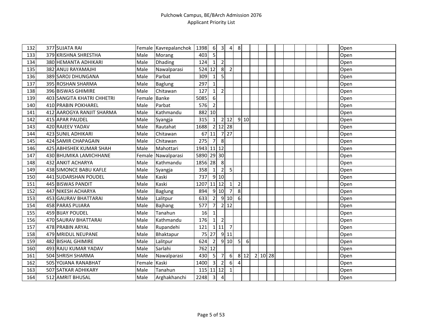| 132 | 377 SUJATA RAI             |              | Female Kavrepalanchok | 1398 | $6 \mid$                | $\overline{\mathbf{3}}$ | $\overline{4}$          | 8                |       |         |  |  |  | Open |
|-----|----------------------------|--------------|-----------------------|------|-------------------------|-------------------------|-------------------------|------------------|-------|---------|--|--|--|------|
| 133 | 379 KRISHNA SHRESTHA       | Male         | Morang                | 403  | 5                       |                         |                         |                  |       |         |  |  |  | Open |
| 134 | 380 HEMANTA ADHIKARI       | Male         | Dhading               | 124  | $\mathbf{1}$            | $\overline{2}$          |                         |                  |       |         |  |  |  | Open |
| 135 | 382 ANUJ RAYAMAJHI         | Male         | Nawalparasi           | 524  | 12                      | 8                       | $\overline{2}$          |                  |       |         |  |  |  | Open |
| 136 | 389 SAROJ DHUNGANA         | Male         | Parbat                | 309  | $\mathbf{1}$            | $\overline{5}$          |                         |                  |       |         |  |  |  | Open |
| 137 | 395 ROSHAN SHARMA          | Male         | <b>Baglung</b>        | 297  | $\mathbf{1}$            |                         |                         |                  |       |         |  |  |  | Open |
| 138 | 396 BISWAS GHIMIRE         | Male         | Chitawan              | 127  | $\mathbf{1}$            | $\overline{2}$          |                         |                  |       |         |  |  |  | Open |
| 139 | 403 SANGITA KHATRI CHHETRI | Female       | <b>Banke</b>          | 5085 | 6                       |                         |                         |                  |       |         |  |  |  | Open |
| 140 | 410 PRABIN POKHAREL        | Male         | Parbat                | 576  | $\overline{2}$          |                         |                         |                  |       |         |  |  |  | Open |
| 141 | 412 AAROGYA RANJIT SHARMA  | Male         | Kathmandu             | 882  | 10                      |                         |                         |                  |       |         |  |  |  | Open |
| 142 | 415 APAR PAUDEL            | Male         | Syangja               | 315  | $\mathbf{1}$            |                         | $2$   12                |                  | 910   |         |  |  |  | Open |
| 143 | 420 RAJEEV YADAV           | Male         | Rautahat              | 1688 |                         |                         | 2 12 28                 |                  |       |         |  |  |  | Open |
| 144 | <b>423 SUNIL ADHIKARI</b>  | Male         | Chitawan              | 67   | 11                      |                         | $7$   27                |                  |       |         |  |  |  | Open |
| 145 | 424 SAMIR CHAPAGAIN        | Male         | Chitawan              | 275  | $\overline{7}$          | 8                       |                         |                  |       |         |  |  |  | Open |
| 146 | 425 ABHISHEK KUMAR SHAH    | Male         | Mahottari             | 1943 | $11$ 12                 |                         |                         |                  |       |         |  |  |  | Open |
| 147 | 430 BHUMIKA LAMICHHANE     | Female       | Nawalparasi           | 5890 |                         | 29 30                   |                         |                  |       |         |  |  |  | Open |
| 148 | 432 ANKIT ACHARYA          | Male         | Kathmandu             | 1856 | 28                      | 8                       |                         |                  |       |         |  |  |  | Open |
| 149 | 438 SIMONCE BABU KAFLE     | Male         | Syangja               | 358  | $1\vert$                | $\overline{2}$          | 5                       |                  |       |         |  |  |  | Open |
| 150 | 441 SUDARSHAN POUDEL       | Male         | Kaski                 | 737  |                         | 9 10                    |                         |                  |       |         |  |  |  | Open |
| 151 | 445 BISWAS PANDIT          | Male         | Kaski                 | 1207 |                         | $11$   $12$             | $\mathbf 1$             | $\overline{2}$   |       |         |  |  |  | Open |
| 152 | 447 NIKESH ACHARYA         | Male         | <b>Baglung</b>        | 894  |                         | 9 10                    | $\overline{7}$          | 8                |       |         |  |  |  | Open |
| 153 | 453 GAURAV BHATTARAI       | Male         | Lalitpur              | 633  | $\overline{2}$          |                         | 910                     | $6 \overline{6}$ |       |         |  |  |  | Open |
| 154 | 458 PARAS PUJARA           | Male         | Bajhang               | 577  | $\overline{7}$          |                         | 2 12                    |                  |       |         |  |  |  | Open |
| 155 | 459 BIJAY POUDEL           | Male         | Tanahun               | 16   | $\mathbf{1}$            |                         |                         |                  |       |         |  |  |  | Open |
| 156 | 470 SAURAV BHATTARAI       | Male         | Kathmandu             | 176  | $1\vert$                | $\overline{2}$          |                         |                  |       |         |  |  |  | Open |
| 157 | 478 PRABIN ARYAL           | Male         | Rupandehi             | 121  |                         | 1 11                    | $\overline{7}$          |                  |       |         |  |  |  | Open |
| 158 | 479 MRIDUL NEUPANE         | Male         | Bhaktapur             | 75   | 27                      |                         | 9 11                    |                  |       |         |  |  |  | Open |
| 159 | 482 BISHAL GHIMIRE         | Male         | Lalitpur              | 624  | $\overline{2}$          |                         | 9 10                    | 5                | 6     |         |  |  |  | Open |
| 160 | 493 RAJU KUMAR YADAV       | Male         | Sarlahi               | 762  | 12                      |                         |                         |                  |       |         |  |  |  | Open |
| 161 | 504 SHRISH SHARMA          | Male         | Nawalparasi           | 430  | 5 <sup>1</sup>          | $\overline{7}$          | $6 \overline{6}$        |                  | 8 1 2 | 2 10 28 |  |  |  | Open |
| 162 | 505 YOJANA RANABHAT        | Female Kaski |                       | 1400 | 3                       | $\overline{2}$          | 6                       | 4                |       |         |  |  |  | Open |
| 163 | 507 SATKAR ADHIKARY        | Male         | Tanahun               | 115  |                         | $11$   12               | $\overline{\mathbf{1}}$ |                  |       |         |  |  |  | Open |
| 164 | 512 AMRIT BHUSAL           | Male         | Arghakhanchi          | 2248 | $\overline{\mathbf{3}}$ | $\overline{\mathbf{4}}$ |                         |                  |       |         |  |  |  | Open |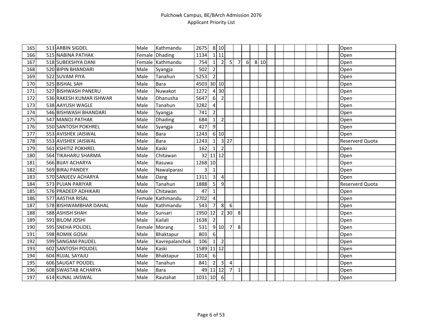| 165 | 513 ARBIN SIGDEL           | Male   | Kathmandu        | 2675      |                         | 8 10                    |                   |                |   |      |  |  |  | Open            |
|-----|----------------------------|--------|------------------|-----------|-------------------------|-------------------------|-------------------|----------------|---|------|--|--|--|-----------------|
| 166 | 515 NABINA PATHAK          |        | Female Dhading   | 1134      |                         | 111                     |                   |                |   |      |  |  |  | Open            |
| 167 | 518 SUBEKSHYA DANI         |        | Female Kathmandu | 754       | $1\vert$                | $\overline{2}$          | 5                 | $\overline{7}$ | 6 | 8 10 |  |  |  | Open            |
| 168 | 520 BIPIN BHANDARI         | Male   | Syangja          | 502       | $\overline{2}$          |                         |                   |                |   |      |  |  |  | Open            |
| 169 | 522 SUVAM PIYA             | Male   | Tanahun          | 5253      | $\overline{2}$          |                         |                   |                |   |      |  |  |  | Open            |
| 170 | 525 BISHAL SAH             | Male   | <b>Bara</b>      | 4503      |                         | 30 10                   |                   |                |   |      |  |  |  | Open            |
| 171 | 527 BISHWASH PANERU        | Male   | Nuwakot          | 1272      |                         | 4 30                    |                   |                |   |      |  |  |  | Open            |
| 172 | 536 RAKESH KUMAR ISHWAR    | Male   | Dhanusha         | 5647      | 6 <sup>1</sup>          | $\overline{2}$          |                   |                |   |      |  |  |  | Open            |
| 173 | 538 AAYUSH WAGLE           | Male   | Tanahun          | 3282      | $\overline{\mathbf{4}}$ |                         |                   |                |   |      |  |  |  | Open            |
| 174 | 546 BISHWASH BHANDARI      | Male   | Syangja          | 741       | $\overline{2}$          |                         |                   |                |   |      |  |  |  | Open            |
| 175 | 547 MANOJ PATHAK           | Male   | Dhading          | 684       | $1\vert$                | $\overline{2}$          |                   |                |   |      |  |  |  | Open            |
| 176 | <b>550 SANTOSH POKHREL</b> | Male   | Syangja          | 427       | $\overline{9}$          |                         |                   |                |   |      |  |  |  | Open            |
| 177 | 553 AVISHEK JAISWAL        | Male   | <b>Bara</b>      | 1243      |                         | 6 10                    |                   |                |   |      |  |  |  | Open            |
| 178 | 553 AVISHEK JAISWAL        | Male   | Bara             | 1243      | $1\vert$                |                         | $3 \overline{27}$ |                |   |      |  |  |  | Reserverd Quota |
| 179 | 561 KSHITIZ POKHREL        | Male   | Kaski            | 162       | $\mathbf{1}$            | $\overline{2}$          |                   |                |   |      |  |  |  | Open            |
| 180 | 564 TIKAHARU SHARMA        | Male   | Chitawan         | 32        |                         | $11$ 12                 |                   |                |   |      |  |  |  | Open            |
| 181 | 566 BIJAY ACHARYA          | Male   | Rasuwa           | 1268 10   |                         |                         |                   |                |   |      |  |  |  | Open            |
| 182 | 569 BIRAJ PANDEY           | Male   | Nawalparasi      | 3         | $\mathbf{1}$            |                         |                   |                |   |      |  |  |  | Open            |
| 183 | 570 SANJEEV ACHARYA        | Male   | Dang             | 1311      | $\overline{3}$          | $\overline{4}$          |                   |                |   |      |  |  |  | Open            |
| 184 | 573 PUJAN PARIYAR          | Male   | Tanahun          | 1888      | $\overline{5}$          | 9                       |                   |                |   |      |  |  |  | Reserverd Quota |
| 185 | 576 PRADEEP ADHIKARI       | Male   | Chitawan         | 47        | $\mathbf{1}$            |                         |                   |                |   |      |  |  |  | Open            |
| 186 | 577 AASTHA RISAL           |        | Female Kathmandu | 2702      | $\overline{4}$          |                         |                   |                |   |      |  |  |  | Open            |
| 187 | 578 BISHWAMBHAR DAHAL      | Male   | Kathmandu        | 543       | $\overline{7}$          | 8 <sup>°</sup>          | 6                 |                |   |      |  |  |  | Open            |
| 188 | 588 ASHISH SHAH            | Male   | Sunsari          | 1950 12   |                         |                         | $2 \overline{30}$ | 8              |   |      |  |  |  | Open            |
| 189 | 591 BILOM JOSHI            | Male   | Kailali          | 1638      | $\overline{2}$          |                         |                   |                |   |      |  |  |  | Open            |
| 190 | 595 SNEHA POUDEL           | Female | Morang           | 531       |                         | 9 10                    | $\overline{7}$    | 8              |   |      |  |  |  | Open            |
| 191 | 598 ROMIK GOSAI            | Male   | Bhaktapur        | 803       | $6 \mid$                |                         |                   |                |   |      |  |  |  | Open            |
| 192 | 599 SANGAM PAUDEL          | Male   | Kavrepalanchok   | 106       | 1 <sup>1</sup>          | $\overline{2}$          |                   |                |   |      |  |  |  | Open            |
| 193 | 602 SANTOSH POUDEL         | Male   | Kaski            | 1589      | $11$ 12                 |                         |                   |                |   |      |  |  |  | Open            |
| 194 | 604 RUJAL SAYAJU           | Male   | Bhaktapur        | 1014      | 6                       |                         |                   |                |   |      |  |  |  | Open            |
| 195 | 606 SAUGAT POUDEL          | Male   | Tanahun          | 841       | $\overline{2}$          | $\overline{\mathbf{3}}$ | $\overline{4}$    |                |   |      |  |  |  | Open            |
| 196 | 608 SWASTAB ACHARYA        | Male   | <b>Bara</b>      | 49        |                         | $11$   12               | 7                 | $\mathbf{1}$   |   |      |  |  |  | Open            |
| 197 | 614 KUNAL JAISWAL          | Male   | Rautahat         | 1031 10 6 |                         |                         |                   |                |   |      |  |  |  | Open            |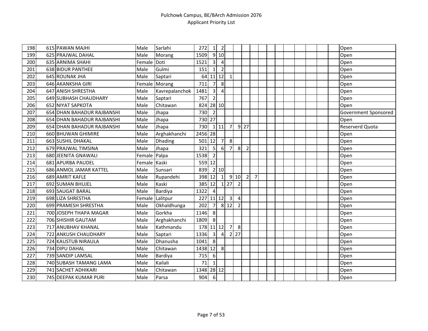| 198 | 615 PAWAN MAJHI            | Male         | Sarlahi         | 272     | 1                       | $\overline{2}$ |                |                |                |                |  |  |  |  | Open                 |
|-----|----------------------------|--------------|-----------------|---------|-------------------------|----------------|----------------|----------------|----------------|----------------|--|--|--|--|----------------------|
| 199 | 625 PRAJWAL DAHAL          | Male         | Morang          | 1509    |                         | 9 10           |                |                |                |                |  |  |  |  | Open                 |
| 200 | 635 ARNIMA SHAHI           | Female       | Doti            | 1521    | $\overline{\mathbf{3}}$ | $\overline{4}$ |                |                |                |                |  |  |  |  | Open                 |
| 201 | 638 BIDUR PANTHEE          | Male         | Gulmi           | 151     | $\mathbf{1}$            | $\overline{2}$ |                |                |                |                |  |  |  |  | Open                 |
| 202 | 645 ROUNAK JHA             | Male         | Saptari         | 64      |                         | $11 \mid 12$   | $\mathbf{1}$   |                |                |                |  |  |  |  | Open                 |
| 203 | 646 AKANKSHA GIRI          |              | Female Morang   | 711     | $\overline{7}$          | 8              |                |                |                |                |  |  |  |  | Open                 |
| 204 | 647 ANISH SHRESTHA         | Male         | Kavrepalanchok  | 1481    | $\overline{3}$          | $\overline{4}$ |                |                |                |                |  |  |  |  | Open                 |
| 205 | 649 SUBHASH CHAUDHARY      | Male         | Saptari         | 767     | $\overline{2}$          |                |                |                |                |                |  |  |  |  | Open                 |
| 206 | 652 NIYAT SAPKOTA          | Male         | Chitawan        | 824     | 28 10                   |                |                |                |                |                |  |  |  |  | Open                 |
| 207 | 654 DHAN BAHADUR RAJBANSHI | Male         | Jhapa           | 730     | $\overline{2}$          |                |                |                |                |                |  |  |  |  | Government Sponsored |
| 208 | 654 DHAN BAHADUR RAJBANSHI | Male         | Jhapa           | 730 27  |                         |                |                |                |                |                |  |  |  |  | Open                 |
| 209 | 654 DHAN BAHADUR RAJBANSHI | Male         | Jhapa           | 730     |                         | 111            | $\overline{7}$ |                | $9$   27       |                |  |  |  |  | Reserverd Quota      |
| 210 | 660 BHUWAN GHIMIRE         | Male         | Arghakhanchi    | 2456 28 |                         |                |                |                |                |                |  |  |  |  | Open                 |
| 211 | 663 SUSHIL DHAKAL          | Male         | Dhading         | 501     | 12                      | 7 <sup>1</sup> | 8              |                |                |                |  |  |  |  | Open                 |
| 212 | 679 PRAJWAL TIMSINA        | Male         | Jhapa           | 321     | $5\phantom{.}$          | $6 \mid$       | $\overline{7}$ | 8              | $\overline{2}$ |                |  |  |  |  | Open                 |
| 213 | 680 JEENITA GNAWALI        | Female Palpa |                 | 1538    | $\overline{2}$          |                |                |                |                |                |  |  |  |  | Open                 |
| 214 | 681 APURBA PAUDEL          | Female Kaski |                 | 559     | 12                      |                |                |                |                |                |  |  |  |  | Open                 |
| 215 | 686 ANMOL JAMAR KATTEL     | Male         | Sunsari         | 839     |                         | 2 10           |                |                |                |                |  |  |  |  | Open                 |
| 216 | 689 AMRIT KAFLE            | Male         | Rupandehi       | 398 12  |                         | $\mathbf{1}$   |                | 9 10           | $\overline{2}$ | $\overline{7}$ |  |  |  |  | Open                 |
| 217 | 692 SUMAN BHUJEL           | Male         | Kaski           | 385 12  |                         | $1\vert$       | 27             | $\overline{2}$ |                |                |  |  |  |  | Open                 |
| 218 | 693 SAUGAT BARAL           | Male         | Bardiya         | 1322    | $\overline{4}$          |                |                |                |                |                |  |  |  |  | Open                 |
| 219 | 698 LIZA SHRESTHA          |              | Female Lalitpur | 227     |                         | $11$   12      | $\overline{3}$ | $\sqrt{4}$     |                |                |  |  |  |  | Open                 |
| 220 | 699 PRAMESH SHRESTHA       | Male         | Okhaldhunga     | 202     | $\overline{7}$          |                | 812            | $\overline{2}$ |                |                |  |  |  |  | Open                 |
| 221 | 700 JOSEPH THAPA MAGAR     | Male         | Gorkha          | 1146    | 8                       |                |                |                |                |                |  |  |  |  | Open                 |
| 222 | 706 SHISHIR GAUTAM         | Male         | Arghakhanchi    | 1809    | 8                       |                |                |                |                |                |  |  |  |  | Open                 |
| 223 | 717 ANUBHAV KHANAL         | Male         | Kathmandu       | 178     | $11$ 12                 |                | 7 <sup>1</sup> | 8              |                |                |  |  |  |  | Open                 |
| 224 | 722 ANKUSH CHAUDHARY       | Male         | Saptari         | 1336    | $\overline{\mathbf{3}}$ | 4              | $\overline{2}$ | 27             |                |                |  |  |  |  | Open                 |
| 225 | 724 KAUSTUB NIRAULA        | Male         | Dhanusha        | 1041    | 8                       |                |                |                |                |                |  |  |  |  | Open                 |
| 226 | 734 DIPU DAHAL             | Male         | Chitawan        | 1438    | 12                      | 8              |                |                |                |                |  |  |  |  | Open                 |
| 227 | 739 SANDIP LAMSAL          | Male         | Bardiya         | 715     | 6                       |                |                |                |                |                |  |  |  |  | Open                 |
| 228 | 740 SUBASH TAMANG LAMA     | Male         | Kailali         | 71      | $\mathbf{1}$            |                |                |                |                |                |  |  |  |  | Open                 |
| 229 | 741 SACHET ADHIKARI        | Male         | Chitawan        | 1348    |                         | $28$ 12        |                |                |                |                |  |  |  |  | Open                 |
| 230 | 745 DEEPAK KUMAR PURI      | Male         | Parsa           | 904     | 6                       |                |                |                |                |                |  |  |  |  | Open                 |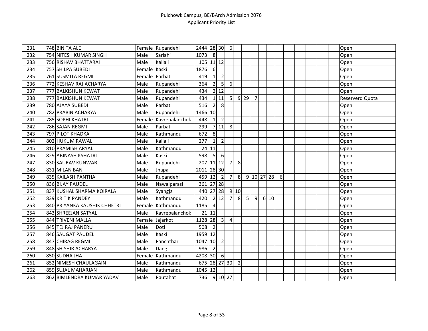| 231 | 748 BINITA ALE               |               | Female Rupandehi | 2444 28 30   |                |                  | $6 \mid$       |                |        |                |      |   |  |  | Open            |
|-----|------------------------------|---------------|------------------|--------------|----------------|------------------|----------------|----------------|--------|----------------|------|---|--|--|-----------------|
| 232 | 754 NITESH KUMAR SINGH       | Male          | Sarlahi          | 1073         | $\infty$       |                  |                |                |        |                |      |   |  |  | Open            |
| 233 | 756 RISHAV BHATTARAI         | Male          | Kailali          | 105 11 12    |                |                  |                |                |        |                |      |   |  |  | Open            |
| 234 | 757 SHILPA SUBEDI            | Female Kaski  |                  | 1876         | 6              |                  |                |                |        |                |      |   |  |  | Open            |
| 235 | 761 SUSMITA REGMI            | Female Parbat |                  | 419          | 1 <sup>1</sup> | $\mathbf 2$      |                |                |        |                |      |   |  |  | Open            |
| 236 | 772 KESHAV RAJ ACHARYA       | Male          | Rupandehi        | 364          | $\overline{2}$ | 5 <sup>1</sup>   | 6              |                |        |                |      |   |  |  | Open            |
| 237 | 777 BALKISHUN KEWAT          | Male          | Rupandehi        | 434          |                | 2 12             |                |                |        |                |      |   |  |  | Open            |
| 238 | 777 BALKISHUN KEWAT          | Male          | Rupandehi        | 434          |                | $1$   11         | 5 <sub>l</sub> |                | $9$ 29 | $\overline{7}$ |      |   |  |  | Reserverd Quota |
| 239 | 780 AJAYA SUBEDI             | Male          | Parbat           | 516          | 2 <sup>1</sup> | 8                |                |                |        |                |      |   |  |  | Open            |
| 240 | 782 PRABIN ACHARYA           | Male          | Rupandehi        | 1466 10      |                |                  |                |                |        |                |      |   |  |  | Open            |
| 241 | 785 SOPHI KHATRI             | Female        | Kavrepalanchok   | 448          | $\mathbf{1}$   | $\mathbf 2$      |                |                |        |                |      |   |  |  | Open            |
| 242 | 786 SAJAN REGMI              | Male          | Parbat           | 299          |                | 7 11             | 8              |                |        |                |      |   |  |  | Open            |
| 243 | 797 PILOT KHADKA             | Male          | Kathmandu        | 672          | $\,8\,$        |                  |                |                |        |                |      |   |  |  | Open            |
| 244 | 802 HUKUM RAWAL              | Male          | Kailali          | 277          | 1 <sup>1</sup> | $\mathbf 2$      |                |                |        |                |      |   |  |  | Open            |
| 245 | 810 PRAMISH ARYAL            | Male          | Kathmandu        | 24           | 11             |                  |                |                |        |                |      |   |  |  | Open            |
| 246 | 829 ABINASH KSHATRI          | Male          | Kaski            | 598          | 5              | 6                |                |                |        |                |      |   |  |  | Open            |
| 247 | 830 SAURAV KUNWAR            | Male          | Rupandehi        | 207          |                | $11$ 12          | 7 <sup>1</sup> | 8              |        |                |      |   |  |  | Open            |
| 248 | 831 MILAN BAN                | Male          | Jhapa            | 2011 28 30   |                |                  |                |                |        |                |      |   |  |  | Open            |
| 249 | 835 KAILASH PANTHA           | Male          | Rupandehi        | 459 12       |                | $\overline{2}$   | $\overline{7}$ | 8 <sup>1</sup> |        | 9 10 27 28     |      | 6 |  |  | Open            |
| 250 | 836 BIJAY PAUDEL             | Male          | Nawalparasi      | 361          |                | 27 28            |                |                |        |                |      |   |  |  | Open            |
| 251 | 837 KUSHAL SHARMA KOIRALA    | Male          | Syangja          | 440          |                | 27 28            |                | 9 10           |        |                |      |   |  |  | Open            |
| 252 | 839 KRITIK PANDEY            | Male          | Kathmandu        | 420          |                | 2 12             | 7              | 8              | 5      | 9              | 6 10 |   |  |  | Open            |
| 253 | 840 PRIYANKA KAUSHIK CHHETRI |               | Female Kathmandu | 1185         | $\overline{4}$ |                  |                |                |        |                |      |   |  |  | Open            |
| 254 | 843 SHREEJAN SATYAL          | Male          | Kavrepalanchok   |              | 21 11          |                  |                |                |        |                |      |   |  |  | Open            |
| 255 | 844 TRIVENI MALLA            |               | Female Jajarkot  | 1128 28      |                | $\overline{3}$   | $\overline{4}$ |                |        |                |      |   |  |  | Open            |
| 256 | 845 TEJ RAJ PANERU           | Male          | Doti             | 508          | $\overline{2}$ |                  |                |                |        |                |      |   |  |  | Open            |
| 257 | 846 SAUGAT PAUDEL            | Male          | Kaski            | 1959 12      |                |                  |                |                |        |                |      |   |  |  | Open            |
| 258 | 847 CHIRAG REGMI             | Male          | Panchthar        | 1047         | 10             | $\overline{2}$   |                |                |        |                |      |   |  |  | Open            |
| 259 | 848 SHISHIR ACHARYA          | Male          | Dang             | 986          | $\overline{2}$ |                  |                |                |        |                |      |   |  |  | Open            |
| 260 | 850 SUDHA JHA                |               | Female Kathmandu | 4208 30      |                | $6 \overline{6}$ |                |                |        |                |      |   |  |  | Open            |
| 261 | 852 NIMESH CHAULAGAIN        | Male          | Kathmandu        | 675 28 27 30 |                |                  |                | $\overline{2}$ |        |                |      |   |  |  | Open            |
| 262 | 859 SUJAL MAHARJAN           | Male          | Kathmandu        | 1045 12      |                |                  |                |                |        |                |      |   |  |  | Open            |
| 263 | 862 BIMLENDRA KUMAR YADAV    | Male          | Rautahat         | 736 9 10 27  |                |                  |                |                |        |                |      |   |  |  | Open            |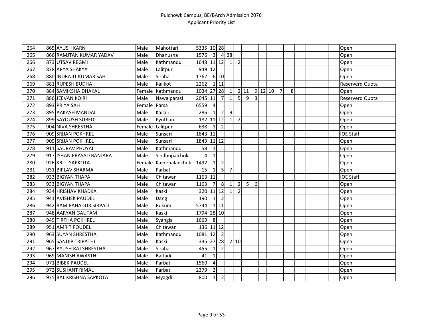| 264 | 865 AYUSH KARN           | Male   | Mahottari      | 5335 10 28     |                 |                |                |                |                |   |           |                |   |  |  | Open             |
|-----|--------------------------|--------|----------------|----------------|-----------------|----------------|----------------|----------------|----------------|---|-----------|----------------|---|--|--|------------------|
| 265 | 866 RAMJTAN KUMAR YADAV  | Male   | Dhanusha       | 1576           | $\overline{3}$  |                | 4 28           |                |                |   |           |                |   |  |  | Open             |
| 266 | 873 UTSAV REGMI          | Male   | Kathmandu      | 1648 11 12     |                 |                | $\vert$ 1      | $\overline{2}$ |                |   |           |                |   |  |  | Open             |
| 267 | 878 ARYA SHAKYA          | Male   | Lalitpur       | 949 12         |                 |                |                |                |                |   |           |                |   |  |  | Open             |
| 268 | 880 INDRAJIT KUMAR SAH   | Male   | Siraha         | 1762           |                 | 6 10           |                |                |                |   |           |                |   |  |  | Open             |
| 269 | 881 RUPESH BUDHA         | Male   | Kalikot        | 2262           |                 | 111            |                |                |                |   |           |                |   |  |  | Reserverd Quota  |
| 270 | 884 SAMIKSHA DHAKAL      | Female | Kathmandu      | 1034           | 27 28           |                | $\mathbf{1}$   |                | 2 11           |   | $9$ 12 10 | $\overline{7}$ | 8 |  |  | Open             |
| 271 | 886 JEEVAN KOIRI         | Male   | Nawalparasi    | 2045 11        |                 | $\overline{7}$ | $\mathbf 1$    | 5              | 9              | 3 |           |                |   |  |  | Reserverd Quota  |
| 272 | 893 PRIYA SAH            | Female | Parsa          | 6559           | $\overline{a}$  |                |                |                |                |   |           |                |   |  |  | Open             |
| 273 | 895 AAKASH MANDAL        | Male   | Kailali        | 286            | $\mathbf{1}$    | $\overline{2}$ | 9              |                |                |   |           |                |   |  |  | Open             |
| 274 | 899 SAYOUSH SUBEDI       | Male   | Pyuthan        | 182            | 11 12           |                | $\mathbf{1}$   | $\overline{2}$ |                |   |           |                |   |  |  | Open             |
| 275 | 904 NIVA SHRESTHA        | Female | Lalitpur       | 638            | $\mathbf{1}$    | $\overline{2}$ |                |                |                |   |           |                |   |  |  | Open             |
| 276 | 909 SRIJAN POKHREL       | Male   | Sunsari        | 1843 11        |                 |                |                |                |                |   |           |                |   |  |  | <b>IOE Staff</b> |
| 277 | 909 SRIJAN POKHREL       | Male   | Sunsari        | 1843 11 12     |                 |                |                |                |                |   |           |                |   |  |  | Open             |
| 278 | 911 SAURAV PHUYAL        | Male   | Kathmandu      | 58             | $\mathbf{1}$    |                |                |                |                |   |           |                |   |  |  | Open             |
| 279 | 917 ISHAN PRASAD BANJARA | Male   | Sindhupalchok  | $\overline{4}$ | $\mathbf{1}$    |                |                |                |                |   |           |                |   |  |  | Open             |
| 280 | 926 KRITI SAPKOTA        | Female | Kavrepalanchok | 1492           | $1\overline{ }$ | $\overline{2}$ |                |                |                |   |           |                |   |  |  | Open             |
| 281 | 931 BIPLAV SHARMA        | Male   | Parbat         | 15             | $\mathbf{1}$    | $\mathsf{S}$   | $\overline{7}$ |                |                |   |           |                |   |  |  | Open             |
| 282 | 933 BIGYAN THAPA         | Male   | Chitawan       | 1163 11        |                 |                |                |                |                |   |           |                |   |  |  | <b>IOE Staff</b> |
| 283 | 933 BIGYAN THAPA         | Male   | Chitawan       | 1163           | $\overline{7}$  | 8 <sup>°</sup> |                | $\overline{2}$ | 5 <sup>1</sup> | 6 |           |                |   |  |  | Open             |
| 284 | 934 HRISHAV KHADKA       | Male   | Kaski          | 320            | $11$ 12         |                | $\mathbf{1}$   | $\overline{2}$ |                |   |           |                |   |  |  | Open             |
| 285 | 941 AVISHEK PAUDEL       | Male   | Dang           | 190            | $1\vert$        | $\overline{2}$ |                |                |                |   |           |                |   |  |  | Open             |
| 286 | 942 RAM BAHADUR SIRPALI  | Male   | Rukum          | 5744           |                 | 111            |                |                |                |   |           |                |   |  |  | Open             |
| 287 | 948 AARYAN GAUTAM        | Male   | Kaski          | 1794           | 28 10           |                |                |                |                |   |           |                |   |  |  | Open             |
| 288 | 949 TIRTHA POKHREL       | Male   | Syangja        | 1669           | 8               |                |                |                |                |   |           |                |   |  |  | Open             |
| 289 | 951 AMRIT POUDEL         | Male   | Chitawan       | 136 11 12      |                 |                |                |                |                |   |           |                |   |  |  | Open             |
| 290 | 963 SUYAN SHRESTHA       | Male   | Kathmandu      | 1081           | 12              | $\overline{2}$ |                |                |                |   |           |                |   |  |  | Open             |
| 291 | 965 SANDIP TRIPATHI      | Male   | Kaski          | 335            | 27 28           |                |                | 2 10           |                |   |           |                |   |  |  | Open             |
| 292 | 967 AYUSH RAJ SHRESTHA   | Male   | Siraha         | 455            | $\mathbf{1}$    | $\overline{2}$ |                |                |                |   |           |                |   |  |  | Open             |
| 293 | 969 MANISH AWASTHI       | Male   | Baitadi        | 41             | $\mathbf{1}$    |                |                |                |                |   |           |                |   |  |  | Open             |
| 294 | 971 BIBEK PAUDEL         | Male   | Parbat         | 1560           | $\overline{4}$  |                |                |                |                |   |           |                |   |  |  | Open             |
| 295 | 972 SUSHANT RIMAL        | Male   | Parbat         | 2379           | $\overline{2}$  |                |                |                |                |   |           |                |   |  |  | Open             |
| 296 | 975 BAL KRISHNA SAPKOTA  | Male   | Myagdi         | 800            | $\vert$ 1       | $\overline{2}$ |                |                |                |   |           |                |   |  |  | Open             |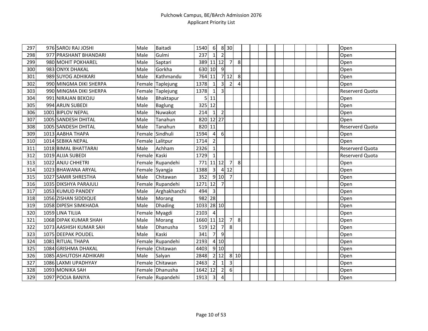| 297 | 976 SAROJ RAJ JOSHI    | Male         | Baitadi          | 1540           | $6 \overline{6}$        |                         | 8 30           |                |  |  |  |  |  | Open            |
|-----|------------------------|--------------|------------------|----------------|-------------------------|-------------------------|----------------|----------------|--|--|--|--|--|-----------------|
| 298 | 977 PRASHANT BHANDARI  | Male         | Gulmi            | 237            | $\mathbf{1}$            | $\overline{2}$          |                |                |  |  |  |  |  | Open            |
| 299 | 980 MOHIT POKHAREL     | Male         | Saptari          | 389 11 12      |                         |                         | $\overline{7}$ | 8 <sup>1</sup> |  |  |  |  |  | Open            |
| 300 | 983 ONYX DHAKAL        | Male         | Gorkha           | 630 10         |                         | $\overline{9}$          |                |                |  |  |  |  |  | Open            |
| 301 | 989 SUYOG ADHIKARI     | Male         | Kathmandu        | 764            | 11                      |                         | 712            | 8 <sup>°</sup> |  |  |  |  |  | Open            |
| 302 | 990 MINGMA DIKI SHERPA |              | Female Taplejung | 1378           | $\mathbf{1}$            | $\overline{3}$          | $\overline{2}$ | $\overline{4}$ |  |  |  |  |  | Open            |
| 303 | 990 MINGMA DIKI SHERPA |              | Female Taplejung | 1378           | $\mathbf{1}$            | $\overline{\mathbf{3}}$ |                |                |  |  |  |  |  | Reserverd Quota |
| 304 | 991 NIRAJAN BEKOJU     | Male         | Bhaktapur        | 5 <sub>l</sub> | 11                      |                         |                |                |  |  |  |  |  | Open            |
| 305 | 994 ARUN SUBEDI        | Male         | Baglung          | 325 12         |                         |                         |                |                |  |  |  |  |  | Open            |
| 306 | 1001 BIPLOV NEPAL      | Male         | Nuwakot          | 214            | $\mathbf{1}$            | $\overline{2}$          |                |                |  |  |  |  |  | Open            |
| 307 | 1005 SANDESH DHITAL    | Male         | Tanahun          | 820 12 27      |                         |                         |                |                |  |  |  |  |  | Open            |
| 308 | 1005 SANDESH DHITAL    | Male         | Tanahun          | 820 11         |                         |                         |                |                |  |  |  |  |  | Reserverd Quota |
| 309 | 1013 AABHA THAPA       |              | Female Sindhuli  | 1594           | $\overline{4}$          | $6\overline{6}$         |                |                |  |  |  |  |  | Open            |
| 310 | 1014 SEBIKA NEPAL      |              | Female Lalitpur  | 1714           | $\overline{2}$          |                         |                |                |  |  |  |  |  | Open            |
| 311 | 1018 BIMAL BHATTARAI   | Male         | Achham           | 2326           | $\mathbf{1}$            |                         |                |                |  |  |  |  |  | Reserverd Quota |
| 312 | 1019 ALIJA SUBEDI      | Female Kaski |                  | 1729           | $\mathbf{1}$            |                         |                |                |  |  |  |  |  | Reserverd Quota |
| 313 | 1022 ANJU CHHETRI      |              | Female Rupandehi | 771            |                         | $11$ 12                 | $\overline{7}$ | 8              |  |  |  |  |  | Open            |
| 314 | 1023 BHAWANA ARYAL     |              | Female Syangja   | 1388           | $\overline{\mathbf{3}}$ |                         | 412            |                |  |  |  |  |  | Open            |
| 315 | 1027 SAMIR SHRESTHA    | Male         | Chitawan         | 352            |                         | 9 10                    | $\overline{7}$ |                |  |  |  |  |  | Open            |
| 316 | 1035 DIKSHYA PARAJULI  |              | Female Rupandehi | 1271           | 12                      | $\overline{7}$          |                |                |  |  |  |  |  | Open            |
| 317 | 1053 KUMUD PANDEY      | Male         | Arghakhanchi     | 494            | $\overline{3}$          |                         |                |                |  |  |  |  |  | Open            |
| 318 | 1056 ZISHAN SIDDIQUE   | Male         | Morang           | 982 28         |                         |                         |                |                |  |  |  |  |  | Open            |
| 319 | 1058 DIPESH SIMKHADA   | Male         | <b>Dhading</b>   | 1033 28 10     |                         |                         |                |                |  |  |  |  |  | Open            |
| 320 | 1059 LINA TILIJA       | Female       | Myagdi           | 2103           | $\overline{4}$          |                         |                |                |  |  |  |  |  | Open            |
| 321 | 1068 DIPAK KUMAR SHAH  | Male         | Morang           | 1660           |                         | $11$ 12                 | 7              | 8              |  |  |  |  |  | Open            |
| 322 | 1073 AASHISH KUMAR SAH | Male         | Dhanusha         | 519 12         |                         | $\overline{7}$          | 8 <sup>1</sup> |                |  |  |  |  |  | Open            |
| 323 | 1075 DEEPAK POUDEL     | Male         | Kaski            | 341            | $\overline{7}$          | $\overline{9}$          |                |                |  |  |  |  |  | Open            |
| 324 | 1081 RITUAL THAPA      |              | Female Rupandehi | 2193           |                         | 4 10                    |                |                |  |  |  |  |  | Open            |
| 325 | 1084 GRISHMA DHAKAL    |              | Female Chitawan  | 4403           |                         | 910                     |                |                |  |  |  |  |  | Open            |
| 326 | 1085 ASHUTOSH ADHIKARI | Male         | Salyan           | 2848           |                         | 2 12                    |                | 8 10           |  |  |  |  |  | Open            |
| 327 | 1086 LAXMI UPADHYAY    |              | Female Chitawan  | 2463           | $\overline{2}$          | $\mathbf{1}$            | $\overline{3}$ |                |  |  |  |  |  | Open            |
| 328 | 1093 MONIKA SAH        |              | Female Dhanusha  | 1642           | 12                      | $\overline{2}$          | $6 \mid$       |                |  |  |  |  |  | Open            |
| 329 | 1097 POOJA BANIYA      |              | Female Rupandehi | 1913           | $\overline{\mathbf{3}}$ | $\pmb{4}$               |                |                |  |  |  |  |  | Open            |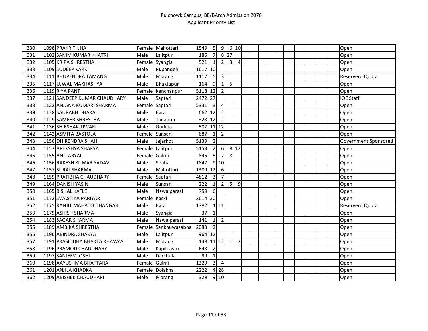| 330 | 1098 PRAKRITI JHA            |                | Female Mahottari     | 1549    | 5                       | 9                          |                | 6 10           |  |  |  |  |  | Open                 |
|-----|------------------------------|----------------|----------------------|---------|-------------------------|----------------------------|----------------|----------------|--|--|--|--|--|----------------------|
| 331 | 1102 SANIM KUMAR KHATRI      | Male           | Lalitpur             | 185     | $\overline{7}$          |                            | $8$ 27         |                |  |  |  |  |  | Open                 |
| 332 | 1105 KRIPA SHRESTHA          |                | Female Syangja       | 521     | $\mathbf{1}$            | $\overline{2}$             | $\overline{3}$ | $\overline{4}$ |  |  |  |  |  | Open                 |
| 333 | 1109 SUDEEP KARKI            | Male           | Rupandehi            | 1617 10 |                         |                            |                |                |  |  |  |  |  | Open                 |
| 334 | 1111 BHUPENDRA TAMANG        | Male           | Morang               | 1117    | 5                       | $\mathsf{3}$               |                |                |  |  |  |  |  | Reserverd Quota      |
| 335 | 1117 UJWAL MAKHASHYA         | Male           | Bhaktapur            | 164     | 9                       | $1\vert$                   | 5 <sub>l</sub> |                |  |  |  |  |  | Open                 |
| 336 | 1119 RIYA PANT               | Female         | Kanchanpur           | 5118 12 |                         | $\overline{2}$             |                |                |  |  |  |  |  | Open                 |
| 337 | 1121 SANDEEP KUMAR CHAUDHARY | Male           | Saptari              | 2472 27 |                         |                            |                |                |  |  |  |  |  | <b>IOE Staff</b>     |
| 338 | 1122 ANJANA KUMARI SHARMA    | Female Saptari |                      | 5331    | $\overline{\mathbf{3}}$ | $\overline{4}$             |                |                |  |  |  |  |  | Open                 |
| 339 | 1128 SAURABH DHAKAL          | Male           | Bara                 | 662     | 12                      | $\overline{2}$             |                |                |  |  |  |  |  | Open                 |
| 340 | 1129 SAMEER SHRESTHA         | Male           | Tanahun              | 328 12  |                         | $\overline{2}$             |                |                |  |  |  |  |  | Open                 |
| 341 | 1136 SHIRSHAK TIWARI         | Male           | Gorkha               | 507     |                         | $11$ 12                    |                |                |  |  |  |  |  | Open                 |
| 342 | 1142 ASMITA BASTOLA          | Female         | Sunsari              | 687     | $\mathbf{1}$            | $\overline{2}$             |                |                |  |  |  |  |  | Open                 |
| 343 | 1150 DHIRENDRA SHAHI         | Male           | Jajarkot             | 5139    | $\overline{2}$          |                            |                |                |  |  |  |  |  | Government Sponsored |
| 344 | 1153 APEKSHYA SHAKYA         | Female         | Lalitpur             | 5153    | $\overline{2}$          | $6 \overline{6}$           |                | 8 12           |  |  |  |  |  | Open                 |
| 345 | 1155 ANU ARYAL               | Female Gulmi   |                      | 845     | 5                       | $\overline{7}$             | 8 <sup>1</sup> |                |  |  |  |  |  | Open                 |
| 346 | 1156 RAKESH KUMAR YADAV      | Male           | Siraha               | 1847    |                         | 9 10                       |                |                |  |  |  |  |  | Open                 |
| 347 | 1157 SURAJ SHARMA            | Male           | Mahottari            | 1389 12 |                         | 6                          |                |                |  |  |  |  |  | Open                 |
| 348 | 1159 PRATIBHA CHAUDHARY      | Female Saptari |                      | 4812    | $\overline{3}$          | $\overline{7}$             |                |                |  |  |  |  |  | Open                 |
| 349 | 1164 DANISH YASIN            | Male           | Sunsari              | 222     | $\mathbf{1}$            | $\overline{2}$             | 5 <sub>l</sub> | 9              |  |  |  |  |  | Open                 |
| 350 | 1165 BISHAL KAFLE            | Male           | Nawalparasi          | 759     | 6                       |                            |                |                |  |  |  |  |  | Open                 |
| 351 | 1172 SWASTIKA PARIYAR        | Female Kaski   |                      | 2614 30 |                         |                            |                |                |  |  |  |  |  | Open                 |
| 352 | 1175 RANJIT MAHATO DHANGAR   | Male           | <b>Bara</b>          | 1782    |                         | $1$ 11                     |                |                |  |  |  |  |  | Reserverd Quota      |
| 353 | 1179 ASHISH SHARMA           | Male           | Syangja              | 37      | $\mathbf{1}$            |                            |                |                |  |  |  |  |  | Open                 |
| 354 | 1183 SAGAR SHARMA            | Male           | Nawalparasi          | 141     | 1 <sup>1</sup>          | $\overline{2}$             |                |                |  |  |  |  |  | Open                 |
| 355 | 1189 AMBIKA SHRESTHA         |                | Female Sankhuwasabha | 2083    | $\overline{2}$          |                            |                |                |  |  |  |  |  | Open                 |
| 356 | 1190 ABINDRA SHAKYA          | Male           | Lalitpur             | 964     | 12                      |                            |                |                |  |  |  |  |  | Open                 |
| 357 | 1191 PRASIDDHA BHAKTA KHAWAS | Male           | Morang               | 148     |                         | $11 \mid 12$               | $1\vert$       | $\overline{2}$ |  |  |  |  |  | Open                 |
| 358 | 1196 PRAMOD CHAUDHARY        | Male           | Kapilbastu           | 643     | $\overline{2}$          |                            |                |                |  |  |  |  |  | Open                 |
| 359 | 1197 SANJEEV JOSHI           | Male           | Darchula             | 99      | $\mathbf{1}$            |                            |                |                |  |  |  |  |  | Open                 |
| 360 | 1198 AAYUSHMA BHATTARAI      | Female Gulmi   |                      | 1329    | $\overline{3}$          | $\overline{4}$             |                |                |  |  |  |  |  | Open                 |
| 361 | 1201 ANJILA KHADKA           | Female         | Dolakha              | 2222    |                         | $4 \overline{\smash{)}28}$ |                |                |  |  |  |  |  | Open                 |
| 362 | 1209 ABISHEK CHAUDHARI       | Male           | Morang               | 329     |                         | 9 10                       |                |                |  |  |  |  |  | Open                 |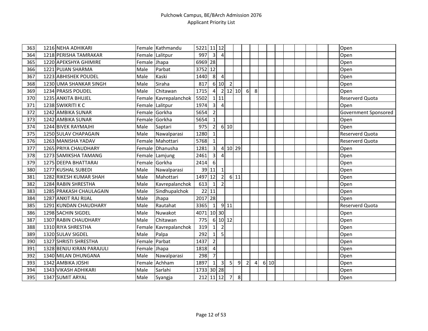| 363 | 1216 NEHA ADHIKARI        |               | Female Kathmandu      | 5221       | $11$ 12                 |                         |                |                |                |   |      |  |  |  | Open                   |
|-----|---------------------------|---------------|-----------------------|------------|-------------------------|-------------------------|----------------|----------------|----------------|---|------|--|--|--|------------------------|
| 364 | 1218 PERISHA TAMRAKAR     |               | Female Lalitpur       | 997        | $\overline{\mathbf{3}}$ | $\overline{4}$          |                |                |                |   |      |  |  |  | Open                   |
| 365 | 1220 APEKSHYA GHIMIRE     | Female Jhapa  |                       | 6969 28    |                         |                         |                |                |                |   |      |  |  |  | Open                   |
| 366 | 1221 PUJAN SHARMA         | Male          | Parbat                | 3752 12    |                         |                         |                |                |                |   |      |  |  |  | Open                   |
| 367 | 1223 ABHISHEK POUDEL      | Male          | Kaski                 | 1440       | 8                       | $\overline{4}$          |                |                |                |   |      |  |  |  | Open                   |
| 368 | 1230 UMA SHANKAR SINGH    | Male          | Siraha                | 817        |                         | 6 10                    | $\overline{2}$ |                |                |   |      |  |  |  | Open                   |
| 369 | 1234 PRASIS POUDEL        | Male          | Chitawan              | 1715       | $\overline{4}$          |                         | $2$ 12 10      |                | 6              | 8 |      |  |  |  | Open                   |
| 370 | 1235 ANKITA BHUJEL        |               | Female Kavrepalanchok | 5502       |                         | $1$   11                |                |                |                |   |      |  |  |  | Reserverd Quota        |
| 371 | 1238 SWIKRITI K C         |               | Female Lalitpur       | 1974       | $\overline{3}$          | $\overline{4}$          |                |                |                |   |      |  |  |  | Open                   |
| 372 | 1242 AMBIKA SUNAR         |               | Female Gorkha         | 5654       | $\overline{2}$          |                         |                |                |                |   |      |  |  |  | Government Sponsored   |
| 373 | 1242 AMBIKA SUNAR         |               | Female Gorkha         | 5654       | $\mathbf{1}$            |                         |                |                |                |   |      |  |  |  | Open                   |
| 374 | 1244 BIVEK RAYMAJHI       | Male          | Saptari               | 975        | $\overline{2}$          |                         | 6 10           |                |                |   |      |  |  |  | Open                   |
| 375 | 1250 SULAV CHAPAGAIN      | Male          | Nawalparasi           | 1280       | $\mathbf{1}$            |                         |                |                |                |   |      |  |  |  | <b>Reserverd Quota</b> |
| 376 | 1263 MANISHA YADAV        |               | Female Mahottari      | 5768       | $\mathbf{1}$            |                         |                |                |                |   |      |  |  |  | <b>Reserverd Quota</b> |
| 377 | 1265 PRIYA CHAUDHARY      |               | Female Dhanusha       | 1281       | $\overline{3}$          |                         | 4 10 29        |                |                |   |      |  |  |  | Open                   |
| 378 | 1273 SAMIKSHA TAMANG      |               | Female Lamjung        | 2461       | $\overline{3}$          | $\overline{4}$          |                |                |                |   |      |  |  |  | Open                   |
| 379 | 1275 DEEPA BHATTARAI      |               | Female Gorkha         | 2414       | 6                       |                         |                |                |                |   |      |  |  |  | Open                   |
| 380 | 1277 KUSHAL SUBEDI        | Male          | Nawalparasi           |            | 39 11                   | $\mathbf{1}$            |                |                |                |   |      |  |  |  | Open                   |
| 381 | 1282 RIKESH KUMAR SHAH    | Male          | Mahottari             | 1497       | 12                      | $\overline{2}$          |                | 6 11           |                |   |      |  |  |  | Open                   |
| 382 | 1284 RABIN SHRESTHA       | Male          | Kavrepalanchok        | 613        | 1                       | $\overline{2}$          |                |                |                |   |      |  |  |  | Open                   |
| 383 | 1285 PRAKASH CHAULAGAIN   | Male          | Sindhupalchok         | 22         | 11                      |                         |                |                |                |   |      |  |  |  | Open                   |
| 384 | 1287 ANKIT RAJ RIJAL      | Male          | Jhapa                 | 2017 28    |                         |                         |                |                |                |   |      |  |  |  | Open                   |
| 385 | 1291 KUNDAN CHAUDHARY     | Male          | Rautahat              | 3365       | $\mathbf{1}$            |                         | $9$ 11         |                |                |   |      |  |  |  | Reserverd Quota        |
| 386 | 1298 SACHIN SIGDEL        | Male          | Nuwakot               | 4071       | 10 30                   |                         |                |                |                |   |      |  |  |  | Open                   |
| 387 | 1307 RABIN CHAUDHARY      | Male          | Chitawan              | 775        |                         | 6 10 12                 |                |                |                |   |      |  |  |  | Open                   |
| 388 | 1310 RIYA SHRESTHA        | Female        | Kavrepalanchok        | 319        | $1\overline{ }$         | $\overline{2}$          |                |                |                |   |      |  |  |  | Open                   |
| 389 | 1320 SULAV SIGDEL         | Male          | Palpa                 | 292        | $\mathbf{1}$            | 5                       |                |                |                |   |      |  |  |  | Open                   |
| 390 | 1327 SHRISTI SHRESTHA     | Female Parbat |                       | 1437       | $\overline{2}$          |                         |                |                |                |   |      |  |  |  | Open                   |
| 391 | 1328 BENJU KIRAN PARAJULI | Female Jhapa  |                       | 1818       | $\overline{4}$          |                         |                |                |                |   |      |  |  |  | Open                   |
| 392 | 1340 MILAN DHUNGANA       | Male          | Nawalparasi           | 298        | $\overline{7}$          |                         |                |                |                |   |      |  |  |  | Open                   |
| 393 | 1342 AMBIKA JOSHI         |               | Female Achham         | 1897       | $\mathbf{1}$            | $\overline{\mathbf{3}}$ | 5 <sub>l</sub> | 9              | $\overline{2}$ | 4 | 6 10 |  |  |  | Open                   |
| 394 | 1343 VIKASH ADHIKARI      | Male          | Sarlahi               | 1733 30 28 |                         |                         |                |                |                |   |      |  |  |  | Open                   |
| 395 | 1347 SUMIT ARYAL          | Male          | Syangja               | 212 11 12  |                         |                         | $\overline{7}$ | 8 <sup>°</sup> |                |   |      |  |  |  | Open                   |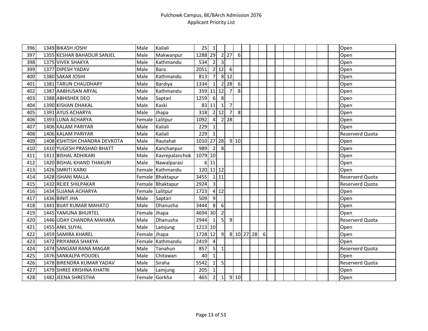| 396 | 1349 BIKASH JOSHI             | Male          | Kailali          | 25        | $\mathbf 1$    |                 |                   |                  |            |   |  |  |  | Open            |
|-----|-------------------------------|---------------|------------------|-----------|----------------|-----------------|-------------------|------------------|------------|---|--|--|--|-----------------|
| 397 | 1355 KESHAR BAHADUR SANJEL    | Male          | Makwanpur        | 1288      | 29             |                 | $2 \overline{27}$ | $6\,$            |            |   |  |  |  | Open            |
| 398 | 1375 VIVEK SHAKYA             | Male          | Kathmandu        | 534       | $\overline{2}$ | 3               |                   |                  |            |   |  |  |  | Open            |
| 399 | 1377 DIPESH YADAV             | Male          | Bara             | 2051      |                | 2 12            | 6                 |                  |            |   |  |  |  | Open            |
| 400 | 1380 SAKAR JOSHI              | Male          | Kathmandu        | 813       | $\overline{7}$ | 8               | 12                |                  |            |   |  |  |  | Open            |
| 401 | 1381 TARUN CHAUDHARY          | Male          | Bardiya          | 1334      | $\mathbf{1}$   | $\overline{2}$  | 28                | $6 \overline{6}$ |            |   |  |  |  | Open            |
| 402 | 1387 AABHUSAN ARYAL           | Male          | Kathmandu        | 359       | 11 12          |                 | $\overline{7}$    | 8                |            |   |  |  |  | Open            |
| 403 | 1388 ABHISHEK DEO             | Male          | Saptari          | 1259      | $6 \mid$       | 8               |                   |                  |            |   |  |  |  | Open            |
| 404 | 1390 KISHAN DHAKAL            | Male          | Kaski            | 83        | 11             | $\mathbf{1}$    | $\overline{7}$    |                  |            |   |  |  |  | Open            |
| 405 | 1391 AYUS ACHARYA             | Male          | Jhapa            | 318       |                | 212             | $\overline{7}$    | 8                |            |   |  |  |  | Open            |
| 406 | 1393 LUNA ACHARYA             | Female        | Lalitpur         | 1092      | $\overline{4}$ | $\overline{2}$  | 28                |                  |            |   |  |  |  | Open            |
| 407 | 1406 KALAM PARIYAR            | Male          | Kailali          | 229       | 1              |                 |                   |                  |            |   |  |  |  | Open            |
| 408 | 1406 KALAM PARIYAR            | Male          | Kailali          | 229       | $\mathbf{1}$   |                 |                   |                  |            |   |  |  |  | Reserverd Quota |
| 409 | 1408 KSHITISH CHANDRA DEVKOTA | Male          | Rautahat         | 1010      |                | $27$   28       |                   | 9 10             |            |   |  |  |  | Open            |
| 410 | 1410 YUGESH PRASHAD BHATT     | Male          | Kanchanpur       | 989       | $\overline{2}$ | 8               |                   |                  |            |   |  |  |  | Open            |
| 411 | 1411 BISHAL ADHIKARI          | Male          | Kavrepalanchok   | 1079 10   |                |                 |                   |                  |            |   |  |  |  | Open            |
| 412 | 1420 BISHAL KHAND THAKURI     | Male          | Nawalparasi      | 6         | 11             |                 |                   |                  |            |   |  |  |  | Open            |
| 413 | 1426 SMRITI KARKI             |               | Female Kathmandu | 120 11 12 |                |                 |                   |                  |            |   |  |  |  | Open            |
| 414 | 1428 ISHANI MALLA             |               | Female Bhaktapur | 3455      |                | 1 11            |                   |                  |            |   |  |  |  | Reserverd Quota |
| 415 | 1432 REJEE SHILPAKAR          |               | Female Bhaktapur | 2924      | $\overline{3}$ |                 |                   |                  |            |   |  |  |  | Reserverd Quota |
| 416 | 1434 SUJANA ACHARYA           |               | Female Lalitpur  | 1723      |                | 412             |                   |                  |            |   |  |  |  | Open            |
| 417 | 1436 BINIT JHA                | Male          | Saptari          | 509       | $\overline{9}$ |                 |                   |                  |            |   |  |  |  | Open            |
| 418 | 1441 BIJAY KUMAR MAHATO       | Male          | Dhanusha         | 3444      | 8              | 6               |                   |                  |            |   |  |  |  | Open            |
| 419 | 1445 YAMUNA BHURTEL           | Female        | Jhapa            | 4694      | 30             | $\overline{2}$  |                   |                  |            |   |  |  |  | Open            |
| 420 | 1446 UDAY CHANDRA MAHARA      | Male          | Dhanusha         | 2944      | $\mathbf{1}$   | $\mathsf{S}$    | $\overline{9}$    |                  |            |   |  |  |  | Reserverd Quota |
| 421 | 1455 ANIL SUYAL               | Male          | Lamjung          | 1213 10   |                |                 |                   |                  |            |   |  |  |  | Open            |
| 422 | 1459 SAMIRA KHAREL            | Female Jhapa  |                  | 1728      | 12             | 9               |                   |                  | 8 10 27 28 | 6 |  |  |  | Open            |
| 423 | 1472 PRIYANKA SHAKYA          |               | Female Kathmandu | 2419      | $\overline{4}$ |                 |                   |                  |            |   |  |  |  | Open            |
| 424 | 1474 SANGAM RANA MAGAR        | Male          | Tanahun          | 857       | 5 <sup>1</sup> | $\mathbf 1$     |                   |                  |            |   |  |  |  | Reserverd Quota |
| 425 | 1476 SANKALPA POUDEL          | Male          | Chitawan         | 40        | $\mathbf{1}$   |                 |                   |                  |            |   |  |  |  | Open            |
| 426 | 1478 BIRENDRA KUMAR YADAV     | Male          | Siraha           | 5542      | $\mathbf{1}$   | 5               |                   |                  |            |   |  |  |  | Reserverd Quota |
| 427 | 1479 SHREE KRISHNA KHATRI     | Male          | Lamjung          | 205       | $\mathbf{1}$   |                 |                   |                  |            |   |  |  |  | Open            |
| 428 | 1482 JEENA SHRESTHA           | Female Gorkha |                  | 465       | $\overline{2}$ | $1\overline{ }$ |                   | 9 10             |            |   |  |  |  | Open            |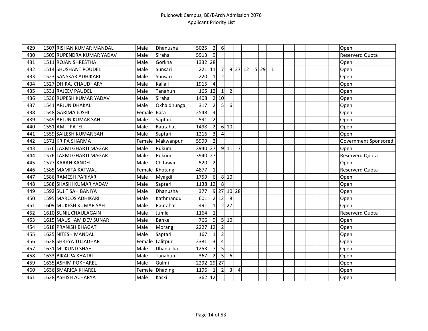| 429 | 1507 RISHAN KUMAR MANDAL     | Male        | Dhanusha         | 5025    | $\overline{2}$          | $6 \overline{6}$        |                         |                |           |                |    |              |  |  |  | Open                   |
|-----|------------------------------|-------------|------------------|---------|-------------------------|-------------------------|-------------------------|----------------|-----------|----------------|----|--------------|--|--|--|------------------------|
| 430 | 1509 RUPENDRA KUMAR YADAV    | Male        | Siraha           | 5913    | 9                       |                         |                         |                |           |                |    |              |  |  |  | Reserverd Quota        |
| 431 | 1511 ROJAN SHRESTHA          | Male        | Gorkha           | 1332 28 |                         |                         |                         |                |           |                |    |              |  |  |  | Open                   |
| 432 | 1514 SHUSHANT POUDEL         | Male        | Sunsari          | 221     | 11                      | 7                       |                         |                | $9$ 27 12 | 5 <sup>1</sup> | 29 | $\mathbf{1}$ |  |  |  | Open                   |
| 433 | 1523 SANSKAR ADHIKARI        | Male        | Sunsari          | 220     | $\mathbf{1}$            | $\overline{2}$          |                         |                |           |                |    |              |  |  |  | Open                   |
| 434 | 1527 DHIRAJ CHAUDHARY        | Male        | Kailali          | 1915    | $\overline{4}$          |                         |                         |                |           |                |    |              |  |  |  | Open                   |
| 435 | 1531 RAJEEV PAUDEL           | Male        | Tanahun          | 165 12  |                         | $\mathbf 1$             | $\overline{2}$          |                |           |                |    |              |  |  |  | Open                   |
| 436 | 1536 RUPESH KUMAR YADAV      | Male        | Siraha           | 1408    |                         | 2 10                    |                         |                |           |                |    |              |  |  |  | Open                   |
| 437 | 1541 ARJUN DHAKAL            | Male        | Okhaldhunga      | 317     | $\overline{2}$          | 5 <sub>l</sub>          | $6 \mid$                |                |           |                |    |              |  |  |  | Open                   |
| 438 | 1548 GARIMA JOSHI            | Female Bara |                  | 2548    | 4                       |                         |                         |                |           |                |    |              |  |  |  | Open                   |
| 439 | 1549 ARJUN KUMAR SAH         | Male        | Saptari          | 591     | $\overline{2}$          |                         |                         |                |           |                |    |              |  |  |  | Open                   |
| 440 | 1551 AMIT PATEL              | Male        | Rautahat         | 1498    | $\overline{2}$          |                         | 6 10                    |                |           |                |    |              |  |  |  | Open                   |
| 441 | 1559 SAILESH KUMAR SAH       | Male        | Saptari          | 1216    | $\overline{3}$          | $\overline{4}$          |                         |                |           |                |    |              |  |  |  | Open                   |
| 442 | 1571 KRIPA SHARMA            |             | Female Makwanpur | 5999    | $\overline{2}$          |                         |                         |                |           |                |    |              |  |  |  | Government Sponsored   |
| 443 | 1576 LAXMI GHARTI MAGAR      | Male        | Rukum            | 3940 27 |                         |                         | 9 11                    | $\overline{7}$ |           |                |    |              |  |  |  | Open                   |
| 444 | 1576 LAXMI GHARTI MAGAR      | Male        | Rukum            | 3940 27 |                         |                         |                         |                |           |                |    |              |  |  |  | Reserverd Quota        |
| 445 | 1577 KARAN KANDEL            | Male        | Chitawan         | 520     | $\overline{2}$          |                         |                         |                |           |                |    |              |  |  |  | Open                   |
| 446 | 1585 MAMITA KATWAL           |             | Female Khotang   | 4877    | $\vert$ 1               |                         |                         |                |           |                |    |              |  |  |  | Reserverd Quota        |
| 447 | 1586 RAMESH PARIYAR          | Male        | Myagdi           | 1759    | 6                       |                         | 8 10                    |                |           |                |    |              |  |  |  | Open                   |
| 448 | 1588 SHASHI KUMAR YADAV      | Male        | Saptari          | 1138    | 12                      | 8                       |                         |                |           |                |    |              |  |  |  | Open                   |
| 449 | 1592 SUJIT SAH BANIYA        | Male        | Dhanusha         | 377     |                         |                         | $9$ 27 10 28            |                |           |                |    |              |  |  |  | Open                   |
| 450 | 1595 MARCOS ADHIKARI         | Male        | Kathmandu        | 601     |                         | 2 12                    | 8                       |                |           |                |    |              |  |  |  | Open                   |
| 451 | 1609 MUKESH KUMAR SAH        | Male        | Rautahat         | 491     | $\mathbf{1}$            | $\overline{2}$          | 27                      |                |           |                |    |              |  |  |  | Open                   |
| 452 | <b>1610 SUNIL CHAULAGAIN</b> | Male        | Jumla            | 1164    | $\mathbf{1}$            |                         |                         |                |           |                |    |              |  |  |  | <b>Reserverd Quota</b> |
| 453 | 1615 MAUSHAM DEV SUNAR       | Male        | <b>Banke</b>     | 766     | 9                       |                         | 5 10                    |                |           |                |    |              |  |  |  | Open                   |
| 454 | 1618 PRANISH BHAGAT          | Male        | Morang           | 2227    | 12                      | $\mathbf 2$             |                         |                |           |                |    |              |  |  |  | Open                   |
| 455 | 1625 NITESH MANDAL           | Male        | Saptari          | 167     | $\mathbf{1}$            | $\overline{2}$          |                         |                |           |                |    |              |  |  |  | Open                   |
| 456 | 1628 SHREYA TULADHAR         | Female      | Lalitpur         | 2381    | $\overline{\mathbf{3}}$ | $\overline{\mathbf{4}}$ |                         |                |           |                |    |              |  |  |  | Open                   |
| 457 | 1631 MUKUND SHAH             | Male        | Dhanusha         | 1253    | $\overline{7}$          | 5                       |                         |                |           |                |    |              |  |  |  | Open                   |
| 458 | 1633 BIKALPA KHATRI          | Male        | Tanahun          | 367     | 2 <sup>1</sup>          | 5 <sup>1</sup>          | $6 \mid$                |                |           |                |    |              |  |  |  | Open                   |
| 459 | 1635 ASHIM POKHAREL          | Male        | Gulmi            | 2292    |                         | 29 27                   |                         |                |           |                |    |              |  |  |  | Open                   |
| 460 | 1636 SMARICA KHAREL          | Female      | Dhading          | 1196    | 1 <sup>1</sup>          | $\overline{2}$          | $\overline{\mathbf{3}}$ | $\overline{4}$ |           |                |    |              |  |  |  | Open                   |
| 461 | 1638 ASHISH ACHARYA          | Male        | Kaski            | 362 12  |                         |                         |                         |                |           |                |    |              |  |  |  | Open                   |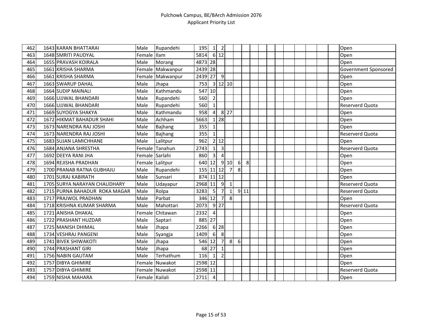| 462 | 1643 KARAN BHATTARAI          | Male           | Rupandehi        | 195       | $1\vert$       | $\overline{2}$    |                |   |      |  |  |  |  | Open                   |
|-----|-------------------------------|----------------|------------------|-----------|----------------|-------------------|----------------|---|------|--|--|--|--|------------------------|
| 463 | 1648 SMRITI PAUDYAL           | Female         | Ilam             | 5814      |                | 6 12              |                |   |      |  |  |  |  | Open                   |
| 464 | 1655 PRAVASH KOIRALA          | Male           | Morang           | 4873 28   |                |                   |                |   |      |  |  |  |  | Open                   |
| 465 | 1661 KRISHA SHARMA            | Female         | Makwanpur        | 2439 28   |                |                   |                |   |      |  |  |  |  | Government Sponsored   |
| 466 | 1661 KRISHA SHARMA            |                | Female Makwanpur | 2439      | 27             | 9                 |                |   |      |  |  |  |  | Open                   |
| 467 | 1663 SWARUP DAHAL             | Male           | Jhapa            | 753       |                |                   | 3 12 10        |   |      |  |  |  |  | Open                   |
| 468 | 1664 SUDIP MAINALI            | Male           | Kathmandu        | 547 10    |                |                   |                |   |      |  |  |  |  | Open                   |
| 469 | 1666 UJJWAL BHANDARI          | Male           | Rupandehi        | 560       | $\overline{2}$ |                   |                |   |      |  |  |  |  | Open                   |
| 470 | 1666 UJJWAL BHANDARI          | Male           | Rupandehi        | 560       | $\mathbf{1}$   |                   |                |   |      |  |  |  |  | <b>Reserverd Quota</b> |
| 471 | 1669 SUYOGYA SHAKYA           | Male           | Kathmandu        | 958       | $\overline{a}$ |                   | $8$   27       |   |      |  |  |  |  | Open                   |
| 472 | 1672 HIKMAT BAHADUR SHAHI     | Male           | Achham           | 5663      |                | $1 \overline{28}$ |                |   |      |  |  |  |  | Open                   |
| 473 | 1673 NARENDRA RAJ JOSHI       | Male           | Bajhang          | 355       | $\mathbf{1}$   |                   |                |   |      |  |  |  |  | Open                   |
| 474 | 1673 NARENDRA RAJ JOSHI       | Male           | Bajhang          | 355       | $\mathbf{1}$   |                   |                |   |      |  |  |  |  | Reserverd Quota        |
| 475 | 1683 SUJAN LAMICHHANE         | Male           | Lalitpur         | 962       |                | 2 12              |                |   |      |  |  |  |  | Open                   |
| 476 | 1684 ANJANA SHRESTHA          | Female         | Tanahun          | 2743      | $1\vert$       | $\mathbf{3}$      |                |   |      |  |  |  |  | Reserverd Quota        |
| 477 | 1692 DEEYA RANI JHA           | Female Sarlahi |                  | 860       | $\overline{3}$ | $\overline{4}$    |                |   |      |  |  |  |  | Open                   |
| 478 | 1694 REJISHA PRADHAN          |                | Female Lalitpur  | 640       | 12             |                   | 910            | 6 | 8    |  |  |  |  | Open                   |
| 479 | 1700 PRANAB RATNA GUBHAJU     | Male           | Rupandehi        | 155 11 12 |                |                   | $\overline{7}$ | 8 |      |  |  |  |  | Open                   |
| 480 | 1701 SURAJ KABIRATH           | Male           | Sunsari          | 874 11 12 |                |                   |                |   |      |  |  |  |  | Open                   |
| 481 | 1705 SURYA NARAYAN CHAUDHARY  | Male           | Udayapur         | 2968 11   |                | 9                 | $\mathbf{1}$   |   |      |  |  |  |  | <b>Reserverd Quota</b> |
| 482 | 1715 PURNA BAHADUR ROKA MAGAR | Male           | Rolpa            | 3283      | 5              | $\overline{7}$    | $\mathbf{1}$   |   | 9 11 |  |  |  |  | Reserverd Quota        |
| 483 | 1717 PRAJWOL PRADHAN          | Male           | Parbat           | 346 12    |                | $\overline{7}$    | 8 <sup>1</sup> |   |      |  |  |  |  | Open                   |
| 484 | 1718 KRISHNA KUMAR SHARMA     | Male           | Mahottari        | 2073      |                | $9$   27          |                |   |      |  |  |  |  | Reserverd Quota        |
| 485 | 1721 ANISHA DHAKAL            | Female         | Chitawan         | 2332      | 4              |                   |                |   |      |  |  |  |  | Open                   |
| 486 | 1722 PRASHANT HUZDAR          | Male           | Saptari          | 885       | 27             |                   |                |   |      |  |  |  |  | Open                   |
| 487 | 1725 MANISH DHIMAL            | Male           | Jhapa            | 2266      |                | 6 28              |                |   |      |  |  |  |  | Open                   |
| 488 | 1734 VESHRAJ PANGENI          | Male           | Syangja          | 1409      | 6              | 8                 |                |   |      |  |  |  |  | Open                   |
| 489 | 1741 BIVEK SHIWAKOTI          | Male           | Jhapa            | 546       | 12             | $\overline{7}$    | 8 <sup>l</sup> | 6 |      |  |  |  |  | Open                   |
| 490 | 1744 PRASHANT GIRI            | Male           | Jhapa            | 68        | 27             | $\mathbf{1}$      |                |   |      |  |  |  |  | Open                   |
| 491 | 1756 NABIN GAUTAM             | Male           | Terhathum        | 116       | $\mathbf{1}$   | $\overline{2}$    |                |   |      |  |  |  |  | Open                   |
| 492 | 1757 DIBYA GHIMIRE            |                | Female Nuwakot   | 2598 12   |                |                   |                |   |      |  |  |  |  | Open                   |
| 493 | 1757 DIBYA GHIMIRE            |                | Female Nuwakot   | 2598 11   |                |                   |                |   |      |  |  |  |  | Reserverd Quota        |
| 494 | 1759 NISHA MAHARA             | Female Kailali |                  | 2711      | $\overline{4}$ |                   |                |   |      |  |  |  |  | Open                   |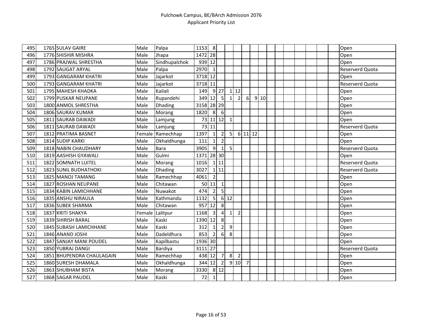| 495 | 1765 SULAV GAIRE          | Male   | Palpa          | 1153       | 8                       |                |                |                |                |    |      |  |  |  | Open                   |
|-----|---------------------------|--------|----------------|------------|-------------------------|----------------|----------------|----------------|----------------|----|------|--|--|--|------------------------|
| 496 | 1776 SHISHIR MISHRA       | Male   | Jhapa          | 1472 28    |                         |                |                |                |                |    |      |  |  |  | Open                   |
| 497 | 1786 PRAJWAL SHRESTHA     | Male   | Sindhupalchok  | 939 12     |                         |                |                |                |                |    |      |  |  |  | Open                   |
| 498 | 1792 SAUGAT ARYAL         | Male   | Palpa          | 2970       | 1                       |                |                |                |                |    |      |  |  |  | Reserverd Quota        |
| 499 | 1793 GANGARAM KHATRI      | Male   | Jajarkot       | 3718 12    |                         |                |                |                |                |    |      |  |  |  | Open                   |
| 500 | 1793 GANGARAM KHATRI      | Male   | Jajarkot       | 3718 11    |                         |                |                |                |                |    |      |  |  |  | Reserverd Quota        |
| 501 | 1795 MAHESH KHADKA        | Male   | Kailali        | 149        |                         | $9$ 27         |                | 112            |                |    |      |  |  |  | Open                   |
| 502 | 1799 PUSKAR NEUPANE       | Male   | Rupandehi      | 349 12     |                         | $5 \vert$      | $\mathbf{1}$   | $\overline{2}$ | $6 \mid$       |    | 9 10 |  |  |  | Open                   |
| 503 | 1800 ANMOL SHRESTHA       | Male   | <b>Dhading</b> | 3158 28 29 |                         |                |                |                |                |    |      |  |  |  | Open                   |
| 504 | 1806 SAURAV KUMAR         | Male   | Morang         | 1820       | 8                       | 6              |                |                |                |    |      |  |  |  | Open                   |
| 505 | 1811 SAURAB DAWADI        | Male   | Lamjung        |            | 73 11 12                |                | $\mathbf{1}$   |                |                |    |      |  |  |  | Open                   |
| 506 | 1811 SAURAB DAWADI        | Male   | Lamjung        |            | 73 11                   |                |                |                |                |    |      |  |  |  | <b>Reserverd Quota</b> |
| 507 | 1812 PRATIMA BASNET       | Female | Ramechhap      | 1397       | $1\vert$                | $\overline{2}$ | 5 <sup>1</sup> |                | 6 11           | 12 |      |  |  |  | Open                   |
| 508 | 1814 SUDIP KARKI          | Male   | Okhaldhunga    | 111        | 1 <sup>1</sup>          | $\overline{2}$ |                |                |                |    |      |  |  |  | Open                   |
| 509 | 1818 NABIN CHAUDHARY      | Male   | Bara           | 3905       | 9                       | $\mathbf{1}$   | 5              |                |                |    |      |  |  |  | Reserverd Quota        |
| 510 | 1819 AASHISH GYAWALI      | Male   | Gulmi          | 1371 28 30 |                         |                |                |                |                |    |      |  |  |  | Open                   |
| 511 | 1822 SOMNATH LUITEL       | Male   | Morang         | 1016       |                         | 111            |                |                |                |    |      |  |  |  | Reserverd Quota        |
| 512 | 1823 SUNIL BUDHATHOKI     | Male   | Dhading        | 3027       |                         | 1 11           |                |                |                |    |      |  |  |  | <b>Reserverd Quota</b> |
| 513 | 1825 MANOJ TAMANG         | Male   | Ramechhap      | 4061       | $\overline{2}$          |                |                |                |                |    |      |  |  |  | Open                   |
| 514 | 1827 ROSHAN NEUPANE       | Male   | Chitawan       | 50         | 11                      | $\mathbf 1$    |                |                |                |    |      |  |  |  | Open                   |
| 515 | 1834 KABIN LAMICHHANE     | Male   | Nuwakot        | 474        | $\overline{2}$          | 5              |                |                |                |    |      |  |  |  | Open                   |
| 516 | 1835 ANSHU NIRAULA        | Male   | Kathmandu      | 1132       | 5                       |                | 6 12           |                |                |    |      |  |  |  | Open                   |
| 517 | 1836 SUBEK SHARMA         | Male   | Chitawan       | 957        | 12                      | 8              |                |                |                |    |      |  |  |  | Open                   |
| 518 | 1837 KRITI SHAKYA         | Female | Lalitpur       | 1168       | $\overline{\mathbf{3}}$ | $\vert$        | $\mathbf{1}$   | $\overline{2}$ |                |    |      |  |  |  | Open                   |
| 519 | 1839 SHIRISH BARAL        | Male   | Kaski          | 1390       | 12                      | 8              |                |                |                |    |      |  |  |  | Open                   |
| 520 | 1845 SUBASH LAMICHHANE    | Male   | Kaski          | 312        | $\mathbf{1}$            | $\overline{2}$ | 9              |                |                |    |      |  |  |  | Open                   |
| 521 | 1846 ANAND JOSHI          | Male   | Dadeldhura     | 853        | $\overline{2}$          | $6 \mid$       | 8              |                |                |    |      |  |  |  | Open                   |
| 522 | 1847 SANJAY MANI POUDEL   | Male   | Kapilbastu     | 1936 30    |                         |                |                |                |                |    |      |  |  |  | Open                   |
| 523 | 1850 YUBRAJ DANGI         | Male   | <b>Bardiya</b> | 3111       | 27                      |                |                |                |                |    |      |  |  |  | Reserverd Quota        |
| 524 | 1851 BHUPENDRA CHAULAGAIN | Male   | Ramechhap      | 438 12     |                         | 7              | 8 <sup>l</sup> | $\overline{2}$ |                |    |      |  |  |  | Open                   |
| 525 | 1860 SURESH DHAMALA       | Male   | Okhaldhunga    | 344        | 12                      | $\overline{2}$ |                | 9 10           | $\overline{7}$ |    |      |  |  |  | Open                   |
| 526 | 1863 SHUBHAM BISTA        | Male   | Morang         | 3330       |                         | 8 12           |                |                |                |    |      |  |  |  | Open                   |
| 527 | 1868 SAGAR PAUDEL         | Male   | Kaski          | 72         | $\mathbf{1}$            |                |                |                |                |    |      |  |  |  | Open                   |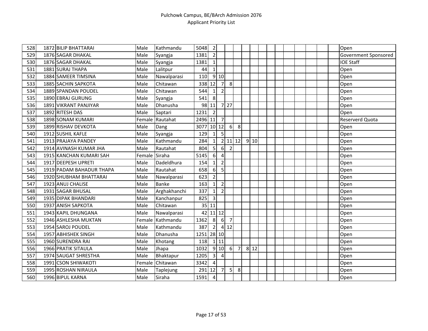| 528 | 1872 BILIP BHATTARAI     | Male   | Kathmandu    | 5048 | $\mathbf 2$    |                |                |                |      |  |  |  |  | Open                 |
|-----|--------------------------|--------|--------------|------|----------------|----------------|----------------|----------------|------|--|--|--|--|----------------------|
| 529 | 1876 SAGAR DHAKAL        | Male   | Syangja      | 1381 | $\overline{2}$ |                |                |                |      |  |  |  |  | Government Sponsored |
| 530 | 1876 SAGAR DHAKAL        | Male   | Syangja      | 1381 | $1\vert$       |                |                |                |      |  |  |  |  | <b>IOE Staff</b>     |
| 531 | 1881 SURAJ THAPA         | Male   | Lalitpur     | 44   | $\mathbf{1}$   |                |                |                |      |  |  |  |  | Open                 |
| 532 | 1884 SAMEER TIMSINA      | Male   | Nawalparasi  | 110  |                | 910            |                |                |      |  |  |  |  | Open                 |
| 533 | 1885 SACHIN SAPKOTA      | Male   | Chitawan     | 338  | 12             | $\overline{7}$ | 8              |                |      |  |  |  |  | Open                 |
| 534 | 1889 SPANDAN POUDEL      | Male   | Chitawan     | 544  | $1\vert$       | $\mathbf 2$    |                |                |      |  |  |  |  | Open                 |
| 535 | 1890 EBRAJ GURUNG        | Male   | Syangja      | 541  | 8              |                |                |                |      |  |  |  |  | Open                 |
| 536 | 1891 VIKRANT PANJIYAR    | Male   | Dhanusha     | 98   | 11             | $\overline{7}$ | 27             |                |      |  |  |  |  | Open                 |
| 537 | 1892 RITESH DAS          | Male   | Saptari      | 1231 | $\overline{2}$ |                |                |                |      |  |  |  |  | Open                 |
| 538 | 1898 SONAM KUMARI        | Female | Rautahat     | 2496 | 11             | $\overline{7}$ |                |                |      |  |  |  |  | Reserverd Quota      |
| 539 | 1899 RISHAV DEVKOTA      | Male   | Dang         | 3077 |                | $10$   12      | $6 \mid$       | 8              |      |  |  |  |  | Open                 |
| 540 | 1912 SUSHIL KAFLE        | Male   | Syangja      | 129  | $1\vert$       | 5              |                |                |      |  |  |  |  | Open                 |
| 541 | 1913 PRAJAYA PANDEY      | Male   | Kathmandu    | 284  | 1 <sup>1</sup> |                | 2 11 12        |                | 910  |  |  |  |  | Open                 |
| 542 | 1914 AVINASH KUMAR JHA   | Male   | Rautahat     | 804  | 5 <sup>1</sup> | 6              | $\overline{2}$ |                |      |  |  |  |  | Open                 |
| 543 | 1915 KANCHAN KUMARI SAH  | Female | Siraha       | 5145 | 6              | 4              |                |                |      |  |  |  |  | Open                 |
| 544 | 1917 DEEPESH UPRETI      | Male   | Dadeldhura   | 154  | $\mathbf{1}$   | $\mathbf 2$    |                |                |      |  |  |  |  | Open                 |
| 545 | 1919 PADAM BAHADUR THAPA | Male   | Rautahat     | 658  | $6 \mid$       | 5              |                |                |      |  |  |  |  | Open                 |
| 546 | 1920 SHUBHAM BHATTARAI   | Male   | Nawalparasi  | 623  | $\overline{2}$ |                |                |                |      |  |  |  |  | Open                 |
| 547 | 1923 ANUJ CHALISE        | Male   | Banke        | 163  | $\mathbf{1}$   | $\overline{2}$ |                |                |      |  |  |  |  | Open                 |
| 548 | 1931 SAGAR BHUSAL        | Male   | Arghakhanchi | 337  | $\mathbf{1}$   | $\overline{2}$ |                |                |      |  |  |  |  | Open                 |
| 549 | 1935 DIPAK BHANDARI      | Male   | Kanchanpur   | 825  | $\overline{3}$ |                |                |                |      |  |  |  |  | Open                 |
| 550 | 1937 ANISH SAPKOTA       | Male   | Chitawan     | 35   | 11             |                |                |                |      |  |  |  |  | Open                 |
| 551 | 1943 KAPIL DHUNGANA      | Male   | Nawalparasi  | 42   |                | $11$ 12        |                |                |      |  |  |  |  | Open                 |
| 552 | 1946 ASHLESHA MUKTAN     | Female | Kathmandu    | 1362 | 8 <sup>1</sup> | $6 \mid$       | $\overline{7}$ |                |      |  |  |  |  | Open                 |
| 553 | 1954 SAROJ POUDEL        | Male   | Kathmandu    | 387  | 2 <sub>l</sub> |                | 412            |                |      |  |  |  |  | Open                 |
| 554 | 1957 ABHISHEK SINGH      | Male   | Dhanusha     | 1251 |                | 28 10          |                |                |      |  |  |  |  | Open                 |
| 555 | 1960 SURENDRA RAI        | Male   | Khotang      | 118  |                | $1$ 11         |                |                |      |  |  |  |  | Open                 |
| 556 | 1966 PRATIK SITAULA      | Male   | Jhapa        | 1032 |                | 9 10           | 6              | $\overline{7}$ | 8 12 |  |  |  |  | Open                 |
| 557 | 1974 SAUGAT SHRESTHA     | Male   | Bhaktapur    | 1205 | $\overline{3}$ | $\overline{4}$ |                |                |      |  |  |  |  | Open                 |
| 558 | 1991 CSON SHIWAKOTI      | Female | Chitawan     | 3342 | $\overline{4}$ |                |                |                |      |  |  |  |  | Open                 |
| 559 | 1995 ROSHAN NIRAULA      | Male   | Taplejung    | 291  | 12             | $\overline{7}$ | 5              | 8              |      |  |  |  |  | Open                 |
| 560 | 1996 BIPUL KARNA         | Male   | Siraha       | 1591 | $\overline{4}$ |                |                |                |      |  |  |  |  | Open                 |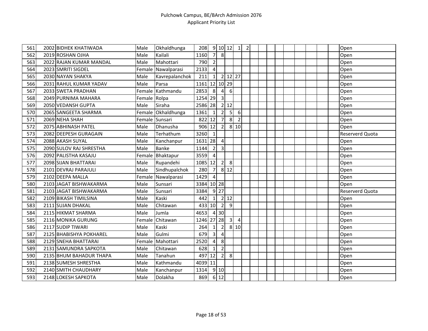| 561 | 2002 BIDHEK KHATIWADA   | Male         | Okhaldhunga      | 208     |                 |                | 9 10 12        | $\mathbf{1}$   | $\sqrt{2}$ |  |  |  |  | Open                   |
|-----|-------------------------|--------------|------------------|---------|-----------------|----------------|----------------|----------------|------------|--|--|--|--|------------------------|
| 562 | 2019 ROSHAN OJHA        | Male         | Kailali          | 1160    | 7               | 8              |                |                |            |  |  |  |  | Open                   |
| 563 | 2022 RAJAN KUMAR MANDAL | Male         | Mahottari        | 790     | $\overline{2}$  |                |                |                |            |  |  |  |  | Open                   |
| 564 | 2023 SMRITI SIGDEL      | Female       | Nawalparasi      | 2133    | 4               |                |                |                |            |  |  |  |  | Open                   |
| 565 | 2030 NAYAN SHAKYA       | Male         | Kavrepalanchok   | 211     | 1 <sup>1</sup>  |                | 2 12 27        |                |            |  |  |  |  | Open                   |
| 566 | 2031 RAHUL KUMAR YADAV  | Male         | Parsa            | 1161    |                 |                | 12 10 29       |                |            |  |  |  |  | Open                   |
| 567 | 2033 SWETA PRADHAN      |              | Female Kathmandu | 2853    | 8 <sup>1</sup>  | $\overline{4}$ | 6              |                |            |  |  |  |  | Open                   |
| 568 | 2049 PURNIMA MAHARA     | Female Rolpa |                  | 1254 29 |                 | 3              |                |                |            |  |  |  |  | Open                   |
| 569 | 2050 VEDANSH GUPTA      | Male         | Siraha           | 2586 28 |                 |                | 2 12           |                |            |  |  |  |  | Open                   |
| 570 | 2065 SANGEETA SHARMA    | Female       | Okhaldhunga      | 1361    | $1\vert$        | $\overline{2}$ | 5              | 6              |            |  |  |  |  | Open                   |
| 571 | 2069 NEHA SHAH          |              | Female Sunsari   | 822     | 12              | $\overline{7}$ | 8 <sup>1</sup> | $\overline{2}$ |            |  |  |  |  | Open                   |
| 572 | 2075 ABHINASH PATEL     | Male         | Dhanusha         | 906     | 12              | $\overline{2}$ |                | 8 10           |            |  |  |  |  | Open                   |
| 573 | 2082 DEEPESH GURAGAIN   | Male         | Terhathum        | 3260    | $1\vert$        |                |                |                |            |  |  |  |  | Reserverd Quota        |
| 574 | 2088 AKASH SUYAL        | Male         | Kanchanpur       | 1631 28 |                 | 4              |                |                |            |  |  |  |  | Open                   |
| 575 | 2090 SULOV RAJ SHRESTHA | Male         | <b>Banke</b>     | 1144    | $\overline{2}$  | $\overline{3}$ |                |                |            |  |  |  |  | Open                   |
| 576 | 2092 PALISTHA KASAJU    | Female       | Bhaktapur        | 3559    | $\sqrt{4}$      |                |                |                |            |  |  |  |  | Open                   |
| 577 | 2098 SIJAN BHATTARAI    | Male         | Rupandehi        | 1085    | 12              | $\overline{2}$ | 8              |                |            |  |  |  |  | Open                   |
| 578 | 2101 DEVRAJ PARAJULI    | Male         | Sindhupalchok    | 280     | $\overline{7}$  |                | 8 1 2          |                |            |  |  |  |  | Open                   |
| 579 | 2102 DEEPA MALLA        | Female       | Nawalparasi      | 1429    | $\overline{4}$  |                |                |                |            |  |  |  |  | Open                   |
| 580 | 2103 JAGAT BISHWAKARMA  | Male         | Sunsari          | 3384    |                 | $10$   28      |                |                |            |  |  |  |  | Open                   |
| 581 | 2103 JAGAT BISHWAKARMA  | Male         | Sunsari          | 3384    |                 | $9$   27       |                |                |            |  |  |  |  | <b>Reserverd Quota</b> |
| 582 | 2109 BIKASH TIMILSINA   | Male         | Kaski            | 442     | $1\vert$        |                | 2 12           |                |            |  |  |  |  | Open                   |
| 583 | 2111 SUJAN DHAKAL       | Male         | Chitawan         | 433     | 10              | $\overline{2}$ | 9              |                |            |  |  |  |  | Open                   |
| 584 | 2115 HIKMAT SHARMA      | Male         | Jumla            | 4653    |                 | 4 30           |                |                |            |  |  |  |  | Open                   |
| 585 | 2116 MONIKA GURUNG      | Female       | Chitawan         | 1246    | 27 <sup>1</sup> | 28             | $\overline{3}$ | $\overline{4}$ |            |  |  |  |  | Open                   |
| 586 | 2117 SUDIP TIWARI       | Male         | Kaski            | 264     | $\overline{1}$  | $\overline{2}$ |                | 8 10           |            |  |  |  |  | Open                   |
| 587 | 2125 BHABISHYA POKHAREL | Male         | Gulmi            | 679     | $\overline{3}$  | 4              |                |                |            |  |  |  |  | Open                   |
| 588 | 2129 SNEHA BHATTARAI    | Female       | Mahottari        | 2520    | $\vert$         | 8              |                |                |            |  |  |  |  | Open                   |
| 589 | 2131 SAMUNDRA SAPKOTA   | Male         | Chitawan         | 628     | $1\vert$        | $\overline{2}$ |                |                |            |  |  |  |  | Open                   |
| 590 | 2135 BHUM BAHADUR THAPA | Male         | Tanahun          | 497     | 12              | $\overline{2}$ | 8              |                |            |  |  |  |  | Open                   |
| 591 | 2138 SUMESH SHRESTHA    | Male         | Kathmandu        | 4039    | 11              |                |                |                |            |  |  |  |  | Open                   |
| 592 | 2140 SMITH CHAUDHARY    | Male         | Kanchanpur       | 1314    |                 | $9$ 10         |                |                |            |  |  |  |  | Open                   |
| 593 | 2148 LOKESH SAPKOTA     | Male         | Dolakha          | 869     |                 | 6 12           |                |                |            |  |  |  |  | Open                   |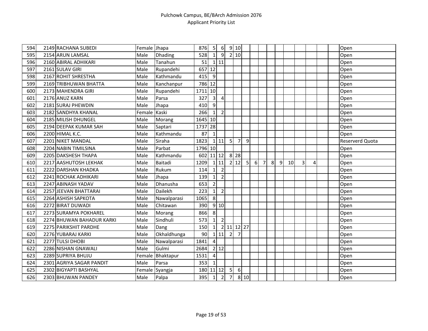| 594 | 2149 RACHANA SUBEDI       | Female Jhapa |                | 876     | 5               | $6 \overline{6}$ |                | 9 10           |                |   |                |   |   |    |   |   |  | Open            |
|-----|---------------------------|--------------|----------------|---------|-----------------|------------------|----------------|----------------|----------------|---|----------------|---|---|----|---|---|--|-----------------|
| 595 | 2154 ARUN LAMSAL          | Male         | <b>Dhading</b> | 528     | $\mathbf{1}$    | $\overline{9}$   |                | 2 10           |                |   |                |   |   |    |   |   |  | Open            |
| 596 | 2160 ABIRAL ADHIKARI      | Male         | Tanahun        | 51      |                 | 111              |                |                |                |   |                |   |   |    |   |   |  | Open            |
| 597 | 2161 SULAV GIRI           | Male         | Rupandehi      | 657     | 12              |                  |                |                |                |   |                |   |   |    |   |   |  | Open            |
| 598 | 2167 ROHIT SHRESTHA       | Male         | Kathmandu      | 415     | 9               |                  |                |                |                |   |                |   |   |    |   |   |  | Open            |
| 599 | 2169 TRIBHUWAN BHATTA     | Male         | Kanchanpur     | 786 12  |                 |                  |                |                |                |   |                |   |   |    |   |   |  | Open            |
| 600 | 2173 MAHENDRA GIRI        | Male         | Rupandehi      | 1711 10 |                 |                  |                |                |                |   |                |   |   |    |   |   |  | Open            |
| 601 | 2176 ANUZ KARN            | Male         | Parsa          | 327     | $\mathbf{3}$    | 4                |                |                |                |   |                |   |   |    |   |   |  | Open            |
| 602 | 2181 SURAJ PHEWDIN        | Male         | Jhapa          | 410     | $\overline{9}$  |                  |                |                |                |   |                |   |   |    |   |   |  | Open            |
| 603 | 2182 SANDHYA KHANAL       | Female       | Kaski          | 266     | $\vert$ 1       | $\overline{2}$   |                |                |                |   |                |   |   |    |   |   |  | Open            |
| 604 | 2185 MILISH DHUNGEL       | Male         | Morang         | 1645 10 |                 |                  |                |                |                |   |                |   |   |    |   |   |  | Open            |
| 605 | 2194 DEEPAK KUMAR SAH     | Male         | Saptari        | 1737    | 28              |                  |                |                |                |   |                |   |   |    |   |   |  | Open            |
| 606 | 2200 HIMAL K.C.           | Male         | Kathmandu      | 87      | $\mathbf{1}$    |                  |                |                |                |   |                |   |   |    |   |   |  | Open            |
| 607 | 2201 NIKET MANDAL         | Male         | Siraha         | 1823    |                 | $1$ 11           | 5 <sub>l</sub> | $\overline{7}$ | $\overline{9}$ |   |                |   |   |    |   |   |  | Reserverd Quota |
| 608 | 2204 NABIN TIMILSINA      | Male         | Parbat         | 1796 10 |                 |                  |                |                |                |   |                |   |   |    |   |   |  | Open            |
| 609 | 2205 DAKSHESH THAPA       | Male         | Kathmandu      | 602     |                 | $11$ 12          | 8              | 28             |                |   |                |   |   |    |   |   |  | Open            |
| 610 | 2217 AASHUTOSH LEKHAK     | Male         | Baitadi        | 1209    |                 | 111              |                | $2$ 12         | 5 <sup>1</sup> | 6 | $\overline{7}$ | 8 | 9 | 10 | 3 | 4 |  | Open            |
| 611 | 2222 DARSHAN KHADKA       | Male         | Rukum          | 114     | $1\overline{ }$ | $\overline{2}$   |                |                |                |   |                |   |   |    |   |   |  | Open            |
| 612 | 2241 ROCHAK ADHIKARI      | Male         | Jhapa          | 139     | $\mathbf{1}$    | $\overline{2}$   |                |                |                |   |                |   |   |    |   |   |  | Open            |
| 613 | 2247 ABINASH YADAV        | Male         | Dhanusha       | 653     | $\overline{2}$  |                  |                |                |                |   |                |   |   |    |   |   |  | Open            |
| 614 | 2257 JEEVAN BHATTARAI     | Male         | Dailekh        | 223     | $\mathbf{1}$    | $\overline{2}$   |                |                |                |   |                |   |   |    |   |   |  | Open            |
| 615 | 2264 ASHISH SAPKOTA       | Male         | Nawalparasi    | 1065    | 8               |                  |                |                |                |   |                |   |   |    |   |   |  | Open            |
| 616 | 2272 BIRAT DUWADI         | Male         | Chitawan       | 390     |                 | 910              |                |                |                |   |                |   |   |    |   |   |  | Open            |
| 617 | 2273 SURAMYA POKHAREL     | Male         | Morang         | 866     | 8               |                  |                |                |                |   |                |   |   |    |   |   |  | Open            |
| 618 | 2274 BHUWAN BAHADUR KARKI | Male         | Sindhuli       | 573     | $\mathbf{1}$    | $\overline{2}$   |                |                |                |   |                |   |   |    |   |   |  | Open            |
| 619 | 2275 PARIKSHIT PARDHE     | Male         | Dang           | 150     | $1\overline{ }$ |                  |                | 2 11 12 27     |                |   |                |   |   |    |   |   |  | Open            |
| 620 | 2276 YUBARAJ KARKI        | Male         | Okhaldhunga    | 90      |                 | 111              | 2              | $\overline{7}$ |                |   |                |   |   |    |   |   |  | Open            |
| 621 | 2277 TULSI DHOBI          | Male         | Nawalparasi    | 1841    | 4               |                  |                |                |                |   |                |   |   |    |   |   |  | Open            |
| 622 | 2286 NISHAN GNAWALI       | Male         | Gulmi          | 2684    |                 | 2 12             |                |                |                |   |                |   |   |    |   |   |  | Open            |
| 623 | 2289 SUPRIYA BHUJU        | Female       | Bhaktapur      | 1531    | $\overline{4}$  |                  |                |                |                |   |                |   |   |    |   |   |  | Open            |
| 624 | 2301 AGRIYA SAGAR PANDIT  | Male         | Parsa          | 353     | $\mathbf{1}$    |                  |                |                |                |   |                |   |   |    |   |   |  | Open            |
| 625 | 2302 BIGYAPTI BASHYAL     |              | Female Syangja | 180     |                 | $11$ 12          | 5 <sub>l</sub> | 6              |                |   |                |   |   |    |   |   |  | Open            |
| 626 | 2303 BHUWAN PANDEY        | Male         | Palpa          | 395     | $\mathbf{1}$    | $\overline{2}$   | 7              |                | 8 10           |   |                |   |   |    |   |   |  | Open            |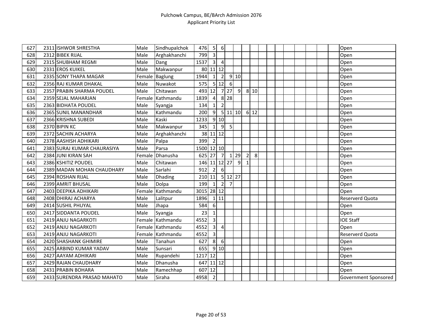| 627 | 2311 ISHWOR SHRESTHA        | Male   | Sindhupalchok    | 476        | 5                       | 6              |                |                |                |      |  |  |  |  | Open                 |
|-----|-----------------------------|--------|------------------|------------|-------------------------|----------------|----------------|----------------|----------------|------|--|--|--|--|----------------------|
| 628 | 2312 BIBEK RIJAL            | Male   | Arghakhanchi     | 799        | $\overline{3}$          |                |                |                |                |      |  |  |  |  | Open                 |
| 629 | 2315 SHUBHAM REGMI          | Male   | Dang             | 1537       | $\overline{\mathbf{3}}$ | $\overline{4}$ |                |                |                |      |  |  |  |  | Open                 |
| 630 | 2331 EROS KUIKEL            | Male   | Makwanpur        | 80         |                         | $11$   12      |                |                |                |      |  |  |  |  | Open                 |
| 631 | 2335 SONY THAPA MAGAR       | Female | <b>Baglung</b>   | 1944       | $1\vert$                | $\overline{2}$ |                | 910            |                |      |  |  |  |  | Open                 |
| 632 | 2356 RAJ KUMAR DHAKAL       | Male   | Nuwakot          | 575        |                         | 5 12           | $6 \mid$       |                |                |      |  |  |  |  | Open                 |
| 633 | 2357 PRABIN SHARMA POUDEL   | Male   | Chitawan         | 493 12     |                         |                | $7$   27       | $\overline{9}$ |                | 8 10 |  |  |  |  | Open                 |
| 634 | 2359 SEJAL MAHARJAN         | Female | Kathmandu        | 1839       | 4                       | 8 <sup>1</sup> | 28             |                |                |      |  |  |  |  | Open                 |
| 635 | 2363 BIDHATA POUDEL         | Male   | Syangja          | 134        | $1\overline{ }$         | $\overline{2}$ |                |                |                |      |  |  |  |  | Open                 |
| 636 | 2365 SUNIL MANANDHAR        | Male   | Kathmandu        | 200        | 9                       |                | $5 \ 11 \ 10$  |                |                | 6 12 |  |  |  |  | Open                 |
| 637 | 2366 KRISHNA SUBEDI         | Male   | Kaski            | 1233       |                         | 910            |                |                |                |      |  |  |  |  | Open                 |
| 638 | 2370 BIPIN KC               | Male   | Makwanpur        | 345        | $\mathbf{1}$            | 9              | 5 <sub>l</sub> |                |                |      |  |  |  |  | Open                 |
| 639 | 2372 SACHIN ACHARYA         | Male   | Arghakhanchi     | 38         |                         | $11$ 12        |                |                |                |      |  |  |  |  | Open                 |
| 640 | 2378 AASHISH ADHIKARI       | Male   | Palpa            | 399        | $\overline{2}$          |                |                |                |                |      |  |  |  |  | Open                 |
| 641 | 2383 SURAJ KUMAR CHAURASIYA | Male   | Parsa            | 1500       |                         | $12$ 10        |                |                |                |      |  |  |  |  | Open                 |
| 642 | 2384 JUNI KIRAN SAH         | Female | Dhanusha         | 625        | 27                      | $\overline{7}$ | $\overline{1}$ | 29             | $\overline{2}$ | 8    |  |  |  |  | Open                 |
| 643 | 2386 KSHITIZ POUDEL         | Male   | Chitawan         | 146        |                         | $11 12$        | 27             | 9              | $\mathbf{1}$   |      |  |  |  |  | Open                 |
| 644 | 2389 MADAN MOHAN CHAUDHARY  | Male   | Sarlahi          | 912        | $\overline{2}$          | 6              |                |                |                |      |  |  |  |  | Open                 |
| 645 | 2394 ROSHAN RIJAL           | Male   | Dhading          | 210        | 11                      | 5 <sup>1</sup> |                | 12 27          |                |      |  |  |  |  | Open                 |
| 646 | 2399 AMRIT BHUSAL           | Male   | Dolpa            | 199        | $\mathbf{1}$            | $\overline{2}$ | $\overline{7}$ |                |                |      |  |  |  |  | Open                 |
| 647 | 2403 DEEPIKA ADHIKARI       | Female | Kathmandu        | 3015 28 12 |                         |                |                |                |                |      |  |  |  |  | Open                 |
| 648 | 2408 DHIRAJ ACHARYA         | Male   | Lalitpur         | 1896       |                         | 1 11           |                |                |                |      |  |  |  |  | Reserverd Quota      |
| 649 | 2414 SUSHIL PHUYAL          | Male   | Jhapa            | 584        | 6                       |                |                |                |                |      |  |  |  |  | Open                 |
| 650 | 2417 SIDDANTA POUDEL        | Male   | Syangja          | 23         | $\mathbf{1}$            |                |                |                |                |      |  |  |  |  | Open                 |
| 651 | 2419 ANJU NAGARKOTI         |        | Female Kathmandu | 4552       | $\overline{3}$          |                |                |                |                |      |  |  |  |  | <b>IOE Staff</b>     |
| 652 | 2419 ANJU NAGARKOTI         |        | Female Kathmandu | 4552       | $\overline{3}$          | $\overline{4}$ |                |                |                |      |  |  |  |  | Open                 |
| 653 | 2419 ANJU NAGARKOTI         |        | Female Kathmandu | 4552       | $\overline{3}$          |                |                |                |                |      |  |  |  |  | Reserverd Quota      |
| 654 | 2420 SHASHANK GHIMIRE       | Male   | Tanahun          | 627        | 8                       | 6              |                |                |                |      |  |  |  |  | Open                 |
| 655 | 2425 ARBIND KUMAR YADAV     | Male   | Sunsari          | 655        |                         | 910            |                |                |                |      |  |  |  |  | Open                 |
| 656 | 2427 AAYAM ADHIKARI         | Male   | Rupandehi        | 1217 12    |                         |                |                |                |                |      |  |  |  |  | Open                 |
| 657 | 2429 RAJAN CHAUDHARY        | Male   | Dhanusha         | 647        |                         | $11$ 12        |                |                |                |      |  |  |  |  | Open                 |
| 658 | 2431 PRABIN BOHARA          | Male   | Ramechhap        | 607        | 12                      |                |                |                |                |      |  |  |  |  | Open                 |
| 659 | 2433 SURENDRA PRASAD MAHATO | Male   | Siraha           | 4958       | $\overline{2}$          |                |                |                |                |      |  |  |  |  | Government Sponsored |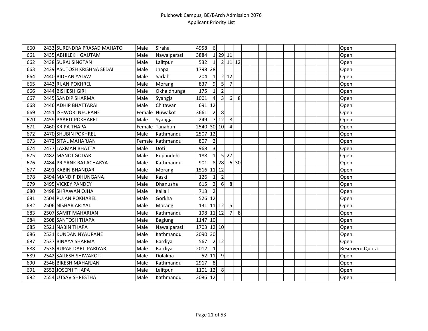| 660 | 2433 SURENDRA PRASAD MAHATO | Male | Siraha           | 4958       | 6              |                         |                |      |  |  |  |  |  | Open            |
|-----|-----------------------------|------|------------------|------------|----------------|-------------------------|----------------|------|--|--|--|--|--|-----------------|
| 661 | 2435 ABHILEKH GAUTAM        | Male | Nawalparasi      | 3884       |                | 1 29 11                 |                |      |  |  |  |  |  | Open            |
| 662 | 2438 SURAJ SINGTAN          | Male | Lalitpur         | 532        | $\mathbf{1}$   |                         | 2 11 12        |      |  |  |  |  |  | Open            |
| 663 | 2439 ASUTOSH KRISHNA SEDAI  | Male | Jhapa            | 1798 28    |                |                         |                |      |  |  |  |  |  | Open            |
| 664 | 2440 BIDHAN YADAV           | Male | Sarlahi          | 204        | $\mathbf{1}$   |                         | $2$ 12         |      |  |  |  |  |  | Open            |
| 665 | 2443 RIJAN POKHREL          | Male | Morang           | 837        | 9              | $\overline{5}$          | $\overline{7}$ |      |  |  |  |  |  | Open            |
| 666 | 2444 BISHESH GIRI           | Male | Okhaldhunga      | 175        | $1\vert$       | $\mathbf 2$             |                |      |  |  |  |  |  | Open            |
| 667 | 2445 SANDIP SHARMA          | Male | Syangja          | 1001       | $\overline{a}$ | $\overline{\mathbf{3}}$ | $6 \mid$       | 8    |  |  |  |  |  | Open            |
| 668 | 2446 ADHIP BHATTARAI        | Male | Chitawan         | 691        | 12             |                         |                |      |  |  |  |  |  | Open            |
| 669 | 2451 ISHWORI NEUPANE        |      | Female Nuwakot   | 3661       | $\overline{2}$ | 8                       |                |      |  |  |  |  |  | Open            |
| 670 | 2459 PAARIT POKHAREL        | Male | Syangja          | 249        |                | 712                     | 8              |      |  |  |  |  |  | Open            |
| 671 | 2460 KRIPA THAPA            |      | Female lTanahun  | 2540 30 10 |                |                         | 4              |      |  |  |  |  |  | Open            |
| 672 | 2470 SHUBIN POKHREL         | Male | Kathmandu        | 2507       | 12             |                         |                |      |  |  |  |  |  | Open            |
| 673 | 2472 SITAL MAHARJAN         |      | Female Kathmandu | 807        | $\overline{2}$ |                         |                |      |  |  |  |  |  | Open            |
| 674 | 2477 LAXMAN BHATTA          | Male | Doti             | 968        | $\overline{3}$ |                         |                |      |  |  |  |  |  | Open            |
| 675 | 2482 MANOJ GODAR            | Male | Rupandehi        | 188        | $\mathbf{1}$   |                         | $5$   27       |      |  |  |  |  |  | Open            |
| 676 | 2484 PRIYANK RAJ ACHARYA    | Male | Kathmandu        | 901        |                | 8 2 8                   |                | 6 30 |  |  |  |  |  | Open            |
| 677 | 2491 KABIN BHANDARI         | Male | Morang           | 1516 11 12 |                |                         |                |      |  |  |  |  |  | Open            |
| 678 | 2494 MANDIP DHUNGANA        | Male | Kaski            | 126        | $\mathbf{1}$   | $\overline{2}$          |                |      |  |  |  |  |  | Open            |
| 679 | 2495 VICKEY PANDEY          | Male | Dhanusha         | 615        | $\overline{2}$ | $6 \mid$                | 8              |      |  |  |  |  |  | Open            |
| 680 | 2498 SHRAWAN OJHA           | Male | Kailali          | 713        | $\overline{2}$ |                         |                |      |  |  |  |  |  | Open            |
| 681 | 2504 PUJAN POKHAREL         | Male | Gorkha           | $526$ 12   |                |                         |                |      |  |  |  |  |  | Open            |
| 682 | 2506 NISHAR ARJYAL          | Male | Morang           | 131 11 12  |                |                         | 5              |      |  |  |  |  |  | Open            |
| 683 | 2507 SAMIT MAHARJAN         | Male | Kathmandu        | 198 11 12  |                |                         | 7              | 8    |  |  |  |  |  | Open            |
| 684 | 2508 SANTOSH THAPA          | Male | Baglung          | 1147 10    |                |                         |                |      |  |  |  |  |  | Open            |
| 685 | 2521 NABIN THAPA            | Male | Nawalparasi      | 1703 12 10 |                |                         |                |      |  |  |  |  |  | Open            |
| 686 | 2531 KUNDAN NYAUPANE        | Male | Kathmandu        | 2090 30    |                |                         |                |      |  |  |  |  |  | Open            |
| 687 | 2537 BINAYA SHARMA          | Male | Bardiya          | 567        |                | $2$ 12                  |                |      |  |  |  |  |  | Open            |
| 688 | 2538 RUPAK DARJI PARIYAR    | Male | Bardiya          | 2012       | $\vert$ 1      |                         |                |      |  |  |  |  |  | Reserverd Quota |
| 689 | 2542 SAILESH SHIWAKOTI      | Male | Dolakha          |            | 52 11          | $\overline{9}$          |                |      |  |  |  |  |  | Open            |
| 690 | 2546 BIKESH MAHARJAN        | Male | Kathmandu        | 2917       | 8              |                         |                |      |  |  |  |  |  | Open            |
| 691 | 2552 JOSEPH THAPA           | Male | Lalitpur         | 1101 12    |                | 8                       |                |      |  |  |  |  |  | Open            |
| 692 | 2554 UTSAV SHRESTHA         | Male | Kathmandu        | 2086 12    |                |                         |                |      |  |  |  |  |  | Open            |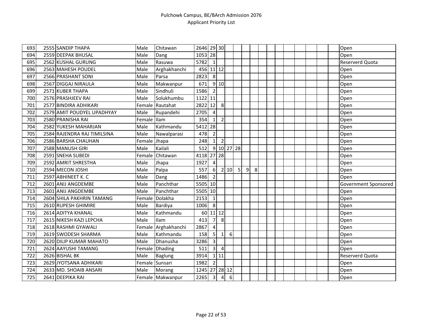| 693 | 2555 SANDIP THAPA           | Male         | Chitawan            | 2646 29 30    |                         |                |            |   |   |   |  |  |  |  | Open                   |
|-----|-----------------------------|--------------|---------------------|---------------|-------------------------|----------------|------------|---|---|---|--|--|--|--|------------------------|
| 694 | 2559 DEEPAK BHUSAL          | Male         | Dang                | 1053 28       |                         |                |            |   |   |   |  |  |  |  | Open                   |
| 695 | 2562 KUSHAL GURUNG          | Male         | Rasuwa              | 5782          | $\vert$ 1               |                |            |   |   |   |  |  |  |  | <b>Reserverd Quota</b> |
| 696 | 2563 MAHESH POUDEL          | Male         | Arghakhanchi        | 456 11 12     |                         |                |            |   |   |   |  |  |  |  | Open                   |
| 697 | 2566 PRASHANT SONI          | Male         | Parsa               | 2823          | 8                       |                |            |   |   |   |  |  |  |  | Open                   |
| 698 | 2567 DIGGAJ NIRAULA         | Male         | Makwanpur           | 671           |                         | 910            |            |   |   |   |  |  |  |  | Open                   |
| 699 | 2571 KUBER THAPA            | Male         | Sindhuli            | 1586          | $\overline{2}$          |                |            |   |   |   |  |  |  |  | Open                   |
| 700 | 2576 PRASHJEEV RAI          | Male         | Solukhumbu          | 1122 11       |                         |                |            |   |   |   |  |  |  |  | Open                   |
| 701 | 2577 BINDIRA ADHIKARI       |              | Female Rautahat     | 2822          | 12                      | 8              |            |   |   |   |  |  |  |  | Open                   |
| 702 | 2579 AMIT POUDYEL UPADHYAY  | Male         | Rupandehi           | 2705          | $\overline{4}$          |                |            |   |   |   |  |  |  |  | Open                   |
| 703 | 2580 PRANISHA RAI           | Female Ilam  |                     | 354           | $\mathbf{1}$            | $\mathbf 2$    |            |   |   |   |  |  |  |  | Open                   |
| 704 | 2582 YUKESH MAHARJAN        | Male         | Kathmandu           | 5412          | 28                      |                |            |   |   |   |  |  |  |  | Open                   |
| 705 | 2584 RAJENDRA RAJ TIMILSINA | Male         | Nawalparasi         | 478           | $\overline{2}$          |                |            |   |   |   |  |  |  |  | Open                   |
| 706 | 2586 BARSHA CHAUHAN         | Female Jhapa |                     | 248           | 1 <sup>1</sup>          | $\overline{2}$ |            |   |   |   |  |  |  |  | Open                   |
| 707 | 2588 MANUSH GIRI            | Male         | Kailali             | 512           |                         |                | 9 10 27 28 |   |   |   |  |  |  |  | Open                   |
| 708 | 2591 SNEHA SUBEDI           | Female       | Chitawan            | 4118          |                         | 27 28          |            |   |   |   |  |  |  |  | Open                   |
| 709 | 2592 AMRIT SHRESTHA         | Male         | Jhapa               | 1927          | $\overline{4}$          |                |            |   |   |   |  |  |  |  | Open                   |
| 710 | 2594 MECON JOSHI            | Male         | Palpa               | 557           | $6 \overline{6}$        |                | 2 10       | 5 | 9 | 8 |  |  |  |  | Open                   |
| 711 | 2597 ABHINEET K. C          | Male         | Dang                | 1486          | $\overline{2}$          |                |            |   |   |   |  |  |  |  | Open                   |
| 712 | 2601 ANIJ ANGDEMBE          | Male         | Panchthar           | 5505 10       |                         |                |            |   |   |   |  |  |  |  | Government Sponsored   |
| 713 | 2601 ANIJ ANGDEMBE          | Male         | Panchthar           | 5505 10       |                         |                |            |   |   |   |  |  |  |  | Open                   |
| 714 | 2604 SHILA PAKHRIN TAMANG   |              | Female Dolakha      | 2153          | $\mathbf{1}$            |                |            |   |   |   |  |  |  |  | Open                   |
| 715 | 2610 RUPESH GHIMIRE         | Male         | Bardiya             | 1006          | 8                       |                |            |   |   |   |  |  |  |  | Open                   |
| 716 | 2614 ADITYA KHANAL          | Male         | Kathmandu           |               | 60 11 12                |                |            |   |   |   |  |  |  |  | Open                   |
| 717 | 2615 NIKESH KAZI LEPCHA     | Male         | Ilam                | 413           | $\overline{7}$          | 8              |            |   |   |   |  |  |  |  | Open                   |
| 718 | 2618 RASHMI GYAWALI         |              | Female Arghakhanchi | 2867          | 4                       |                |            |   |   |   |  |  |  |  | Open                   |
| 719 | 2619 SWODESH SHARMA         | Male         | Kathmandu           | 158           | 5                       | $\mathbf{1}$   | 6          |   |   |   |  |  |  |  | Open                   |
| 720 | 2620 DILIP KUMAR MAHATO     | Male         | Dhanusha            | 3286          | $\overline{3}$          |                |            |   |   |   |  |  |  |  | Open                   |
| 721 | 2624 AAYUSHI TAMANG         |              | Female Dhading      | 511           | $\overline{3}$          | $\overline{4}$ |            |   |   |   |  |  |  |  | Open                   |
| 722 | 2626 BISHAL BK              | Male         | <b>Baglung</b>      | 3914          |                         | 1 11           |            |   |   |   |  |  |  |  | Reserverd Quota        |
| 723 | 2629 JYOTSANA ADHIKARI      |              | Female Sunsari      | 1982          | $\overline{2}$          |                |            |   |   |   |  |  |  |  | Open                   |
| 724 | 2633 MD. SHOAIB ANSARI      | Male         | Morang              | 1245 27 28 12 |                         |                |            |   |   |   |  |  |  |  | Open                   |
| 725 | 2641 DEEPIKA RAI            |              | Female Makwanpur    | 2265          | $\overline{\mathbf{3}}$ | $\overline{a}$ | 6          |   |   |   |  |  |  |  | Open                   |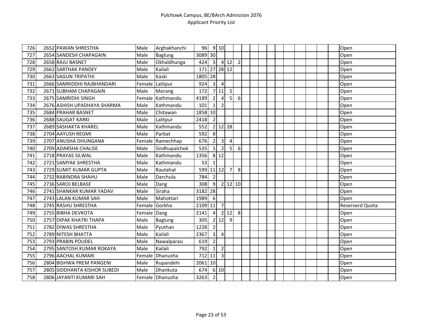| 726 | 2652 PAWAN SHRESTHA          | Male   | Arghakhanchi     | 96        |                | 9 10                    |                |                  |  |  |  |  |  | Open            |
|-----|------------------------------|--------|------------------|-----------|----------------|-------------------------|----------------|------------------|--|--|--|--|--|-----------------|
| 727 | 2654 SANDESH CHAPAGAIN       | Male   | Baglung          | 3089 30   |                |                         |                |                  |  |  |  |  |  | Open            |
| 728 | 2658 RAJU BASNET             | Male   | Okhaldhunga      | 424       | $\overline{3}$ |                         | 4 12           | $\overline{2}$   |  |  |  |  |  | Open            |
| 729 | 2662 SARTHAK PANDEY          | Male   | Kailali          | 171       |                |                         | 27 28 12       |                  |  |  |  |  |  | Open            |
| 730 | 2663 SAGUN TRIPATHI          | Male   | Kaski            | 1805 28   |                |                         |                |                  |  |  |  |  |  | Open            |
| 731 | 2666 SAMRIDDHI RAJBHANDARI   | Female | Lalitpur         | 924       | $\overline{3}$ | $\overline{4}$          |                |                  |  |  |  |  |  | Open            |
| 732 | 2671 SUBHAM CHAPAGAIN        | Male   | Morang           | 172       |                | 7 11                    | 5              |                  |  |  |  |  |  | Open            |
| 733 | 2675 SAMRIDHI SINGH          |        | Female Kathmandu | 4189      | $\overline{2}$ | 4                       | 5 <sup>1</sup> | $\boldsymbol{6}$ |  |  |  |  |  | Open            |
| 734 | 2676 ASHISH UPADHAYA SHARMA  | Male   | Kathmandu        | 101       | 1 <sup>1</sup> | $\overline{2}$          |                |                  |  |  |  |  |  | Open            |
| 735 | 2684 PRAHAR BASNET           | Male   | Chitawan         | 1858 10   |                |                         |                |                  |  |  |  |  |  | Open            |
| 736 | 2688 SAUGAT KARKI            | Male   | Lalitpur         | 2418      | $\overline{2}$ |                         |                |                  |  |  |  |  |  | Open            |
| 737 | 2689 SASHAKTA KHAREL         | Male   | Kathmandu        | 552       |                |                         | 2 12 28        |                  |  |  |  |  |  | Open            |
| 738 | 2704 AAYUSH REGMI            | Male   | Parbat           | 592       | 8              |                         |                |                  |  |  |  |  |  | Open            |
| 739 | 2707 ANUSHA DHUNGANA         |        | Female Ramechhap | 676       | 2 <sup>1</sup> | $\overline{\mathbf{3}}$ | $\overline{4}$ |                  |  |  |  |  |  | Open            |
| 740 | 2709 ADARSHA CHALISE         | Male   | Sindhupalchok    | 535       | $\mathbf{1}$   | $\overline{2}$          | 5 <sub>l</sub> | 6                |  |  |  |  |  | Open            |
| 741 | 2718 PRAYAS SILWAL           | Male   | Kathmandu        | 1356      |                | 8 1 2                   |                |                  |  |  |  |  |  | Open            |
| 742 | 2721 SAMYAK SHRESTHA         | Male   | Kathmandu        | 53        |                |                         |                |                  |  |  |  |  |  | Open            |
| 743 | 2729 SUMIT KUMAR GUPTA       | Male   | Rautahat         | 599 11 12 |                |                         | $\overline{7}$ | 8                |  |  |  |  |  | Open            |
| 744 | 2732 RABINDRA SHAHU          | Male   | Darchula         | 784       | $\overline{2}$ |                         |                |                  |  |  |  |  |  | Open            |
| 745 | 2736 SAROJ BELBASE           | Male   | Dang             | 308       | 9              |                         | $2$ 12 10      |                  |  |  |  |  |  | Open            |
| 746 | 2741 SHANKAR KUMAR YADAV     | Male   | Siraha           | 3182      | 28             |                         |                |                  |  |  |  |  |  | Open            |
| 747 | 2743 LALAN KUMAR SAH         | Male   | Mahottari        | 1989      | 6              |                         |                |                  |  |  |  |  |  | Open            |
| 748 | 2745 RASHU SHRESTHA          | Female | Gorkha           | 2109      | 11             | $\overline{7}$          |                |                  |  |  |  |  |  | Reserverd Quota |
| 749 | 2755 BIBHA DEVKOTA           | Female | Dang             | 2141      | $\overline{4}$ | $\overline{2}$          | 12             | 8                |  |  |  |  |  | Open            |
| 750 | 2757 DIPAK KHATRI THAPA      | Male   | Baglung          | 305       |                | $2$   12                | 9              |                  |  |  |  |  |  | Open            |
| 751 | 2782 DIWAS SHRESTHA          | Male   | Pyuthan          | 1228      | $\overline{2}$ |                         |                |                  |  |  |  |  |  | Open            |
| 752 | 2789 NITESH BHATTA           | Male   | Kailali          | 2367      | $\overline{3}$ | 4                       |                |                  |  |  |  |  |  | Open            |
| 753 | 2793 PRABIN POUDEL           | Male   | Nawalparasi      | 619       | $\overline{2}$ |                         |                |                  |  |  |  |  |  | Open            |
| 754 | 2795 SANTOSH KUMAR ROKAYA    | Male   | Kailali          | 792       | $\mathbf{1}$   | $\overline{2}$          |                |                  |  |  |  |  |  | Open            |
| 755 | 2796 AACHAL KUMARI           |        | Female Dhanusha  | 712 11    |                | $\mathbf{3}$            |                |                  |  |  |  |  |  | Open            |
| 756 | 2804 BISHWA PREM PANGENI     | Male   | Rupandehi        | 2061      | 10             |                         |                |                  |  |  |  |  |  | Open            |
| 757 | 2805 SIDDHANTA KISHOR SUBEDI | Male   | Dhankuta         | 674       |                | 6 10                    |                |                  |  |  |  |  |  | Open            |
| 758 | 2806 JAYANTI KUMARI SAH      |        | Female Dhanusha  | 3263      | $\overline{2}$ |                         |                |                  |  |  |  |  |  | Open            |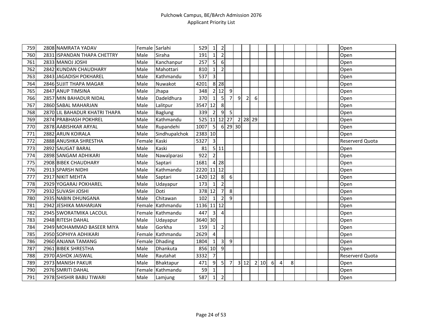| 759 | 2808 NAMRATA YADAV            | Female Sarlahi |                  | 529          | $1\vert$        | $\overline{2}$    |                |   |                |                |    |   |   |   |  |  | Open            |
|-----|-------------------------------|----------------|------------------|--------------|-----------------|-------------------|----------------|---|----------------|----------------|----|---|---|---|--|--|-----------------|
| 760 | 2831 ISPANDAN THAPA CHETTRY   | Male           | Siraha           | 191          | $\mathbf{1}$    | $\overline{2}$    |                |   |                |                |    |   |   |   |  |  | Open            |
| 761 | 2833 MANOJ JOSHI              | Male           | Kanchanpur       | 257          | 5 <sup>1</sup>  | 6                 |                |   |                |                |    |   |   |   |  |  | Open            |
| 762 | 2842 KUNDAN CHAUDHARY         | Male           | Mahottari        | 810          | $\mathbf{1}$    | $\mathbf 2$       |                |   |                |                |    |   |   |   |  |  | Open            |
| 763 | 2843 JAGADISH POKHAREL        | Male           | Kathmandu        | 537          | $\overline{3}$  |                   |                |   |                |                |    |   |   |   |  |  | Open            |
| 764 | 2846 SUJIT THAPA MAGAR        | Male           | Nuwakot          | 4201         |                 | $8$   28          |                |   |                |                |    |   |   |   |  |  | Open            |
| 765 | 2847 ANUP TIMSINA             | Male           | Jhapa            | 348          |                 | 2 12              | 9              |   |                |                |    |   |   |   |  |  | Open            |
| 766 | 2857 MIN BAHADUR NIDAL        | Male           | Dadeldhura       | 370          | $\mathbf{1}$    | 5                 | 7 <sup>1</sup> | 9 | $\overline{2}$ | 6              |    |   |   |   |  |  | Open            |
| 767 | 2860 SABAL MAHARJAN           | Male           | Lalitpur         | 3547         | 12              | 8                 |                |   |                |                |    |   |   |   |  |  | Open            |
| 768 | 2870 LIL BAHADUR KHATRI THAPA | Male           | Baglung          | 339          | $\overline{2}$  | 9                 | 5              |   |                |                |    |   |   |   |  |  | Open            |
| 769 | 2874 PRABHASH POKHREL         | Male           | Kathmandu        | 525 11 12 27 |                 |                   |                |   | 2 28 29        |                |    |   |   |   |  |  | Open            |
| 770 | 2878 AABISHKAR ARYAL          | Male           | Rupandehi        | 1007         | 5               |                   | 6 29 30        |   |                |                |    |   |   |   |  |  | Open            |
| 771 | 2882 ARUN KOIRALA             | Male           | Sindhupalchok    | 2383 10      |                 |                   |                |   |                |                |    |   |   |   |  |  | Open            |
| 772 | 2888 ANUSHKA SHRESTHA         | Female         | Kaski            | 5327         | $\overline{3}$  |                   |                |   |                |                |    |   |   |   |  |  | Reserverd Quota |
| 773 | 2892 SAUGAT BARAL             | Male           | Kaski            | 81           |                 | 5 11              |                |   |                |                |    |   |   |   |  |  | Open            |
| 774 | 2898 SANGAM ADHIKARI          | Male           | Nawalparasi      | 922          | $\overline{2}$  |                   |                |   |                |                |    |   |   |   |  |  | Open            |
| 775 | 2908 BIBEK CHAUDHARY          | Male           | Saptari          | 1681         |                 | $\overline{4}$ 28 |                |   |                |                |    |   |   |   |  |  | Open            |
| 776 | 2913 SPARSH NIDHI             | Male           | Kathmandu        | 2220 11 12   |                 |                   |                |   |                |                |    |   |   |   |  |  | Open            |
| 777 | 2917 NIKIT MEHTA              | Male           | Saptari          | 1420         | 12              | 8                 | 6              |   |                |                |    |   |   |   |  |  | Open            |
| 778 | 2929 YOGARAJ POKHAREL         | Male           | Udayapur         | 173          | $\mathbf{1}$    | $\overline{2}$    |                |   |                |                |    |   |   |   |  |  | Open            |
| 779 | 2932 SUVASH JOSHI             | Male           | Doti             | 378          | 12              | $\overline{7}$    | 8 <sup>1</sup> |   |                |                |    |   |   |   |  |  | Open            |
| 780 | 2935 NABIN DHUNGANA           | Male           | Chitawan         | 102          | $\mathbf{1}$    | $\overline{2}$    | 9              |   |                |                |    |   |   |   |  |  | Open            |
| 781 | 2942 JESHIKA MAHARJAN         | Female         | Kathmandu        | 1136         |                 | $11$ 12           |                |   |                |                |    |   |   |   |  |  | Open            |
| 782 | 2945 SWORATMIKA LACOUL        |                | Female Kathmandu | 447          | 3 <sup>1</sup>  | $\overline{4}$    |                |   |                |                |    |   |   |   |  |  | Open            |
| 783 | 2948 RITESH DAHAL             | Male           | Udayapur         | 3640 30      |                 |                   |                |   |                |                |    |   |   |   |  |  | Open            |
| 784 | 2949 MOHAMMAD BASEER MIYA     | Male           | Gorkha           | 159          | $1\vert$        | $\mathbf 2$       |                |   |                |                |    |   |   |   |  |  | Open            |
| 785 | 2950 SOPHIYA ADHIKARI         |                | Female Kathmandu | 2629         | $\overline{4}$  |                   |                |   |                |                |    |   |   |   |  |  | Open            |
| 786 | 2960 ANJANA TAMANG            |                | Female Dhading   | 1804         | $1\overline{ }$ | 3 <sup>1</sup>    | 9              |   |                |                |    |   |   |   |  |  | Open            |
| 787 | 2961 BIBEK SHRESTHA           | Male           | Dhankuta         | 856          | 10              | $\overline{9}$    |                |   |                |                |    |   |   |   |  |  | Open            |
| 788 | 2970 ASHOK JAISWAL            | Male           | Rautahat         | 3332         | $\overline{7}$  |                   |                |   |                |                |    |   |   |   |  |  | Reserverd Quota |
| 789 | 2973 MANISH PAKUR             | Male           | Bhaktapur        | 471          | 9               | 5 <sub>l</sub>    | $\overline{7}$ |   | 3 12           | $\overline{2}$ | 10 | 6 | Δ | 8 |  |  | Open            |
| 790 | 2976 SMRITI DAHAL             | Female         | Kathmandu        | 59           | $\mathbf{1}$    |                   |                |   |                |                |    |   |   |   |  |  | Open            |
| 791 | 2978 SHISHIR BABU TIWARI      | Male           | Lamjung          | 587          | $1\vert$        | $\overline{2}$    |                |   |                |                |    |   |   |   |  |  | Open            |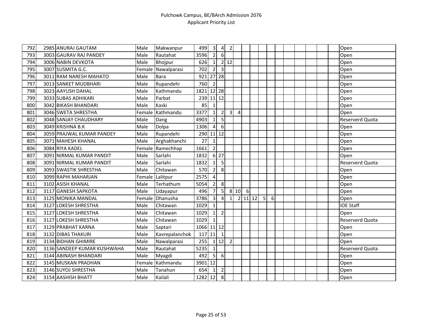| 792 | 2985 ANURAJ GAUTAM          | Male   | Makwanpur      | 499        | $\overline{3}$          | $\overline{\mathbf{4}}$ | $\overline{2}$ |      |   |         |                 |   |  |  |  | Open                   |
|-----|-----------------------------|--------|----------------|------------|-------------------------|-------------------------|----------------|------|---|---------|-----------------|---|--|--|--|------------------------|
| 793 | 3003 GAURAV RAJ PANDEY      | Male   | Rautahat       | 3596       | $\overline{2}$          | $6\phantom{1}$          |                |      |   |         |                 |   |  |  |  | Open                   |
| 794 | 3006 NABIN DEVKOTA          | Male   | <b>Bhojpur</b> | 626        | $\mathbf{1}$            |                         | $2$ 12         |      |   |         |                 |   |  |  |  | Open                   |
| 795 | 3007 SUSMITA G.C.           | Female | Nawalparasi    | 702        | $\overline{2}$          | 3                       |                |      |   |         |                 |   |  |  |  | Open                   |
| 796 | 3011 RAM NARESH MAHATO      | Male   | <b>Bara</b>    | 921        |                         | 27 28                   |                |      |   |         |                 |   |  |  |  | Open                   |
| 797 | 3013 SANKET MUDBHARI        | Male   | Rupandehi      | 760        | $\overline{2}$          |                         |                |      |   |         |                 |   |  |  |  | Open                   |
| 798 | 3023 AAYUSH DAHAL           | Male   | Kathmandu      | 1821       |                         | $12$   28               |                |      |   |         |                 |   |  |  |  | Open                   |
| 799 | 3033 SUBAS ADHIKARI         | Male   | Parbat         | 239        | $11$ 12                 |                         |                |      |   |         |                 |   |  |  |  | Open                   |
| 800 | 3042 BIKASH BHANDARI        | Male   | Kaski          | 85         | $\mathbf{1}$            |                         |                |      |   |         |                 |   |  |  |  | Open                   |
| 801 | 3046 SWETA SHRESTHA         | Female | Kathmandu      | 3377       | $\mathbf{1}$            | $\overline{2}$          | $\overline{3}$ | 4    |   |         |                 |   |  |  |  | Open                   |
| 802 | 3048 SANJAY CHAUDHARY       | Male   | Dang           | 4903       | $\mathbf{1}$            | 5                       |                |      |   |         |                 |   |  |  |  | Reserverd Quota        |
| 803 | 3049 KRISHNA B.K            | Male   | Dolpa          | 1306       | $\overline{4}$          | 6                       |                |      |   |         |                 |   |  |  |  | Open                   |
| 804 | 3059 PRAJWAL KUMAR PANDEY   | Male   | Rupandehi      | 290        |                         | $11$ 12                 |                |      |   |         |                 |   |  |  |  | Open                   |
| 805 | 3071 MAHESH KHANAL          | Male   | Arghakhanchi   | 27         | $\mathbf{1}$            |                         |                |      |   |         |                 |   |  |  |  | Open                   |
| 806 | 3084 RIYA KADEL             | Female | Ramechhap      | 1661       | $\overline{2}$          |                         |                |      |   |         |                 |   |  |  |  | Open                   |
| 807 | 3091 NIRMAL KUMAR PANDIT    | Male   | Sarlahi        | 1832       |                         | $6 \overline{27}$       |                |      |   |         |                 |   |  |  |  | Open                   |
| 808 | 3091 NIRMAL KUMAR PANDIT    | Male   | Sarlahi        | 1832       | $1\overline{ }$         | 5                       |                |      |   |         |                 |   |  |  |  | Reserverd Quota        |
| 809 | 3093 SWASTIK SHRESTHA       | Male   | Chitawan       | 570        | $\overline{2}$          | 8                       |                |      |   |         |                 |   |  |  |  | Open                   |
| 810 | 3099 RAPHI MAHARJAN         | Female | Lalitpur       | 2575       | $\overline{4}$          |                         |                |      |   |         |                 |   |  |  |  | Open                   |
| 811 | 3102 ASISH KHANAL           | Male   | Terhathum      | 5054       | $\overline{2}$          | 8                       |                |      |   |         |                 |   |  |  |  | Open                   |
| 812 | 3117 GANESH SAPKOTA         | Male   | Udayapur       | 496        | $\overline{7}$          | 5 <sub>l</sub>          |                | 8 10 | 6 |         |                 |   |  |  |  | Open                   |
| 813 | 3125 MONIKA MANDAL          | Female | Dhanusha       | 3786       | $\overline{\mathbf{3}}$ | $\overline{4}$          | $\mathbf{1}$   |      |   | 2 11 12 | $5\overline{)}$ | 6 |  |  |  | Open                   |
| 814 | 3127 LOKESH SHRESTHA        | Male   | Chitawan       | 1029       | $\mathbf{1}$            |                         |                |      |   |         |                 |   |  |  |  | <b>IOE Staff</b>       |
| 815 | 3127 LOKESH SHRESTHA        | Male   | Chitawan       | 1029       | $1\vert$                | $\overline{2}$          |                |      |   |         |                 |   |  |  |  | Open                   |
| 816 | 3127 LOKESH SHRESTHA        | Male   | Chitawan       | 1029       | $\mathbf{1}$            |                         |                |      |   |         |                 |   |  |  |  | Reserverd Quota        |
| 817 | 3129 PRABHAT KARNA          | Male   | Saptari        | 1066 11 12 |                         |                         |                |      |   |         |                 |   |  |  |  | Open                   |
| 818 | 3132 DIBAS THAKURI          | Male   | Kavrepalanchok | 117        | 11                      | $\mathbf{1}$            |                |      |   |         |                 |   |  |  |  | Open                   |
| 819 | 3134 BIDHAN GHIMIRE         | Male   | Nawalparasi    | 255        |                         | $1 \overline{)12}$      | $\overline{2}$ |      |   |         |                 |   |  |  |  | Open                   |
| 820 | 3136 SANDEEP KUMAR KUSHWAHA | Male   | Rautahat       | 5235       | $\mathbf{1}$            |                         |                |      |   |         |                 |   |  |  |  | <b>Reserverd Quota</b> |
| 821 | 3144 ABINASH BHANDARI       | Male   | Myagdi         | 492        | 5 <sup>1</sup>          | $\boldsymbol{6}$        |                |      |   |         |                 |   |  |  |  | Open                   |
| 822 | 3145 MUSKAN PRADHAN         | Female | Kathmandu      | 3901       | 12                      |                         |                |      |   |         |                 |   |  |  |  | Open                   |
| 823 | 3146 SUYOJ SHRESTHA         | Male   | Tanahun        | 654        | $\mathbf{1}$            | $\overline{2}$          |                |      |   |         |                 |   |  |  |  | Open                   |
| 824 | 3154 AASHISH BHATT          | Male   | Kailali        | 1282 12    |                         | 8                       |                |      |   |         |                 |   |  |  |  | Open                   |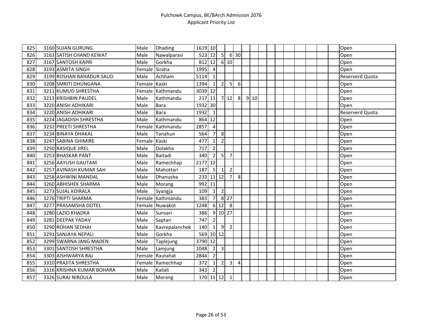| 825 | 3160 SUJAN GURUNG         | Male          | <b>Dhading</b>   | 1619 10 |                         |                         |                |            |      |  |  |  |  | Open                   |
|-----|---------------------------|---------------|------------------|---------|-------------------------|-------------------------|----------------|------------|------|--|--|--|--|------------------------|
| 826 | 3163 SATISH CHAND KEWAT   | Male          | Nawalparasi      | 523     | 12                      | $\overline{\mathsf{S}}$ |                | 6 30       |      |  |  |  |  | Open                   |
| 827 | 3167 SANTOSH KAPRI        | Male          | Gorkha           | 812     | 12                      |                         | 610            |            |      |  |  |  |  | Open                   |
| 828 | 3193 ASMITA SINGH         | Female Siraha |                  | 1995    | 4                       |                         |                |            |      |  |  |  |  | Open                   |
| 829 | 3199 ROSHAN BAHADUR SAUD  | Male          | Achham           | 5114    | 1                       |                         |                |            |      |  |  |  |  | <b>Reserverd Quota</b> |
| 830 | 3208 SMRITI DHUNGANA      | Female Kaski  |                  | 1394    | $1\vert$                | 2                       | 5              | $\sqrt{6}$ |      |  |  |  |  | Open                   |
| 831 | 3211 KUMUD SHRESTHA       |               | Female Kathmandu | 3039 12 |                         |                         |                |            |      |  |  |  |  | Open                   |
| 832 | 3213 KRISHBIN PAUDEL      | Male          | Kathmandu        | 217     | 11                      |                         | 712            | 8          | 9 10 |  |  |  |  | Open                   |
| 833 | 3220 ANISH ADHIKARI       | Male          | <b>Bara</b>      | 1932 30 |                         |                         |                |            |      |  |  |  |  | Open                   |
| 834 | 3220 ANISH ADHIKARI       | Male          | Bara             | 1932    | $\mathbf{1}$            |                         |                |            |      |  |  |  |  | Reserverd Quota        |
| 835 | 3224 JAGADISH SHRESTHA    | Male          | Kathmandu        | 864     | 12                      |                         |                |            |      |  |  |  |  | Open                   |
| 836 | 3232 PREETI SHRESTHA      | Female        | Kathmandu        | 2857    | $\overline{\mathbf{4}}$ |                         |                |            |      |  |  |  |  | Open                   |
| 837 | 3234 BINAYA DHAKAL        | Male          | Tanahun          | 564     | 7                       | 8                       |                |            |      |  |  |  |  | Open                   |
| 838 | 3247 SABINA GHIMIRE       | Female Kaski  |                  | 477     | $\mathbf{1}$            | $\overline{2}$          |                |            |      |  |  |  |  | Open                   |
| 839 | 3250 RASIQUE JIREL        | Male          | Dolakha          | 717     | $\overline{2}$          |                         |                |            |      |  |  |  |  | Open                   |
| 840 | 3253 BHASKAR PANT         | Male          | Baitadi          | 340     | $\overline{2}$          | $\overline{5}$          | $\overline{7}$ |            |      |  |  |  |  | Open                   |
| 841 | 3256 AAYUSH GAUTAM        | Male          | Ramechhap        | 2177    | 12                      |                         |                |            |      |  |  |  |  | Open                   |
| 842 | 3257 AVINASH KUMAR SAH    | Male          | Mahottari        | 187     | 5 <sup>1</sup>          | $1\vert$                | $\overline{2}$ |            |      |  |  |  |  | Open                   |
| 843 | 3258 ASHWINI MANDAL       | Male          | Dhanusha         | 233     |                         | $11$   12               | $\overline{7}$ | 8          |      |  |  |  |  | Open                   |
| 844 | 3260 ABHISHEK SHARMA      | Male          | Morang           | 992     | 11                      |                         |                |            |      |  |  |  |  | Open                   |
| 845 | 3273 SUJAL KOIRALA        | Male          | Syangja          | 109     | $\mathbf{1}$            | $\overline{2}$          |                |            |      |  |  |  |  | Open                   |
| 846 | 3276 TRIPTI SHARMA        |               | Female Kathmandu | 383     | $\overline{7}$          |                         | 8 27           |            |      |  |  |  |  | Open                   |
| 847 | 3277 PRASAMSHA DOTEL      |               | Female Nuwakot   | 1248    | $6 \mid$                | 12                      | 8              |            |      |  |  |  |  | Open                   |
| 848 | 3280 LAZIO KHADKA         | Male          | Sunsari          | 386     |                         | 9 10 27                 |                |            |      |  |  |  |  | Open                   |
| 849 | 3281 DEEPAK YADAV         | Male          | Saptari          | 747     | $\overline{2}$          |                         |                |            |      |  |  |  |  | Open                   |
| 850 | 3290 ROHAN SEDHAI         | Male          | Kavrepalanchok   | 140     | $1\vert$                | 9                       | $\overline{2}$ |            |      |  |  |  |  | Open                   |
| 851 | 3291 SANJAYA NEPALI       | Male          | Gorkha           | 569     | $10$ 12                 |                         |                |            |      |  |  |  |  | Open                   |
| 852 | 3299 SWARNA JANG MADEN    | Male          | Taplejung        | 3790 12 |                         |                         |                |            |      |  |  |  |  | Open                   |
| 853 | 3301 SANTOSH SHRESTHA     | Male          | Lamjung          | 1048    | $\overline{2}$          | $\overline{3}$          |                |            |      |  |  |  |  | Open                   |
| 854 | 3303 AISHWARYA RAJ        |               | Female Rautahat  | 2844    | $\overline{2}$          |                         |                |            |      |  |  |  |  | Open                   |
| 855 | 3310 PRAJITA SHRESTHA     |               | Female Ramechhap | 372     | $\mathbf{1}$            | $\mathbf{2}$            | 3              | 4          |      |  |  |  |  | Open                   |
| 856 | 3316 KRISHNA KUMAR BOHARA | Male          | Kailali          | 343     | $\overline{2}$          |                         |                |            |      |  |  |  |  | Open                   |
| 857 | 3326 SURAJ NIROULA        | Male          | Morang           |         | 170 11 12               |                         | $\mathbf{1}$   |            |      |  |  |  |  | Open                   |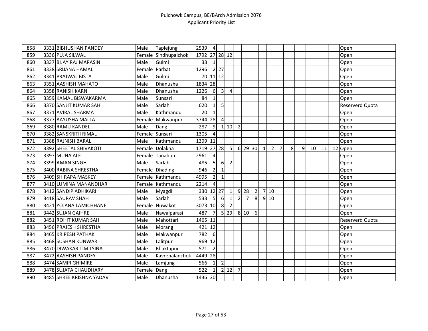| 858 | 3331 BIBHUSHAN PANDEY    | Male           | Taplejung            | 2539    | $\overline{4}$   |                  |                |                |                |                |              |                |   |   |              |    |    | Open            |
|-----|--------------------------|----------------|----------------------|---------|------------------|------------------|----------------|----------------|----------------|----------------|--------------|----------------|---|---|--------------|----|----|-----------------|
| 859 | 3336 PUJA SILWAL         |                | Female Sindhupalchok | 1792    |                  | 27 28 12         |                |                |                |                |              |                |   |   |              |    |    | Open            |
| 860 | 3337 BIJAY RAJ MARASINI  | Male           | Gulmi                | 33      | $1\vert$         |                  |                |                |                |                |              |                |   |   |              |    |    | Open            |
| 861 | 3338 SRIJANA HAMAL       | Female Parbat  |                      | 1296    |                  | $2$   27         |                |                |                |                |              |                |   |   |              |    |    | Open            |
| 862 | 3341 PRAJWAL BISTA       | Male           | Gulmi                | 70      | $11$ 12          |                  |                |                |                |                |              |                |   |   |              |    |    | Open            |
| 863 | 3351 AASHISH MAHATO      | Male           | Dhanusha             | 1834    | 28               |                  |                |                |                |                |              |                |   |   |              |    |    | Open            |
| 864 | 3358 RANISH KARN         | Male           | Dhanusha             | 1226    | 6                | 3 <sup>1</sup>   | 4              |                |                |                |              |                |   |   |              |    |    | Open            |
| 865 | 3359 KAMAL BISWAKARMA    | Male           | Sunsari              | 84      | $\mathbf{1}$     |                  |                |                |                |                |              |                |   |   |              |    |    | Open            |
| 866 | 3370 SANJIT KUMAR SAH    | Male           | Sarlahi              | 620     | $1\vert$         | $\overline{5}$   |                |                |                |                |              |                |   |   |              |    |    | Reserverd Quota |
| 867 | 3371 AVIRAL SHARMA       | Male           | Kathmandu            | 20      | $\mathbf{1}$     |                  |                |                |                |                |              |                |   |   |              |    |    | Open            |
| 868 | 3377 AAYUSHA MALLA       | Female         | Makwanpur            | 3744    | 28               | $\overline{4}$   |                |                |                |                |              |                |   |   |              |    |    | Open            |
| 869 | 3380 RAMU KANDEL         | Male           | Dang                 | 287     | 9                |                  | 110            | $\overline{2}$ |                |                |              |                |   |   |              |    |    | Open            |
| 870 | 3382 SANSKRITII RIMAL    | Female Sunsari |                      | 1305    | $\overline{4}$   |                  |                |                |                |                |              |                |   |   |              |    |    | Open            |
| 871 | 3388 RAJNISH BARAL       | Male           | Kathmandu            | 1399    | 11               |                  |                |                |                |                |              |                |   |   |              |    |    | Open            |
| 872 | 3392 SHEETAL SHIVAKOTI   |                | Female Dolakha       | 1719    |                  | 27 28            | 5              | 6 <sup>1</sup> | 29             | 30             | $\mathbf{1}$ | $\overline{2}$ | 7 | 8 | $\mathsf{q}$ | 10 | 11 | 12 Open         |
| 873 | 3397 MUNA ALE            |                | Female Tanahun       | 2961    | 4                |                  |                |                |                |                |              |                |   |   |              |    |    | Open            |
| 874 | 3399 AMAN SINGH          | Male           | Sarlahi              | 485     | $\overline{5}$   | 6                | $\overline{2}$ |                |                |                |              |                |   |   |              |    |    | Open            |
| 875 | 3400 RABINA SHRESTHA     |                | Female Dhading       | 946     | $\overline{2}$   | $\mathbf{1}$     |                |                |                |                |              |                |   |   |              |    |    | Open            |
| 876 | 3409 SHIRAPA MASKEY      |                | Female Kathmandu     | 4995    | $\overline{2}$   | $\mathbf{1}$     |                |                |                |                |              |                |   |   |              |    |    | Open            |
| 877 | 3410 LUMINA MANANDHAR    |                | Female Kathmandu     | 2214    | 4                |                  |                |                |                |                |              |                |   |   |              |    |    | Open            |
| 878 | 3412 SANDIP ADHIKARI     | Male           | Myagdi               | 330     | $12$ 27          |                  |                |                | $9$ 28         | $\overline{2}$ |              | 710            |   |   |              |    |    | Open            |
| 879 | 3418 SAURAV SHAH         | Male           | Sarlahi              | 533     | 5 <sub>l</sub>   | $6 \overline{6}$ | $\mathbf 1$    | $\overline{2}$ | $\overline{7}$ | 8              |              | 9 10           |   |   |              |    |    | Open            |
| 880 | 3421 YOJANA LAMICHHANE   | Female         | Nuwakot              | 3073    | 10               | 8                |                |                |                |                |              |                |   |   |              |    |    | Open            |
| 881 | 3442 SUJAN GAIHRE        | Male           | Nawalparasi          | 487     | $\overline{7}$   |                  | $5$   29       |                | 8 10           | 6              |              |                |   |   |              |    |    | Open            |
| 882 | 3451 ROHIT KUMAR SAH     | Male           | Mahottari            | 1465 11 |                  |                  |                |                |                |                |              |                |   |   |              |    |    | Reserverd Quota |
| 883 | 3456 PRAJESH SHRESTHA    | Male           | Morang               | 421     | 12               |                  |                |                |                |                |              |                |   |   |              |    |    | Open            |
| 884 | 3465 KRIPESH PATHAK      | Male           | Makwanpur            | 782     | $\boldsymbol{6}$ |                  |                |                |                |                |              |                |   |   |              |    |    | Open            |
| 885 | 3468 SUSHAN KUNWAR       | Male           | Lalitpur             | 969     | 12               |                  |                |                |                |                |              |                |   |   |              |    |    | Open            |
| 886 | 3470 DIWAKAR TIMILSINA   | Male           | Bhaktapur            | 571     | $\overline{2}$   |                  |                |                |                |                |              |                |   |   |              |    |    | Open            |
| 887 | 3472 AASHISH PANDEY      | Male           | Kavrepalanchok       | 4449    | 28               |                  |                |                |                |                |              |                |   |   |              |    |    | Open            |
| 888 | 3474 SAMIR GHIMIRE       | Male           | Lamjung              | 566     | 1                | $\overline{2}$   |                |                |                |                |              |                |   |   |              |    |    | Open            |
| 889 | 3478 SUJATA CHAUDHARY    | Female         | Dang                 | 522     | $\mathbf{1}$     |                  | $2$ 12         | $\overline{7}$ |                |                |              |                |   |   |              |    |    | Open            |
| 890 | 3485 SHREE KRISHNA YADAV | Male           | Dhanusha             | 1436 30 |                  |                  |                |                |                |                |              |                |   |   |              |    |    | Open            |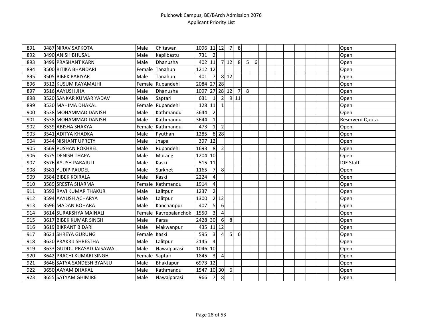| 891 | 3487 NIRAV SAPKOTA         | Male           | Chitawan         | 1096 11 12    |                         |                         | $\overline{7}$ | 8              |                |   |  |  |  |  | Open             |
|-----|----------------------------|----------------|------------------|---------------|-------------------------|-------------------------|----------------|----------------|----------------|---|--|--|--|--|------------------|
| 892 | 3490 ANISH BHUSAL          | Male           | Kapilbastu       | 731           | $\overline{2}$          |                         |                |                |                |   |  |  |  |  | Open             |
| 893 | 3499 PRASHANT KARN         | Male           | Dhanusha         | 402 11        |                         |                         | 712            | 8              | 5 <sup>1</sup> | 6 |  |  |  |  | Open             |
| 894 | 3500 RITIKA BHANDARI       | Female         | Tanahun          | 1212          | 12                      |                         |                |                |                |   |  |  |  |  | Open             |
| 895 | 3505 BIBEK PARIYAR         | Male           | Tanahun          | 401           | $\overline{7}$          |                         | 8 1 2          |                |                |   |  |  |  |  | Open             |
| 896 | 3512 KUSUM RAYAMAJHI       |                | Female Rupandehi | 2084          |                         | $27$ 28                 |                |                |                |   |  |  |  |  | Open             |
| 897 | 3516 AAYUSH JHA            | Male           | Dhanusha         | 1097 27 28 12 |                         |                         |                | $\overline{7}$ | 8 <sup>1</sup> |   |  |  |  |  | Open             |
| 898 | 3520 SANKAR KUMAR YADAV    | Male           | Saptari          | 631           | $\mathbf{1}$            | $\overline{2}$          |                | $9$   11       |                |   |  |  |  |  | Open             |
| 899 | 3530 MAHIMA DHAKAL         |                | Female Rupandehi | 128           | 11                      | $\mathbf{1}$            |                |                |                |   |  |  |  |  | Open             |
| 900 | 3538 MOHAMMAD DANISH       | Male           | Kathmandu        | 3644          | $\overline{2}$          |                         |                |                |                |   |  |  |  |  | Open             |
| 901 | 3538 MOHAMMAD DANISH       | Male           | Kathmandu        | 3644          | $\mathbf{1}$            |                         |                |                |                |   |  |  |  |  | Reserverd Quota  |
| 902 | 3539 ABISHA SHAKYA         | Female         | Kathmandu        | 473           | $\mathbf{1}$            | $\overline{2}$          |                |                |                |   |  |  |  |  | Open             |
| 903 | 3541 ADITYA KHADKA         | Male           | Pyuthan          | 1285          |                         | $8$ 28                  |                |                |                |   |  |  |  |  | Open             |
| 904 | 3544 NISHANT UPRETY        | Male           | Jhapa            | 397           | 12                      |                         |                |                |                |   |  |  |  |  | Open             |
| 905 | 3569 PUSHAN POKHREL        | Male           | Rupandehi        | 1693          | 8                       | $\overline{2}$          |                |                |                |   |  |  |  |  | Open             |
| 906 | 3575 DENISH THAPA          | Male           | Morang           | 1204          | 10                      |                         |                |                |                |   |  |  |  |  | Open             |
| 907 | 3576 AYUSH PARAJULI        | Male           | Kaski            | 515           | 11                      |                         |                |                |                |   |  |  |  |  | <b>IOE Staff</b> |
| 908 | 3581 YUDIP PAUDEL          | Male           | Surkhet          | 1165          | $\overline{7}$          | 8                       |                |                |                |   |  |  |  |  | Open             |
| 909 | 3584 BIBEK KOIRALA         | Male           | Kaski            | 2224          | $\overline{4}$          |                         |                |                |                |   |  |  |  |  | Open             |
| 910 | 3589 SRESTA SHARMA         | Female         | Kathmandu        | 1914          | 4                       |                         |                |                |                |   |  |  |  |  | Open             |
| 911 | 3593 RAVI KUMAR THAKUR     | Male           | Lalitpur         | 1237          | $\overline{2}$          |                         |                |                |                |   |  |  |  |  | Open             |
| 912 | 3594 AAYUSH ACHARYA        | Male           | Lalitpur         | 1300          |                         | $2$ 12                  |                |                |                |   |  |  |  |  | Open             |
| 913 | 3596 MADAN BOHARA          | Male           | Kanchanpur       | 407           | $\overline{5}$          | $6\phantom{1}6$         |                |                |                |   |  |  |  |  | Open             |
| 914 | 3614 SURAKSHYA MAINALI     | Female         | Kavrepalanchok   | 1550          | $\overline{\mathbf{3}}$ | $\overline{4}$          |                |                |                |   |  |  |  |  | Open             |
| 915 | 3617 BIBEK KUMAR SINGH     | Male           | Parsa            | 2428          | 30                      | 6                       | 8 <sup>°</sup> |                |                |   |  |  |  |  | Open             |
| 916 | 3619 BIKRANT BIDARI        | Male           | Makwanpur        | 435 11 12     |                         |                         |                |                |                |   |  |  |  |  | Open             |
| 917 | 3621 SHREYA GURUNG         | Female Kaski   |                  | 595           | $\overline{\mathbf{3}}$ | 4                       | 5 <sub>l</sub> | 6              |                |   |  |  |  |  | Open             |
| 918 | 3630 PRAKRIJ SHRESTHA      | Male           | Lalitpur         | 2145          | $\overline{a}$          |                         |                |                |                |   |  |  |  |  | Open             |
| 919 | 3633 GUDDU PRASAD JAISAWAL | Male           | Nawalparasi      | 1046 10       |                         |                         |                |                |                |   |  |  |  |  | Open             |
| 920 | 3642 PRACHI KUMARI SINGH   | Female Saptari |                  | 1845          | $\overline{\mathbf{3}}$ | $\overline{\mathbf{4}}$ |                |                |                |   |  |  |  |  | Open             |
| 921 | 3646 SATYA SANDESH BYANJU  | Male           | Bhaktapur        | 6973 12       |                         |                         |                |                |                |   |  |  |  |  | Open             |
| 922 | 3650 AAYAM DHAKAL          | Male           | Kathmandu        | 1547          |                         | 10 30                   | 6              |                |                |   |  |  |  |  | Open             |
| 923 | 3655 SATYAM GHIMIRE        | Male           | Nawalparasi      | 966           | $\overline{7}$          | 8                       |                |                |                |   |  |  |  |  | Open             |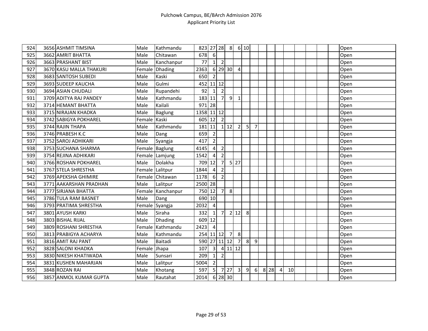| 924 | 3656 ASHMIT TIMSINA     | Male         | Kathmandu         | 823        |                         | $27$ 28        | 8                  |                         | 6 10 |                |       |   |    |  |  | Open |
|-----|-------------------------|--------------|-------------------|------------|-------------------------|----------------|--------------------|-------------------------|------|----------------|-------|---|----|--|--|------|
| 925 | 3662 AMRIT BHATTA       | Male         | Chitawan          | 678        | $6 \mid$                |                |                    |                         |      |                |       |   |    |  |  | Open |
| 926 | 3663 PRASHANT BIST      | Male         | Kanchanpur        | 77         | 1 <sup>1</sup>          | $\overline{2}$ |                    |                         |      |                |       |   |    |  |  | Open |
| 927 | 3670 KASU MALLA THAKURI | Female       | <b>Dhading</b>    | 2363       |                         | 6 29 30        |                    | 4                       |      |                |       |   |    |  |  | Open |
| 928 | 3683 SANTOSH SUBEDI     | Male         | Kaski             | 650        | $\overline{2}$          |                |                    |                         |      |                |       |   |    |  |  | Open |
| 929 | 3693 SUDEEP KAUCHA      | Male         | Gulmi             | 452        |                         | $11$ 12        |                    |                         |      |                |       |   |    |  |  | Open |
| 930 | 3694 ASIAN CHUDALI      | Male         | Rupandehi         | 92         | $1\vert$                | $\overline{2}$ |                    |                         |      |                |       |   |    |  |  | Open |
| 931 | 3709 ADITYA RAJ PANDEY  | Male         | Kathmandu         | 183 11     |                         | 7 <sup>1</sup> | 9                  | $\mathbf{1}$            |      |                |       |   |    |  |  | Open |
| 932 | 3714 HEMANT BHATTA      | Male         | Kailali           | 971 28     |                         |                |                    |                         |      |                |       |   |    |  |  | Open |
| 933 | 3715 NIRAJAN KHADKA     | Male         | Baglung           | 1358 11 12 |                         |                |                    |                         |      |                |       |   |    |  |  | Open |
| 934 | 3742 SABIGYA POKHAREL   | Female Kaski |                   | 605 12     |                         | $\overline{2}$ |                    |                         |      |                |       |   |    |  |  | Open |
| 935 | 3744 RAJIN THAPA        | Male         | Kathmandu         | 181        | 11                      |                | $1 \overline{)12}$ | $\overline{2}$          | 5    | $\overline{7}$ |       |   |    |  |  | Open |
| 936 | 3746 PRABESH K.C        | Male         | Dang              | 659        | $\overline{2}$          |                |                    |                         |      |                |       |   |    |  |  | Open |
| 937 | 3752 SAROJ ADHIKARI     | Male         | Syangja           | 417        | $\overline{2}$          |                |                    |                         |      |                |       |   |    |  |  | Open |
| 938 | 3753 SUCHANA SHARMA     |              | Female Baglung    | 4145       | $\sqrt{4}$              | $\overline{2}$ |                    |                         |      |                |       |   |    |  |  | Open |
| 939 | 3754 REJINA ADHIKARI    |              | Female Lamjung    | 1542       | 4                       | $\overline{2}$ |                    |                         |      |                |       |   |    |  |  | Open |
| 940 | 3766 ROSHAN POKHAREL    | Male         | Dolakha           | 709        | 12                      | $\overline{7}$ |                    | $5$   27                |      |                |       |   |    |  |  | Open |
| 941 | 3767 STELA SHRESTHA     |              | Female Lalitpur   | 1844       | $\overline{4}$          | $\overline{2}$ |                    |                         |      |                |       |   |    |  |  | Open |
| 942 | 3769 APEKSHA GHIMIRE    |              | Female Chitawan   | 1178       | 6                       | $\overline{2}$ |                    |                         |      |                |       |   |    |  |  | Open |
| 943 | 3771 AAKARSHAN PRADHAN  | Male         | Lalitpur          | 2500 28    |                         |                |                    |                         |      |                |       |   |    |  |  | Open |
| 944 | 3777 SIRJANA BHATTA     |              | Female Kanchanpur | 750        | 12                      | 7 <sup>1</sup> | 8                  |                         |      |                |       |   |    |  |  | Open |
| 945 | 3786 TULA RAM BASNET    | Male         | Dang              | 690 10     |                         |                |                    |                         |      |                |       |   |    |  |  | Open |
| 946 | 3793 PRATIMA SHRESTHA   |              | Female Syangja    | 2032       | 4                       |                |                    |                         |      |                |       |   |    |  |  | Open |
| 947 | 3801 AYUSH KARKI        | Male         | Siraha            | 332        | $1\vert$                | 7 <sup>1</sup> |                    | $2$ 12                  | 8    |                |       |   |    |  |  | Open |
| 948 | 3803 BISHAL RIJAL       | Male         | Dhading           | 609        | 12                      |                |                    |                         |      |                |       |   |    |  |  | Open |
| 949 | 3809 ROSHANI SHRESTHA   | Female       | Kathmandu         | 2423       | $\overline{4}$          |                |                    |                         |      |                |       |   |    |  |  | Open |
| 950 | 3813 PRABIGYA ACHARYA   | Male         | Kathmandu         | 254        |                         | $11$   $12$    | $\overline{7}$     | 8                       |      |                |       |   |    |  |  | Open |
| 951 | 3816 AMIT RAJ PANT      | Male         | Baitadi           | 590        |                         | 27 11 12       |                    | $\overline{7}$          | 8    | 9              |       |   |    |  |  | Open |
| 952 | 3828 SALONI KHADKA      | Female       | Jhapa             | 107        | $\overline{\mathbf{3}}$ |                |                    | $4 \mid 11 \mid 12$     |      |                |       |   |    |  |  | Open |
| 953 | 3830 NIKESH KHATIWADA   | Male         | Sunsari           | 209        | $1\vert$                | $\overline{2}$ |                    |                         |      |                |       |   |    |  |  | Open |
| 954 | 3831 KUSHEN MAHARJAN    | Male         | Lalitpur          | 5004       | $\overline{2}$          |                |                    |                         |      |                |       |   |    |  |  | Open |
| 955 | 3848 ROZAN RAI          | Male         | Khotang           | 597        | $\overline{5}$          | $\overline{7}$ | 27                 | $\overline{\mathbf{3}}$ | 9    | $6 \mid$       | 8 2 8 | 4 | 10 |  |  | Open |
| 956 | 3857 ANMOL KUMAR GUPTA  | Male         | Rautahat          | 2014       |                         | 6 28 30        |                    |                         |      |                |       |   |    |  |  | Open |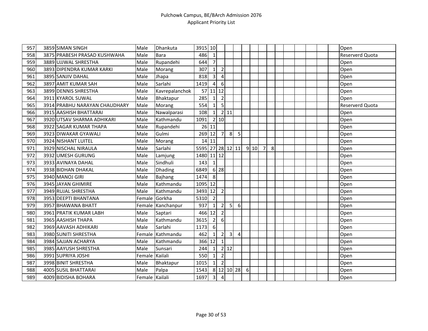| 957 | 3859 SIMAN SINGH              | Male           | Dhankuta          | 3915 10          |                         |                            |                   |   |   |      |                |   |  |  |  | Open            |
|-----|-------------------------------|----------------|-------------------|------------------|-------------------------|----------------------------|-------------------|---|---|------|----------------|---|--|--|--|-----------------|
| 958 | 3875 PRABESH PRASAD KUSHWAHA  | Male           | Bara              | 486              | $\mathbf{1}$            |                            |                   |   |   |      |                |   |  |  |  | Reserverd Quota |
| 959 | 3889 UJJWAL SHRESTHA          | Male           | Rupandehi         | 644              | $\overline{7}$          |                            |                   |   |   |      |                |   |  |  |  | Open            |
| 960 | 3893 DIPENDRA KUMAR KARKI     | Male           | Morang            | 307              | 1                       | $\overline{2}$             |                   |   |   |      |                |   |  |  |  | Open            |
| 961 | 3895 SANJIV DAHAL             | Male           | Jhapa             | 818              | $\overline{\mathbf{3}}$ | $\overline{4}$             |                   |   |   |      |                |   |  |  |  | Open            |
| 962 | 3897 AMIT KUMAR SAH           | Male           | Sarlahi           | 1419             | $\overline{4}$          | 6                          |                   |   |   |      |                |   |  |  |  | Open            |
| 963 | 3899 DENNIS SHRESTHA          | Male           | Kavrepalanchok    | 57               | 11 12                   |                            |                   |   |   |      |                |   |  |  |  | Open            |
| 964 | 3911 KYAROL SUWAL             | Male           | Bhaktapur         | 285              | $\mathbf{1}$            | $\overline{2}$             |                   |   |   |      |                |   |  |  |  | Open            |
| 965 | 3914 PRABHU NARAYAN CHAUDHARY | Male           | Morang            | 554              | $1\vert$                | 5                          |                   |   |   |      |                |   |  |  |  | Reserverd Quota |
| 966 | 3915 AASHISH BHATTARAI        | Male           | Nawalparasi       | 108              | 11                      |                            | 2 11              |   |   |      |                |   |  |  |  | Open            |
| 967 | 3920 UTSAV SHARMA ADHIKARI    | Male           | Kathmandu         | 1091             |                         | 2 10                       |                   |   |   |      |                |   |  |  |  | Open            |
| 968 | 3922 SAGAR KUMAR THAPA        | Male           | Rupandehi         |                  | 26 11                   |                            |                   |   |   |      |                |   |  |  |  | Open            |
| 969 | 3923 DIWAKAR GYAWALI          | Male           | Gulmi             | 269 12           |                         | 7                          | 8                 | 5 |   |      |                |   |  |  |  | Open            |
| 970 | 3924 NISHANT LUITEL           | Male           | Morang            |                  | $14$ 11                 |                            |                   |   |   |      |                |   |  |  |  | Open            |
| 971 | 3929 NISCHAL NIRAULA          | Male           | Sarlahi           | 5595 27 28 12 11 |                         |                            |                   |   |   | 9 10 | $\overline{7}$ | 8 |  |  |  | Open            |
| 972 | 3932 UMESH GURUNG             | Male           | Lamjung           | 1480 11 12       |                         |                            |                   |   |   |      |                |   |  |  |  | Open            |
| 973 | 3933 AVINAYA DAHAL            | Male           | Sindhuli          | 143              | $\mathbf{1}$            |                            |                   |   |   |      |                |   |  |  |  | Open            |
| 974 | 3938 BIDHAN DHAKAL            | Male           | Dhading           | 6849             |                         | $6 \overline{\smash{)}28}$ |                   |   |   |      |                |   |  |  |  | Open            |
| 975 | 3940 MANOJ GIRI               | Male           | <b>Bajhang</b>    | 1474             | 8                       |                            |                   |   |   |      |                |   |  |  |  | Open            |
| 976 | 3945 JAYAN GHIMIRE            | Male           | Kathmandu         | 1095 12          |                         |                            |                   |   |   |      |                |   |  |  |  | Open            |
| 977 | 3949 RUJAL SHRESTHA           | Male           | Kathmandu         | 3493             | 12                      | $\overline{2}$             |                   |   |   |      |                |   |  |  |  | Open            |
| 978 | 3953 DEEPTI BHANTANA          |                | Female Gorkha     | 5310             | $\overline{2}$          |                            |                   |   |   |      |                |   |  |  |  | Open            |
| 979 | 3957 BHAWANA BHATT            |                | Female Kanchanpur | 937              | $\mathbf{1}$            | $\mathbf 2$                | 5 <sup>1</sup>    | 6 |   |      |                |   |  |  |  | Open            |
| 980 | 3961 PRATIK KUMAR LABH        | Male           | Saptari           | 466              | 12                      | $\overline{2}$             |                   |   |   |      |                |   |  |  |  | Open            |
| 981 | 3965 AASHISH THAPA            | Male           | Kathmandu         | 3615             | $\overline{2}$          | $6 \mid$                   |                   |   |   |      |                |   |  |  |  | Open            |
| 982 | 3969 AAVASH ADHIKARI          | Male           | Sarlahi           | 1173             | 6                       |                            |                   |   |   |      |                |   |  |  |  | Open            |
| 983 | 3980 SUNITI SHRESTHA          |                | Female Kathmandu  | 462              | 1                       | $\overline{2}$             | $\overline{3}$    | 4 |   |      |                |   |  |  |  | Open            |
| 984 | 3984 SAJJAN ACHARYA           | Male           | Kathmandu         | 366              | 12                      | $\mathbf 1$                |                   |   |   |      |                |   |  |  |  | Open            |
| 985 | 3985 AAYUSH SHRESTHA          | Male           | Sunsari           | 244              | $\mathbf{1}$            |                            | $2 \overline{12}$ |   |   |      |                |   |  |  |  | Open            |
| 986 | 3991 SUPRIYA JOSHI            | Female Kailali |                   | 550              | $\mathbf{1}$            | $\mathbf 2$                |                   |   |   |      |                |   |  |  |  | Open            |
| 987 | 3998 BINIT SHRESTHA           | Male           | Bhaktapur         | 1015             | $\mathbf{1}$            | $\overline{2}$             |                   |   |   |      |                |   |  |  |  | Open            |
| 988 | 4005 SUSIL BHATTARAI          | Male           | Palpa             | 1543             |                         |                            | 8 12 10 28        |   | 6 |      |                |   |  |  |  | Open            |
| 989 | 4009 BIDISHA BOHARA           | Female Kailali |                   | 1697             | $\overline{\mathbf{3}}$ | $\overline{4}$             |                   |   |   |      |                |   |  |  |  | Open            |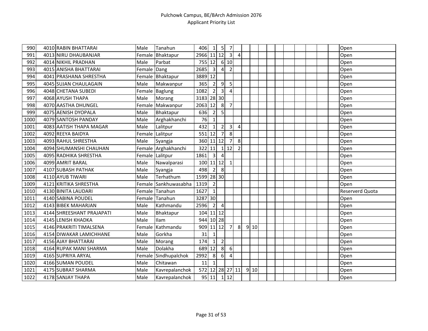| 990  | 4010 RABIN BHATTARAI      | Male        | Tanahun              | 406             | 1                       | 5 <sub>l</sub> | 7              |                |      |  |  |  |  | Open            |
|------|---------------------------|-------------|----------------------|-----------------|-------------------------|----------------|----------------|----------------|------|--|--|--|--|-----------------|
| 991  | 4013 NIRU DHAUBANJAR      |             | Female Bhaktapur     | 2966 11 12      |                         |                | $\overline{3}$ | $\overline{4}$ |      |  |  |  |  | Open            |
| 992  | 4014 NIKHIL PRADHAN       | Male        | Parbat               | 755 12          |                         |                | 6 10           |                |      |  |  |  |  | Open            |
| 993  | 4015 ANISHA BHATTARAI     | Female Dang |                      | 2685            | 3                       | 4              | $\overline{2}$ |                |      |  |  |  |  | Open            |
| 994  | 4041 PRASHANA SHRESTHA    |             | Female Bhaktapur     | 3889 12         |                         |                |                |                |      |  |  |  |  | Open            |
| 995  | 4045 SUJAN CHAULAGAIN     | Male        | Makwanpur            | 365             | $\overline{2}$          | 9              | 5 <sup>1</sup> |                |      |  |  |  |  | Open            |
| 996  | 4048 CHETANA SUBEDI       |             | Female Baglung       | 1082            | $\overline{2}$          | $\overline{3}$ | $\mathbf{A}$   |                |      |  |  |  |  | Open            |
| 997  | 4068 AYUSH THAPA          | Male        | Morang               | 3183 28 30      |                         |                |                |                |      |  |  |  |  | Open            |
| 998  | 4070 AASTHA DHUNGEL       |             | Female Makwanpur     | 2063 12         |                         | $\infty$       | $\overline{7}$ |                |      |  |  |  |  | Open            |
| 999  | 4075 AENISH DYOPALA       | Male        | Bhaktapur            | 636             | $\overline{2}$          | $\overline{5}$ |                |                |      |  |  |  |  | Open            |
| 1000 | 4079 SANTOSH PANDAY       | Male        | Arghakhanchi         | 76              | $\mathbf{1}$            |                |                |                |      |  |  |  |  | Open            |
| 1001 | 4083 AATISH THAPA MAGAR   | Male        | Lalitpur             | 432             | 1                       | $\overline{2}$ | 3 <sup>l</sup> | 4              |      |  |  |  |  | Open            |
| 1002 | 4092 REEYA BAIDYA         | Female      | Lalitpur             | 551             | 12                      | $\overline{7}$ | 8 <sup>1</sup> |                |      |  |  |  |  | Open            |
| 1003 | 4093 RAHUL SHRESTHA       | Male        | Syangja              | 360 11 12       |                         |                | $\overline{7}$ | 8              |      |  |  |  |  | Open            |
| 1004 | 4094 SHUMANSHI CHAUHAN    |             | Female Arghakhanchi  | 322             | 11                      | $1\vert$       | 12             | $\overline{2}$ |      |  |  |  |  | Open            |
| 1005 | 4095 RADHIKA SHRESTHA     |             | Female Lalitpur      | 1861            | $\overline{\mathbf{3}}$ | $\overline{4}$ |                |                |      |  |  |  |  | Open            |
| 1006 | 4099 AMRIT BARAL          | Male        | Nawalparasi          | 100             |                         | 11 12          | $\mathbf{1}$   |                |      |  |  |  |  | Open            |
| 1007 | 4107 SUBASH PATHAK        | Male        | Syangja              | 498             | $\overline{2}$          | 8              |                |                |      |  |  |  |  | Open            |
| 1008 | 4110 AYUB TIWARI          | Male        | Terhathum            | 1599 28 30      |                         |                |                |                |      |  |  |  |  | Open            |
| 1009 | 4121 KRITIKA SHRESTHA     | Female      | Sankhuwasabha        | 1319            | $\overline{2}$          |                |                |                |      |  |  |  |  | Open            |
| 1010 | 4130 BINITA LAUDARI       | Female      | Tanahun              | 1627            | $\mathbf{1}$            |                |                |                |      |  |  |  |  | Reserverd Quota |
| 1011 | 4140 SABINA POUDEL        |             | Female Tanahun       | 3287            | 30                      |                |                |                |      |  |  |  |  | Open            |
| 1012 | 4143 BIBEK MAHARJAN       | Male        | Kathmandu            | 2596            | $\overline{2}$          | $\overline{4}$ |                |                |      |  |  |  |  | Open            |
| 1013 | 4144 SHREESHANT PRAJAPATI | Male        | Bhaktapur            | 104             | $11$ 12                 |                |                |                |      |  |  |  |  | Open            |
| 1014 | 4145 LENISH KHADKA        | Male        | Ilam                 | 944             |                         | $10$   28      |                |                |      |  |  |  |  | Open            |
| 1015 | 4146 PRAKRITI TIMALSENA   | Female      | Kathmandu            | 909             | 11 12                   |                | $\overline{7}$ | 8              | 9 10 |  |  |  |  | Open            |
| 1016 | 4154 DIWAKAR LAMICHHANE   | Male        | Gorkha               | 31              | $\mathbf{1}$            |                |                |                |      |  |  |  |  | Open            |
| 1017 | 4156 AJAY BHATTARAI       | Male        | Morang               | 174             | $\mathbf{1}$            | $\overline{2}$ |                |                |      |  |  |  |  | Open            |
| 1018 | 4164 RUPAK MANI SHARMA    | Male        | Dolakha              | 689             | 12                      | 8 <sup>1</sup> | 6              |                |      |  |  |  |  | Open            |
| 1019 | 4165 SUPRIYA ARYAL        |             | Female Sindhupalchok | 2992            | 8 <sup>1</sup>          | 6 <sup>1</sup> | $\overline{4}$ |                |      |  |  |  |  | Open            |
| 1020 | 4166 SUMAN POUDEL         | Male        | Chitawan             | 11              | $\mathbf{1}$            |                |                |                |      |  |  |  |  | Open            |
| 1021 | 4175 SUBRAT SHARMA        | Male        | Kavrepalanchok       | 572 12 28 27 11 |                         |                |                |                | 9 10 |  |  |  |  | Open            |
| 1022 | 4178 SANJAY THAPA         | Male        | Kavrepalanchok       |                 | $\overline{95}$   11    | $\vert$ 1      | 12             |                |      |  |  |  |  | Open            |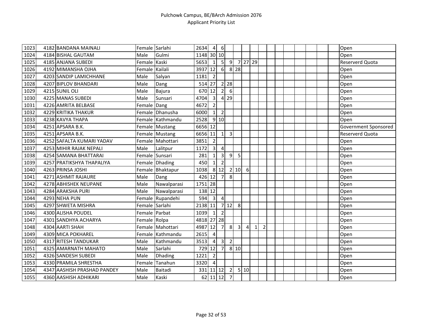| $\overline{1}023$ | 4182 BANDANA MAINALI        | Female Sarlahi |                  | 2634       | $\overline{4}$          | $\boldsymbol{6}$ |                   |                |                |              |                |  |  |  | Open                 |
|-------------------|-----------------------------|----------------|------------------|------------|-------------------------|------------------|-------------------|----------------|----------------|--------------|----------------|--|--|--|----------------------|
| 1024              | 4184 BISHAL GAUTAM          | Male           | Gulmi            | 1148 30 10 |                         |                  |                   |                |                |              |                |  |  |  | Open                 |
| 1025              | 4185 ANJANA SUBEDI          | Female Kaski   |                  | 5653       | 1                       |                  | $5 \quad 9$       |                |                | 7 27 29      |                |  |  |  | Reserverd Quota      |
| 1026              | 4192 MIMANSHA OJHA          | Female Kailali |                  | 3937       | 12                      | 6                |                   | 8 2 8          |                |              |                |  |  |  | Open                 |
| 1027              | 4203 SANDIP LAMICHHANE      | Male           | Salyan           | 1181       | $\overline{2}$          |                  |                   |                |                |              |                |  |  |  | Open                 |
| 1028              | 4207 BIPLOV BHANDARI        | Male           | Dang             | 514 27     |                         |                  | $2 \overline{28}$ |                |                |              |                |  |  |  | Open                 |
| 1029              | 4215 SUNIL OLI              | Male           | <b>Bajura</b>    | 670 12     |                         | $\overline{2}$   | 6                 |                |                |              |                |  |  |  | Open                 |
| 1030              | 4225 MANAS SUBEDI           | Male           | Sunsari          | 4704       | $\overline{3}$          | $\overline{4}$   | 29                |                |                |              |                |  |  |  | Open                 |
| 1031              | 4226 AMRITA BELBASE         | Female Dang    |                  | 4672       | $\overline{2}$          |                  |                   |                |                |              |                |  |  |  | Open                 |
| 1032              | 4229 KRITIKA THAKUR         |                | Female Dhanusha  | 6000       | $1\vert$                | $\overline{2}$   |                   |                |                |              |                |  |  |  | Open                 |
| 1033              | 4238 KAVYA THAPA            |                | Female Kathmandu | 2528       |                         | 9 10             |                   |                |                |              |                |  |  |  | Open                 |
| 1034              | 4251 APSARA B.K.            |                | Female Mustang   | 6656 12    |                         |                  |                   |                |                |              |                |  |  |  | Government Sponsored |
| 1035              | 4251 APSARA B.K.            |                | Female Mustang   | 6656       | 11                      | $\mathbf{1}$     | $\overline{3}$    |                |                |              |                |  |  |  | Reserverd Quota      |
| 1036              | 4252 SAFALTA KUMARI YADAV   |                | Female Mahottari | 3851       | $\overline{2}$          |                  |                   |                |                |              |                |  |  |  | Open                 |
| 1037              | 4253 MIHIR RAJAK NEPALI     | Male           | Lalitpur         | 1172       | $\overline{\mathbf{3}}$ | $\overline{4}$   |                   |                |                |              |                |  |  |  | Open                 |
| 1038              | 4254 SAMANA BHATTARAI       |                | Female Sunsari   | 281        | $1\vert$                | $\mathbf{3}$     | 9                 | 5              |                |              |                |  |  |  | Open                 |
| 1039              | 4257 PRATIKSHYA THAPALIYA   |                | Female Dhading   | 450        | $1\vert$                | $\overline{2}$   |                   |                |                |              |                |  |  |  | Open                 |
| 1040              | 4263 PRINSA JOSHI           |                | Female Bhaktapur | 1038       |                         | 8 12             |                   | 2 10           | 6              |              |                |  |  |  | Open                 |
| 1041              | 4271 ASHMIT RAJAURE         | Male           | Dang             | 426        | 12                      | $\overline{7}$   | 8                 |                |                |              |                |  |  |  | Open                 |
| 1042              | 4278 ABHISHEK NEUPANE       | Male           | Nawalparasi      | 1751 28    |                         |                  |                   |                |                |              |                |  |  |  | Open                 |
| 1043              | 4284 ARAKSHA PURI           | Male           | Nawalparasi      | 138 12     |                         |                  |                   |                |                |              |                |  |  |  | Open                 |
| 1044              | 4293 NEHA PUN               |                | Female Rupandehi | 594        | $\overline{\mathbf{3}}$ | $\overline{4}$   |                   |                |                |              |                |  |  |  | Open                 |
| 1045              | 4297 SHWETA MISHRA          | Female Sarlahi |                  | 2138       | 11                      |                  | $7$ 12            | 8              |                |              |                |  |  |  | Open                 |
| 1046              | 4300 ALISHA POUDEL          |                | Female Parbat    | 1039       | $1\vert$                | $\overline{2}$   |                   |                |                |              |                |  |  |  | Open                 |
| 1047              | 4301 SANDHYA ACHARYA        | Female Rolpa   |                  | 4818 27 28 |                         |                  |                   |                |                |              |                |  |  |  | Open                 |
| 1048              | 4304 AARTI SHAH             |                | Female Mahottari | 4987       | 12                      | $\overline{7}$   | 8                 | $\overline{3}$ | $\overline{4}$ | $\mathbf{1}$ | $\overline{2}$ |  |  |  | Open                 |
| 1049              | 4309 MICA POKHAREL          |                | Female Kathmandu | 2615       | $\overline{4}$          |                  |                   |                |                |              |                |  |  |  | Open                 |
| 1050              | 4317 RITESH TANDUKAR        | Male           | Kathmandu        | 3513       | $\vert$                 | $\mathbf{3}$     | $\overline{2}$    |                |                |              |                |  |  |  | Open                 |
| 1051              | 4325 AMARNATH MAHATO        | Male           | Sarlahi          | 729        | 12                      | $\overline{7}$   |                   | 8 10           |                |              |                |  |  |  | Open                 |
| 1052              | 4326 SANDESH SUBEDI         | Male           | Dhading          | 1221       | $\overline{2}$          |                  |                   |                |                |              |                |  |  |  | Open                 |
| 1053              | 4330 PRAMILA SHRESTHA       | Female         | Tanahun          | 3320       | $\vert$                 |                  |                   |                |                |              |                |  |  |  | Open                 |
| 1054              | 4347 AASHISH PRASHAD PANDEY | Male           | <b>Baitadi</b>   | 331        |                         | $11$ 12          | 2                 |                | 510            |              |                |  |  |  | Open                 |
| 1055              | 4360 AASHISH ADHIKARI       | Male           | Kaski            |            | 62 11 12                |                  | $\overline{7}$    |                |                |              |                |  |  |  | Open                 |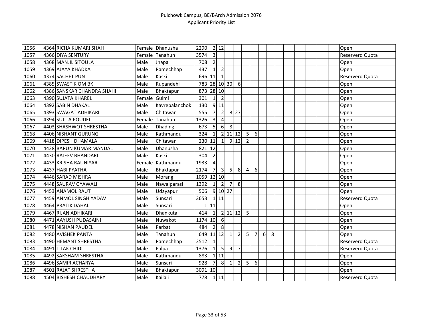| 1056 | 4364 RICHA KUMARI SHAH     |        | Female Dhanusha  | 2290         |                         | 2 12           |                      |                |                |                |   |   |  |  |  | Open                   |
|------|----------------------------|--------|------------------|--------------|-------------------------|----------------|----------------------|----------------|----------------|----------------|---|---|--|--|--|------------------------|
| 1057 | 4366 DIYA SENTURY          |        | Female Tanahun   | 3574         | $\overline{\mathbf{3}}$ |                |                      |                |                |                |   |   |  |  |  | Reserverd Quota        |
| 1058 | 4368 MANJIL SITOULA        | Male   | Jhapa            | 708          | $\overline{2}$          |                |                      |                |                |                |   |   |  |  |  | Open                   |
| 1059 | 4369 AJAYA KHADKA          | Male   | Ramechhap        | 437          | $1\vert$                | $\overline{2}$ |                      |                |                |                |   |   |  |  |  | Open                   |
| 1060 | 4374 SACHET PUN            | Male   | Kaski            | 696 11       |                         | $\mathbf{1}$   |                      |                |                |                |   |   |  |  |  | <b>Reserverd Quota</b> |
| 1061 | 4385 SWASTIK OM BK         | Male   | Rupandehi        | 783 28 10 30 |                         |                |                      | 6              |                |                |   |   |  |  |  | Open                   |
| 1062 | 4386 SANSKAR CHANDRA SHAHI | Male   | Bhaktapur        | 873 28 10    |                         |                |                      |                |                |                |   |   |  |  |  | Open                   |
| 1063 | 4390 SUJATA KHAREL         | Female | Gulmi            | 301          | 1                       | $\overline{2}$ |                      |                |                |                |   |   |  |  |  | Open                   |
| 1064 | 4392 SABIN DHAKAL          | Male   | Kavrepalanchok   | 130          |                         | 9 11           |                      |                |                |                |   |   |  |  |  | Open                   |
| 1065 | 4393 SWAGAT ADHIKARI       | Male   | Chitawan         | 555          | $\overline{7}$          | $\overline{2}$ |                      | 8 27           |                |                |   |   |  |  |  | Open                   |
| 1066 | 4394 SUJITA POUDEL         | Female | Tanahun          | 1326         | $\overline{3}$          | $\overline{4}$ |                      |                |                |                |   |   |  |  |  | Open                   |
| 1067 | 4403 SHASHWOT SHRESTHA     | Male   | <b>Dhading</b>   | 673          | 5                       | $6 \mid$       | 8                    |                |                |                |   |   |  |  |  | Open                   |
| 1068 | 4406 NISHANT GURUNG        | Male   | Kathmandu        | 324          | $1\vert$                |                | $\overline{2}$ 11 12 |                | 5 <sub>l</sub> | $6 \mid$       |   |   |  |  |  | Open                   |
| 1069 | 4418 DIPESH DHAMALA        | Male   | Chitawan         | 230 11       |                         | $\mathbf{1}$   |                      | 9 12           | $\overline{2}$ |                |   |   |  |  |  | Open                   |
| 1070 | 4428 BARUN KUMAR MANDAL    | Male   | Dhanusha         | 821 12       |                         |                |                      |                |                |                |   |   |  |  |  | Open                   |
| 1071 | 4430 RAJEEV BHANDARI       | Male   | Kaski            | 304          | $\overline{2}$          |                |                      |                |                |                |   |   |  |  |  | Open                   |
| 1072 | 4433 KRISHA RAUNIYAR       |        | Female Kathmandu | 1933         | $\vert$                 |                |                      |                |                |                |   |   |  |  |  | Open                   |
| 1073 | 4437 HABI PYATHA           | Male   | Bhaktapur        | 2174         | 7                       | $\overline{3}$ | 5 <sub>l</sub>       | 8              | 4              | <sup>6</sup>   |   |   |  |  |  | Open                   |
| 1074 | 4446 SARAD MISHRA          | Male   | Morang           | 1059 12 10   |                         |                |                      |                |                |                |   |   |  |  |  | Open                   |
| 1075 | 4448 SAURAV GYAWALI        | Male   | Nawalparasi      | 1392         | 1                       | $\overline{2}$ | 7                    | 8              |                |                |   |   |  |  |  | Open                   |
| 1076 | 4453 ANAMOL RAUT           | Male   | Udayapur         | 506          |                         |                | 9 10 27              |                |                |                |   |   |  |  |  | Open                   |
| 1077 | 4459 ANMOL SINGH YADAV     | Male   | Sunsari          | 3653         |                         | $1$   11       |                      |                |                |                |   |   |  |  |  | <b>Reserverd Quota</b> |
| 1078 | 4464 PRATIK DAHAL          | Male   | Sunsari          | 1            | 11                      |                |                      |                |                |                |   |   |  |  |  | Open                   |
| 1079 | 4467 RIJAN ADHIKARI        | Male   | Dhankuta         | 414          | $\mathbf{1}$            |                | 2 11 12              |                | 5              |                |   |   |  |  |  | Open                   |
| 1080 | 4471 AAYUSH PUDASAINI      | Male   | Nuwakot          | 1174         | 10                      | 6              |                      |                |                |                |   |   |  |  |  | Open                   |
| 1081 | 4478 NISHAN PAUDEL         | Male   | Parbat           | 484          | 2                       | 8              |                      |                |                |                |   |   |  |  |  | Open                   |
| 1082 | 4480 AVISHEK PANTA         | Male   | Tanahun          | 649 11 12    |                         |                | 1                    | $\overline{2}$ | 5              | $\overline{7}$ | 6 | 8 |  |  |  | Open                   |
| 1083 | 4490 HEMANT SHRESTHA       | Male   | Ramechhap        | 2512         | 1                       |                |                      |                |                |                |   |   |  |  |  | Reserverd Quota        |
| 1084 | 4491 TILAK CHIDI           | Male   | Palpa            | 1376         | $\vert$ 1               | 5              | 9                    | $\overline{7}$ |                |                |   |   |  |  |  | <b>Reserverd Quota</b> |
| 1085 | 4492 SAKSHAM SHRESTHA      | Male   | Kathmandu        | 883          |                         | 111            |                      |                |                |                |   |   |  |  |  | Open                   |
| 1086 | 4496 SAMIR ACHARYA         | Male   | Sunsari          | 928          | 7                       | 8              | $\mathbf{1}$         | $\overline{2}$ | 5              | 6              |   |   |  |  |  | Open                   |
| 1087 | 4501 RAJAT SHRESTHA        | Male   | Bhaktapur        | 3091 10      |                         |                |                      |                |                |                |   |   |  |  |  | Open                   |
| 1088 | 4504 BISHESH CHAUDHARY     | Male   | Kailali          | 778          |                         | 111            |                      |                |                |                |   |   |  |  |  | <b>Reserverd Quota</b> |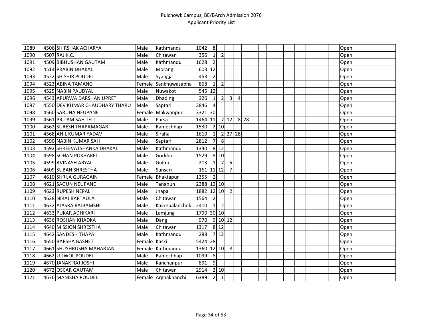| 1089 | 4506 SHIRSHAK ACHARYA          | Male         | Kathmandu            | 1042        | 8              |                |                |   |          |  |  |  |  | Open |
|------|--------------------------------|--------------|----------------------|-------------|----------------|----------------|----------------|---|----------|--|--|--|--|------|
| 1090 | 4507 RAJ K.C.                  | Male         | Chitawan             | 356         | $\vert$ 1      | $\overline{2}$ |                |   |          |  |  |  |  | Open |
| 1091 | 4509 BIBHUSHAN GAUTAM          | Male         | Kathmandu            | 1628        | $\overline{2}$ |                |                |   |          |  |  |  |  | Open |
| 1092 | 4514 PRABIN DHAKAL             | Male         | Morang               | 603 12      |                |                |                |   |          |  |  |  |  | Open |
| 1093 | 4522 SHISHIR POUDEL            | Male         | Syangja              | 453         | $\overline{2}$ |                |                |   |          |  |  |  |  | Open |
| 1094 | 4523 ABINA TAMANG              |              | Female Sankhuwasabha | 868         | $\mathbf{1}$   | $\overline{2}$ |                |   |          |  |  |  |  | Open |
| 1095 | 4525 NABIN PAUDYAL             | Male         | Nuwakot              | 545 12      |                |                |                |   |          |  |  |  |  | Open |
| 1096 | 4543 APURWA DARSHAN UPRETI     | Male         | Dhading              | 326         | $\mathbf{1}$   | 2              | 3              | 4 |          |  |  |  |  | Open |
| 1097 | 4550 DEV KUMAR CHAUDHARY THARU | Male         | Saptari              | 3846        | $\overline{4}$ |                |                |   |          |  |  |  |  | Open |
| 1098 | 4560 SARUNA NEUPANE            |              | Female Makwanpur     | 3321 30     |                |                |                |   |          |  |  |  |  | Open |
| 1099 | 4561 PRITAM SAH TELI           | Male         | Parsa                | 1464 11     |                |                | 712            |   | $8$   28 |  |  |  |  | Open |
| 1100 | 4562 SURESH THAPAMAGAR         | Male         | Ramechhap            | 1530        |                | 2 10           |                |   |          |  |  |  |  | Open |
| 1101 | 4568 ANIL KUMAR YADAV          | Male         | Siraha               | 1610        | 1              |                | 2 27 28        |   |          |  |  |  |  | Open |
| 1102 | 4590 NABIN KUMAR SAH           | Male         | Saptari              | 2812        | 7              | 8              |                |   |          |  |  |  |  | Open |
| 1103 | 4592 SHREEVATSHANKA DHAKAL     | Male         | Kathmandu            | 1340        |                | 8 1 2          |                |   |          |  |  |  |  | Open |
| 1104 | 4598 SOHAN POKHAREL            | Male         | Gorkha               | 1529        |                | 8 10           |                |   |          |  |  |  |  | Open |
| 1105 | 4599 AVINASH ARYAL             | Male         | Gulmi                | 213         | $1\vert$       | $\overline{7}$ | 5 <sub>l</sub> |   |          |  |  |  |  | Open |
| 1106 | 4609 SUBAN SHRESTHA            | Male         | Sunsari              | $161$ 11 12 |                |                | $\overline{7}$ |   |          |  |  |  |  | Open |
| 1107 | 4610 SHRIJA GURAGAIN           | Female       | Bhaktapur            | 1355        | $\overline{2}$ |                |                |   |          |  |  |  |  | Open |
| 1108 | 4621 SAGUN NEUPANE             | Male         | Tanahun              | 2388 12 10  |                |                |                |   |          |  |  |  |  | Open |
| 1109 | 4623 RUPESH NEPAL              | Male         | Jhapa                | 1882 12 10  |                |                | $\overline{2}$ |   |          |  |  |  |  | Open |
| 1110 | 4628 NIRAJ BARTAULA            | Male         | Chitawan             | 1564        | $\overline{2}$ |                |                |   |          |  |  |  |  | Open |
| 1111 | 4632 AJASRA RAJBAMSHI          | Male         | Kavrepalanchok       | 2410        | $\vert$ 1      | $\overline{2}$ |                |   |          |  |  |  |  | Open |
| 1112 | 4633 PUKAR ADHIKARI            | Male         | Lamjung              | 1790 30 10  |                |                |                |   |          |  |  |  |  | Open |
| 1113 | 4636 ROSHAN KHADKA             | Male         | Dang                 | 970         |                |                | $9$ 10 12      |   |          |  |  |  |  | Open |
| 1114 | 4640 MISSION SHRESTHA          | Male         | Chitawan             | 1317        |                | 8 12           |                |   |          |  |  |  |  | Open |
| 1115 | 4642 SANDESH THAPA             | Male         | Kathmandu            | 288         |                | 712            |                |   |          |  |  |  |  | Open |
| 1116 | 4650 BARSHA BASNET             | Female Kaski |                      | 5424 28     |                |                |                |   |          |  |  |  |  | Open |
| 1117 | 4661 SHUSHRUSHA MAHARJAN       |              | Female Kathmandu     | 1360 12 10  |                |                | 8              |   |          |  |  |  |  | Open |
| 1118 | 4662 UJJWOL POUDEL             | Male         | Ramechhap            | 1099        | 8              |                |                |   |          |  |  |  |  | Open |
| 1119 | 4670 JANAK RAJ JOSHI           | Male         | Kanchanpur           | 891         | 9              |                |                |   |          |  |  |  |  | Open |
| 1120 | 4672 OSCAR GAUTAM              | Male         | Chitawan             | 2914        |                | $2 \mid 10$    |                |   |          |  |  |  |  | Open |
| 1121 | 4676 MANISHA POUDEL            |              | Female Arghakhanchi  | 6389        | $\overline{2}$ | $\overline{1}$ |                |   |          |  |  |  |  | Open |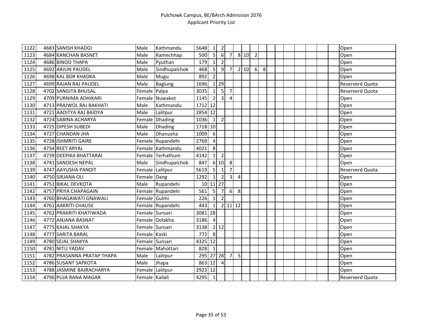| 1122 | 4683 SANISH KHADGI         | Male           | Kathmandu        | 5648            | $\mathbf{1}$   | $\overline{2}$    |                     |   |      |                |   |  |  |  | Open                   |
|------|----------------------------|----------------|------------------|-----------------|----------------|-------------------|---------------------|---|------|----------------|---|--|--|--|------------------------|
| 1123 | 4684 KANCHAN BASNET        | Male           | Ramechhap        | 500             | $5 \vert$      | $6 \overline{6}$  | $\overline{7}$      |   | 8 10 | $\overline{2}$ |   |  |  |  | Open                   |
| 1124 | 4686 BINOD THAPA           | Male           | Pyuthan          | 179             | $\mathbf{1}$   | $\overline{2}$    |                     |   |      |                |   |  |  |  | Open                   |
| 1125 | 4692 ARJUN PAUDEL          | Male           | Sindhupalchok    | 468             | 5              | 9                 | $\overline{7}$      |   | 2 10 | 6              | 8 |  |  |  | Open                   |
| 1126 | 4698 KAL BDR KHADKA        | Male           | Mugu             | 892             | $\overline{2}$ |                   |                     |   |      |                |   |  |  |  | Open                   |
| 1127 | 4699 RAJAN RAJ PAUDEL      | Male           | Baglung          | 1696            |                | $1 \overline{29}$ |                     |   |      |                |   |  |  |  | Reserverd Quota        |
| 1128 | 4702 SANGITA BHUSAL        | Female Palpa   |                  | 3035            | $\mathbf{1}$   | 5                 | $\overline{7}$      |   |      |                |   |  |  |  | Reserverd Quota        |
| 1129 | 4709 PURNIMA ADHIKARI      |                | Female Nuwakot   | 1145            | $\overline{2}$ | 3 <sup>l</sup>    | 4                   |   |      |                |   |  |  |  | Open                   |
| 1130 | 4713 PRAJWOL RAJ BAKHATI   | Male           | Kathmandu        | 1712 12         |                |                   |                     |   |      |                |   |  |  |  | Open                   |
| 1131 | 4721 AADITYA RAJ BAIDYA    | Male           | Lalitpur         | 2854 12         |                |                   |                     |   |      |                |   |  |  |  | Open                   |
| 1132 | 4724 SABINA ACHARYA        | Female         | <b>Dhading</b>   | 1036            | $\mathbf{1}$   | $\overline{2}$    |                     |   |      |                |   |  |  |  | Open                   |
| 1133 | 4725 DIPESH SUBEDI         | Male           | <b>Dhading</b>   | 1718 10         |                |                   |                     |   |      |                |   |  |  |  | Open                   |
| 1134 | 4727 CHANDAN JHA           | Male           | Dhanusha         | 1009            | 6              |                   |                     |   |      |                |   |  |  |  | Open                   |
| 1135 | 4728 ISHMRITI GAIRE        |                | Female Rupandehi | 2769            | $\overline{4}$ |                   |                     |   |      |                |   |  |  |  | Open                   |
| 1136 | 4734 REET ARYAL            |                | Female Kathmandu | 4021            | 8              |                   |                     |   |      |                |   |  |  |  | Open                   |
| 1137 | 4739 DEEPIKA BHATTARAI     |                | Female Terhathum | 4142            | $1\vert$       | $\overline{2}$    |                     |   |      |                |   |  |  |  | Open                   |
| 1138 | 4741 SANDESH NEPAL         | Male           | Sindhupalchok    | 847             |                | 6 10              | 8                   |   |      |                |   |  |  |  | Open                   |
| 1139 | 4747 AAYUSHA PANDIT        |                | Female Lalitpur  | 5619            | 5 <sup>1</sup> | $\mathbf{1}$      | $\overline{7}$      |   |      |                |   |  |  |  | Reserverd Quota        |
| 1140 | 4750 SIRJANA OLI           | Female Dang    |                  | 1292            | $\mathbf{1}$   | $\overline{2}$    | $\overline{3}$      | 4 |      |                |   |  |  |  | Open                   |
| 1141 | 4751 BIKAL DEVKOTA         | Male           | Rupandehi        | 10 <sup>1</sup> |                | $11$   27         |                     |   |      |                |   |  |  |  | Open                   |
| 1142 | 4757 PRIYA CHAPAGAIN       |                | Female Rupandehi | 561             | 5 <sub>l</sub> | $\overline{7}$    | 6                   | 8 |      |                |   |  |  |  | Open                   |
| 1143 | 4760 BHAGAWATI GNAWALI     | Female Gulmi   |                  | 226             | $1\vert$       | $\overline{2}$    |                     |   |      |                |   |  |  |  | Open                   |
| 1144 | 4761 AAKRITI CHALISE       |                | Female Rupandehi | 443             | $\mathbf{1}$   |                   | $2 \mid 11 \mid 12$ |   |      |                |   |  |  |  | Open                   |
| 1145 | 4762 PRAKRITI KHATIWADA    |                | Female Sunsari   | 3081 28         |                |                   |                     |   |      |                |   |  |  |  | Open                   |
| 1146 | 4772 ANJANA BASNAT         |                | Female Dolakha   | 3186            | $\overline{4}$ |                   |                     |   |      |                |   |  |  |  | Open                   |
| 1147 | 4775 KAJAL SHAKYA          | Female Sunsari |                  | 3138            |                | 2 12              |                     |   |      |                |   |  |  |  | Open                   |
| 1148 | 4777 SARITA BARAL          | Female Kaski   |                  | 772             | 8              |                   |                     |   |      |                |   |  |  |  | Open                   |
| 1149 | 4780 SEJAL SHAKYA          |                | Female Sunsari   | 4325            | 12             |                   |                     |   |      |                |   |  |  |  | Open                   |
| 1150 | 4781 NITU YADAV            |                | Female Mahottari | 828             | $\vert$ 1      |                   |                     |   |      |                |   |  |  |  | Open                   |
| 1151 | 4782 PRASANNA PRATAP THAPA | Male           | Lalitpur         | 295 27 28       |                |                   | $\overline{7}$      | 5 |      |                |   |  |  |  | Open                   |
| 1152 | 4786 SUSANT SAPKOTA        | Male           | Jhapa            | 863             | 12             | $\overline{a}$    |                     |   |      |                |   |  |  |  | Open                   |
| 1153 | 4788 JASMINE BAJRACHARYA   |                | Female Lalitpur  | 2923 12         |                |                   |                     |   |      |                |   |  |  |  | Open                   |
| 1154 | 4796 PUJA RANA MAGAR       | Female Kailali |                  | 4295            | $\vert$ 1      |                   |                     |   |      |                |   |  |  |  | <b>Reserverd Quota</b> |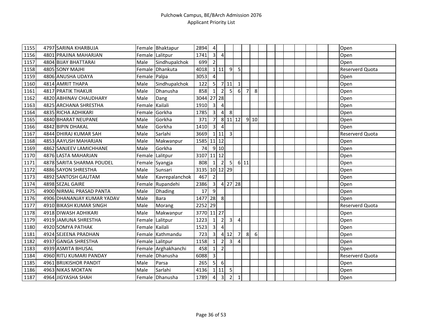| $\sqrt{1155}$ | 4797 SARINA KHARBUJA       |                | Female Bhaktapur    | 2894          | $\overline{4}$          |                |                |                |                |      |  |  |  |  | Open                   |
|---------------|----------------------------|----------------|---------------------|---------------|-------------------------|----------------|----------------|----------------|----------------|------|--|--|--|--|------------------------|
| 1156          | 4801 PRAJINA MAHARJAN      |                | Female Lalitpur     | 1741          | 3 <sup>1</sup>          | $\overline{4}$ |                |                |                |      |  |  |  |  | Open                   |
| 1157          | 4804 BIJAY BHATTARAI       | Male           | Sindhupalchok       | 699           | 2                       |                |                |                |                |      |  |  |  |  | Open                   |
| 1158          | 4805 SONY MAJHI            |                | Female Dhankuta     | 4018          |                         | 111            | 9 <sub>l</sub> | 5              |                |      |  |  |  |  | <b>Reserverd Quota</b> |
| 1159          | 4806 ANUSHA UDAYA          | Female Palpa   |                     | 3053          | $\overline{4}$          |                |                |                |                |      |  |  |  |  | Open                   |
| 1160          | 4814 AMRIT THAPA           | Male           | Sindhupalchok       | 122           | 5 <sup>1</sup>          |                | 7 11           | $\mathbf{1}$   |                |      |  |  |  |  | Open                   |
| 1161          | 4817 PRATIK THAKUR         | Male           | Dhanusha            | 858           | 1 <sup>1</sup>          | $\overline{2}$ | 5 <sub>l</sub> | $6 \mid$       | 7              | 8    |  |  |  |  | Open                   |
| 1162          | 4820 ABHINAV CHAUDHARY     | Male           | Dang                | 3044          |                         | 27 28          |                |                |                |      |  |  |  |  | Open                   |
| 1163          | 4825 ARCHANA SHRESTHA      | Female         | Kailali             | 1910          | $\overline{3}$          | $\overline{4}$ |                |                |                |      |  |  |  |  | Open                   |
| 1164          | 4835 RICHA ADHIKARI        | Female         | Gorkha              | 1785          | $\overline{3}$          | $\overline{4}$ | 8              |                |                |      |  |  |  |  | Open                   |
| 1165          | 4840 BHARAT NEUPANE        | Male           | Gorkha              | 371           | 7 <sup>1</sup>          |                | 8 11 12        |                |                | 9 10 |  |  |  |  | Open                   |
| 1166          | 4842 BIPIN DHAKAL          | Male           | Gorkha              | 1410          | $\overline{3}$          | $\overline{4}$ |                |                |                |      |  |  |  |  | Open                   |
| 1167          | 4844 DHIRAJ KUMAR SAH      | Male           | Sarlahi             | 3669          |                         | 111            | $\overline{3}$ |                |                |      |  |  |  |  | Reserverd Quota        |
| 1168          | 4853 AAYUSH MAHARJAN       | Male           | Makwanpur           | 1585 11 12    |                         |                |                |                |                |      |  |  |  |  | Open                   |
| 1169          | 4862 SANJEEV LAMICHHANE    | Male           | Gorkha              | 74            |                         | 9 10           |                |                |                |      |  |  |  |  | Open                   |
| 1170          | 4876 LASTA MAHARJAN        | Female         | Lalitpur            | 3107          | $11$ 12                 |                |                |                |                |      |  |  |  |  | Open                   |
| 1171          | 4878 SARITA SHARMA POUDEL  |                | Female Syangja      | 808           | $1\vert$                | $\overline{2}$ | 5              |                | 6 11           |      |  |  |  |  | Open                   |
| 1172          | 4886 SAYON SHRESTHA        | Male           | Sunsari             | 3135 10 12 29 |                         |                |                |                |                |      |  |  |  |  | Open                   |
| 1173          | 4892 SANTOSH GAUTAM        | Male           | Kavrepalanchok      | 467           | $\overline{2}$          |                |                |                |                |      |  |  |  |  | Open                   |
| 1174          | 4898 SEZAL GAIRE           |                | Female Rupandehi    | 2386          | $\overline{\mathbf{3}}$ |                | 4 27 28        |                |                |      |  |  |  |  | Open                   |
| 1175          | 4900 NIRMAL PRASAD PANTA   | Male           | <b>Dhading</b>      | 17            | $\overline{9}$          |                |                |                |                |      |  |  |  |  | Open                   |
| 1176          | 4906 DHANANJAY KUMAR YADAV | Male           | <b>Bara</b>         | 1477 28       |                         | $\,8\,$        |                |                |                |      |  |  |  |  | Open                   |
| 1177          | 4910 BIKASH KUMAR SINGH    | Male           | Morang              | 2252 29       |                         |                |                |                |                |      |  |  |  |  | Reserverd Quota        |
| 1178          | 4918 DIWASH ADHIKARI       | Male           | Makwanpur           | 3770 11 27    |                         |                |                |                |                |      |  |  |  |  | Open                   |
| 1179          | 4919 JAMUNA SHRESTHA       |                | Female Lalitpur     | 1223          | $1\vert$                | $\overline{2}$ | $\overline{3}$ | $\overline{4}$ |                |      |  |  |  |  | Open                   |
| 1180          | 4920 SOMYA PATHAK          | Female Kailali |                     | 1523          | $\overline{3}$          | $\overline{4}$ |                |                |                |      |  |  |  |  | Open                   |
| 1181          | 4924 SEJEENA PRADHAN       |                | Female Kathmandu    | 723           | $\overline{3}$          | $\overline{4}$ | 12             | $\overline{7}$ | 8 <sup>°</sup> | 6    |  |  |  |  | Open                   |
| 1182          | 4937 GANGA SHRESTHA        |                | Female Lalitpur     | 1158          | $1\vert$                | $\overline{2}$ | $\overline{3}$ | 4              |                |      |  |  |  |  | Open                   |
| 1183          | 4939 ASMITA BHUSAL         |                | Female Arghakhanchi | 458           | $1\vert$                | $\overline{2}$ |                |                |                |      |  |  |  |  | Open                   |
| 1184          | 4960 RITU KUMARI PANDAY    |                | Female Dhanusha     | 6088          | $\overline{3}$          |                |                |                |                |      |  |  |  |  | Reserverd Quota        |
| 1185          | 4961 BRIJKISHOR PANDIT     | Male           | Parsa               | 265           | 5 <sup>1</sup>          | 6              |                |                |                |      |  |  |  |  | Open                   |
| 1186          | 4963 NIKAS MOKTAN          | Male           | Sarlahi             | 4136          |                         | 111            | 5              |                |                |      |  |  |  |  | Open                   |
| 1187          | 4964 JIGYASHA SHAH         |                | Female Dhanusha     | 1789          | 4                       | $\overline{3}$ | $\overline{2}$ | $\mathbf{1}$   |                |      |  |  |  |  | Open                   |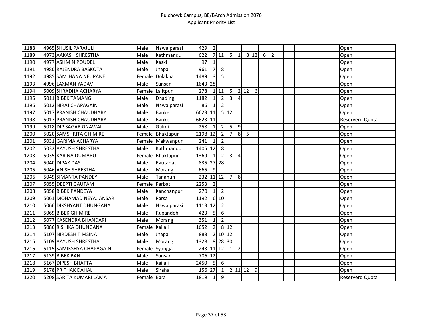| 1188 | 4965 SHUSIL PARAJULI      | Male        | Nawalparasi      | 429       | $\overline{2}$  |                  |                |                |      |      |          |                |  |  |  | Open                   |
|------|---------------------------|-------------|------------------|-----------|-----------------|------------------|----------------|----------------|------|------|----------|----------------|--|--|--|------------------------|
| 1189 | 4973 AAKASH SHRESTHA      | Male        | Kathmandu        | 622       |                 | 7 11             | 5 <sup>1</sup> | $\vert$ 1      |      | 8 12 | $6 \mid$ | $\overline{2}$ |  |  |  | Open                   |
| 1190 | 4977 ASHMIN POUDEL        | Male        | Kaski            | 97        | $\mathbf{1}$    |                  |                |                |      |      |          |                |  |  |  | Open                   |
| 1191 | 4980 RAJENDRA BASKOTA     | Male        | Jhapa            | 961       | $\overline{7}$  | 8                |                |                |      |      |          |                |  |  |  | Open                   |
| 1192 | 4985 SAMJHANA NEUPANE     | Female      | Dolakha          | 1489      | 3 <sup>1</sup>  | 5                |                |                |      |      |          |                |  |  |  | Open                   |
| 1193 | 4996 LAXMAN YADAV         | Male        | Sunsari          | 1643 28   |                 |                  |                |                |      |      |          |                |  |  |  | Open                   |
| 1194 | 5009 SHRADHA ACHARYA      | Female      | Lalitpur         | 278       |                 | 111              | 5 <sub>l</sub> |                | 2 12 | 6    |          |                |  |  |  | Open                   |
| 1195 | 5011 BIBEK TAMANG         | Male        | Dhading          | 1182      | 1               | $\overline{2}$   | $\overline{3}$ | 4              |      |      |          |                |  |  |  | Open                   |
| 1196 | 5012 NIRAJ CHAPAGAIN      | Male        | Nawalparasi      | 86        | $1\overline{ }$ | $\overline{2}$   |                |                |      |      |          |                |  |  |  | Open                   |
| 1197 | 5017 PRANISH CHAUDHARY    | Male        | <b>Banke</b>     | 6623 11   |                 |                  | 5 12           |                |      |      |          |                |  |  |  | Open                   |
| 1198 | 5017 PRANISH CHAUDHARY    | Male        | <b>Banke</b>     | 6623 11   |                 |                  |                |                |      |      |          |                |  |  |  | Reserverd Quota        |
| 1199 | 5018 DIP SAGAR GNAWALI    | Male        | Gulmi            | 258       | 1               | $\overline{2}$   | 5 <sup>1</sup> | 9              |      |      |          |                |  |  |  | Open                   |
| 1200 | 5020 SAMSHRITA GHIMIRE    | Female      | Bhaktapur        | 2198      | 12              | $\overline{2}$   | $\overline{7}$ | 8 <sup>1</sup> | 5    |      |          |                |  |  |  | Open                   |
| 1201 | 5031 GARIMA ACHARYA       |             | Female Makwanpur | 241       | $\mathbf{1}$    | $\overline{2}$   |                |                |      |      |          |                |  |  |  | Open                   |
| 1202 | 5032 AAYUSH SHRESTHA      | Male        | Kathmandu        | 1405      | 12              | 8                |                |                |      |      |          |                |  |  |  | Open                   |
| 1203 | 5035 KARINA DUMARU        | Female      | Bhaktapur        | 1369      | $\mathbf{1}$    | $\overline{2}$   | $\overline{3}$ | $\overline{4}$ |      |      |          |                |  |  |  | Open                   |
| 1204 | 5040 DIPAK DAS            | Male        | Rautahat         | 835       |                 | 27 28            |                |                |      |      |          |                |  |  |  | Open                   |
| 1205 | 5046 ANISH SHRESTHA       | Male        | Morang           | 665       | 9               |                  |                |                |      |      |          |                |  |  |  | Open                   |
| 1206 | 5049 SIMANTA PANDEY       | Male        | Tanahun          | 232       |                 | $11$ 12          | $\overline{7}$ | 8              |      |      |          |                |  |  |  | Open                   |
| 1207 | 5055 DEEPTI GAUTAM        | Female      | Parbat           | 2253      | $\overline{2}$  |                  |                |                |      |      |          |                |  |  |  | Open                   |
| 1208 | 5058 BIBEK PANDEYA        | Male        | Kanchanpur       | 270       | 1 <sup>1</sup>  | $\overline{2}$   |                |                |      |      |          |                |  |  |  | Open                   |
| 1209 | 5061 MOHAMAD NEYAJ ANSARI | Male        | Parsa            | 1192      |                 | 6 10             |                |                |      |      |          |                |  |  |  | Open                   |
| 1210 | 5066 DIKSHYANT DHUNGANA   | Male        | Nawalparasi      | 1113      | 12              | $\overline{2}$   |                |                |      |      |          |                |  |  |  | Open                   |
| 1211 | 5069 BIBEK GHIMIRE        | Male        | Rupandehi        | 423       | 5               | $6 \overline{6}$ |                |                |      |      |          |                |  |  |  | Open                   |
| 1212 | 5077 KASENDRA BHANDARI    | Male        | Morang           | 351       | $\mathbf{1}$    | $\overline{2}$   |                |                |      |      |          |                |  |  |  | Open                   |
| 1213 | 5086 RISHIKA DHUNGANA     | Female      | Kailali          | 1652      | $\overline{2}$  |                  | 8 12           |                |      |      |          |                |  |  |  | Open                   |
| 1214 | 5107 NIRDESH TIMSINA      | Male        | Jhapa            | 888       |                 |                  | $2$ 10 12      |                |      |      |          |                |  |  |  | Open                   |
| 1215 | 5109 AAYUSH SHRESTHA      | Male        | Morang           | 1328      |                 |                  | 8 28 30        |                |      |      |          |                |  |  |  | Open                   |
| 1216 | 5115 SAMIKSHYA CHAPAGAIN  |             | Female Syangja   | 243 11 12 |                 |                  | $\vert$ 1      | $\overline{2}$ |      |      |          |                |  |  |  | Open                   |
| 1217 | 5139 BIBEK BAN            | Male        | Sunsari          | 706 12    |                 |                  |                |                |      |      |          |                |  |  |  | Open                   |
| 1218 | 5167 DIPESH BHATTA        | Male        | Kailali          | 2450      | 5               | $6 \mid$         |                |                |      |      |          |                |  |  |  | Open                   |
| 1219 | 5178 PRITHAK DAHAL        | Male        | Siraha           | 156       | 27              | $1\vert$         |                | 2 11 12        |      | 9    |          |                |  |  |  | Open                   |
| 1220 | 5208 SARITA KUMARI LAMA   | Female Bara |                  | 1819      | $\vert$ 1       | $\overline{9}$   |                |                |      |      |          |                |  |  |  | <b>Reserverd Quota</b> |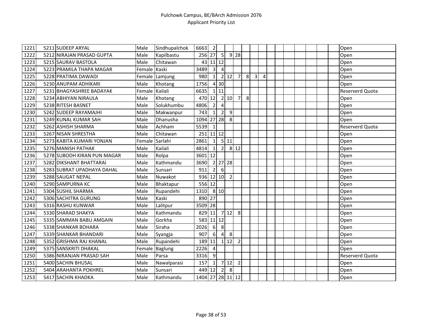| 1221 | 5211 SUDEEP ARYAL           | Male           | Sindhupalchok  | 6663             | $\overline{2}$          |                |                            |                |   |                |                |  |  |  | Open                   |
|------|-----------------------------|----------------|----------------|------------------|-------------------------|----------------|----------------------------|----------------|---|----------------|----------------|--|--|--|------------------------|
| 1222 | 5212 NIRAJAN PRASAD GUPTA   | Male           | Kapilbastu     | 256 27           |                         | 5              |                            | 9 28           |   |                |                |  |  |  | Open                   |
| 1223 | 5215 SAURAV BASTOLA         | Male           | Chitawan       | 43               |                         | $11$ 12        |                            |                |   |                |                |  |  |  | Open                   |
| 1224 | 5223 PRAMILA THAPA MAGAR    | Female Kaski   |                | 3489             | $\overline{\mathbf{3}}$ | 4              |                            |                |   |                |                |  |  |  | Open                   |
| 1225 | 5228 PRATIMA DAWADI         |                | Female Lamjung | 980              | $1\vert$                |                | 2 12                       | 7 <sup>1</sup> | 8 | $\overline{3}$ | $\overline{4}$ |  |  |  | Open                   |
| 1226 | 5230 ANUPAM ADHIKARI        | Male           | Khotang        | 1756             |                         | 4 30           |                            |                |   |                |                |  |  |  | Open                   |
| 1227 | 5231 BHAGYASHREE BADAYAK    | Female Kailali |                | 6635             |                         | 1 11           |                            |                |   |                |                |  |  |  | Reserverd Quota        |
| 1228 | 5234 ABHIYAN NIRAULA        | Male           | Khotang        | 470 12           |                         |                | 2 10                       | $\overline{7}$ | 8 |                |                |  |  |  | Open                   |
| 1229 | 5238 RITESH BASNET          | Male           | Solukhumbu     | 4806             | $\overline{2}$          | $\overline{4}$ |                            |                |   |                |                |  |  |  | Open                   |
| 1230 | 5242 SUDEEP RAYAMAJHI       | Male           | Makwanpur      | 743              | 1                       | $\overline{2}$ | 9                          |                |   |                |                |  |  |  | Open                   |
| 1231 | 5249 KUNAL KUMAR SAH        | Male           | Dhanusha       | 1094             |                         | 27 28          | 8                          |                |   |                |                |  |  |  | Open                   |
| 1232 | 5262 ASHISH SHARMA          | Male           | Achham         | 5539             | $1\vert$                |                |                            |                |   |                |                |  |  |  | <b>Reserverd Quota</b> |
| 1233 | 5267 NISAN SHRESTHA         | Male           | Chitawan       | 251              |                         | $11$ 12        |                            |                |   |                |                |  |  |  | Open                   |
| 1234 | 5273 KABITA KUMARI YONJAN   | Female Sarlahi |                | 2861             | 1                       |                | 5 11                       |                |   |                |                |  |  |  | Open                   |
| 1235 | 5276 MANISH PATHAK          | Male           | Kailali        | 4814             | $1\vert$                | $\overline{2}$ |                            | $8$ 12         |   |                |                |  |  |  | Open                   |
| 1236 | 5278 SUBODH KIRAN PUN MAGAR | Male           | Rolpa          | 3601 12          |                         |                |                            |                |   |                |                |  |  |  | Open                   |
| 1237 | 5282 DIKSHANT BHATTARAI     | Male           | Kathmandu      | 3690             |                         |                | 2 27 28                    |                |   |                |                |  |  |  | Open                   |
| 1238 | 5283 SUBRAT UPADHAYA DAHAL  | Male           | Sunsari        | 911              | $2\vert$                | 6              |                            |                |   |                |                |  |  |  | Open                   |
| 1239 | 5288 SAUGAT NEPAL           | Male           | Nuwakot        | 936 12 10        |                         |                | $\overline{\phantom{0}}$ 2 |                |   |                |                |  |  |  | Open                   |
| 1240 | 5290 SAMPURNA KC            | Male           | Bhaktapur      | 556 12           |                         |                |                            |                |   |                |                |  |  |  | Open                   |
| 1241 | 5304 SUSHIL SHARMA          | Male           | Rupandehi      | 1310             |                         | 8 10           |                            |                |   |                |                |  |  |  | Open                   |
| 1242 | 5306 SACHITRA GURUNG        | Male           | Kaski          | 890 27           |                         |                |                            |                |   |                |                |  |  |  | Open                   |
| 1243 | 5316 RASHU KUNWAR           | Male           | Lalitpur       | 3509 28          |                         |                |                            |                |   |                |                |  |  |  | Open                   |
| 1244 | 5330 SHARAD SHAKYA          | Male           | Kathmandu      | 829              | 11                      |                | 712                        | 8              |   |                |                |  |  |  | Open                   |
| 1245 | 5335 SAMMAN BABU AMGAIN     | Male           | Gorkha         | 583 11 12        |                         |                |                            |                |   |                |                |  |  |  | Open                   |
| 1246 | 5338 SHANKAR BOHARA         | Male           | Siraha         | 2026             | $6\overline{6}$         | 8              |                            |                |   |                |                |  |  |  | Open                   |
| 1247 | 5339 SHANKAR BHANDARI       | Male           | Syangja        | 907              | $6 \mid$                | 4              | 8                          |                |   |                |                |  |  |  | Open                   |
| 1248 | 5352 GRISHMA RAJ KHANAL     | Male           | Rupandehi      | 189              | 11                      |                | $1 \vert 12$               | $\overline{2}$ |   |                |                |  |  |  | Open                   |
| 1249 | 5375 SANSKRITI DHAKAL       |                | Female Baglung | 2226             | $\overline{4}$          |                |                            |                |   |                |                |  |  |  | Open                   |
| 1250 | 5386 NIRANJAN PRASAD SAH    | Male           | Parsa          | 3316             | 9                       |                |                            |                |   |                |                |  |  |  | Reserverd Quota        |
| 1251 | 5400 SACHIN BHUSAL          | Male           | Nawalparasi    | 157              | $\vert$ 1               | $\overline{7}$ | 12                         | $\overline{2}$ |   |                |                |  |  |  | Open                   |
| 1252 | 5404 ARAHANTA POKHREL       | Male           | Sunsari        | 449              | 12                      | $\overline{2}$ | 8                          |                |   |                |                |  |  |  | Open                   |
| 1253 | 5417 SACHIN KHADKA          | Male           | Kathmandu      | 1404 27 28 11 12 |                         |                |                            |                |   |                |                |  |  |  | Open                   |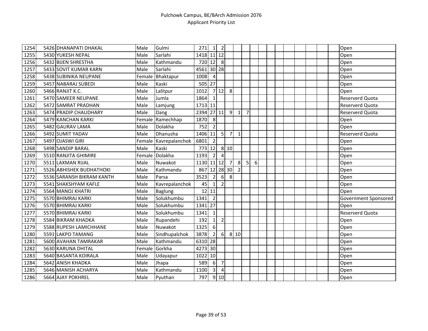| $\sqrt{1254}$ | 5426 DHANAPATI DHAKAL     | Male   | Gulmi                 | 271        | 1                       | $\overline{2}$   |                  |                |                |          |  |  |  |  | Open                 |
|---------------|---------------------------|--------|-----------------------|------------|-------------------------|------------------|------------------|----------------|----------------|----------|--|--|--|--|----------------------|
| 1255          | 5430 YUKESH NEPAL         | Male   | Sarlahi               | 1418 11 12 |                         |                  |                  |                |                |          |  |  |  |  | Open                 |
| 1256          | 5432 BIJEN SHRESTHA       | Male   | Kathmandu             | 720 12     |                         | 8                |                  |                |                |          |  |  |  |  | Open                 |
| 1257          | 5433 SOVIT KUMAR KARN     | Male   | Sarlahi               | 4561       |                         | 30 28            |                  |                |                |          |  |  |  |  | Open                 |
| 1258          | 5438 SUBINIKA NEUPANE     | Female | Bhaktapur             | 1008       | $\overline{4}$          |                  |                  |                |                |          |  |  |  |  | Open                 |
| 1259          | 5457 NABARAJ SUBEDI       | Male   | Kaski                 | 505 27     |                         |                  |                  |                |                |          |  |  |  |  | Open                 |
| 1260          | 5466 RANJIT K.C.          | Male   | Lalitpur              | 1012       |                         | 712              | 8                |                |                |          |  |  |  |  | Open                 |
| 1261          | 5470 SAMEER NEUPANE       | Male   | Jumla                 | 1864       | $\vert$ 1               |                  |                  |                |                |          |  |  |  |  | Reserverd Quota      |
| 1262          | 5472 SAMRAT PRADHAN       | Male   | Lamjung               | 1713 11    |                         |                  |                  |                |                |          |  |  |  |  | Reserverd Quota      |
| 1263          | 5474 PRADIP CHAUDHARY     | Male   | Dang                  | 2394 27 11 |                         |                  | 9                | $\mathbf{1}$   | $\overline{7}$ |          |  |  |  |  | Reserverd Quota      |
| 1264          | 5479 KANCHAN KARKI        | Female | Ramechhap             | 1870       | 8                       |                  |                  |                |                |          |  |  |  |  | Open                 |
| 1265          | 5482 GAURAV LAMA          | Male   | Dolakha               | 752        | $\overline{2}$          |                  |                  |                |                |          |  |  |  |  | Open                 |
| 1266          | 5492 SUMIT YADAV          | Male   | Dhanusha              | 1406       | 11                      | 5                | 7 <sup>1</sup>   | $\mathbf{1}$   |                |          |  |  |  |  | Reserverd Quota      |
| 1267          | 5497 OJASWI GIRI          |        | Female Kavrepalanchok | 6801       | $\overline{2}$          |                  |                  |                |                |          |  |  |  |  | Open                 |
| 1268          | 5498 SANDIP BARAL         | Male   | Kaski                 | 773        | 12                      |                  | 8 10             |                |                |          |  |  |  |  | Open                 |
| 1269          | 5510 RANJITA GHIMIRE      | Female | Dolakha               | 1193       | $\overline{2}$          | $\overline{4}$   |                  |                |                |          |  |  |  |  | Open                 |
| 1270          | 5511 LAXMAN RIJAL         | Male   | Nuwakot               | 1130       |                         | $11$ 12          | $7 \overline{ }$ | 8              | 5 <sup>1</sup> | $6 \mid$ |  |  |  |  | Open                 |
| 1271          | 5526 ABHISHEK BUDHATHOKI  | Male   | Kathmandu             | 867        |                         |                  | 12 28 30         | $\overline{2}$ |                |          |  |  |  |  | Open                 |
| 1272          | 5536 SARANSH BIKRAM KANTH | Male   | Parsa                 | 3523       | $\overline{2}$          | 6                | 8                |                |                |          |  |  |  |  | Open                 |
| 1273          | 5541 SHAKSHYAM KAFLE      | Male   | Kavrepalanchok        | 45         | $\mathbf{1}$            | $\overline{2}$   |                  |                |                |          |  |  |  |  | Open                 |
| 1274          | 5564 MANOJ KHATRI         | Male   | <b>Baglung</b>        | 12         | 11                      |                  |                  |                |                |          |  |  |  |  | Open                 |
| 1275          | 5570 BHIMRAJ KARKI        | Male   | Solukhumbu            | 1341       | $\overline{2}$          |                  |                  |                |                |          |  |  |  |  | Government Sponsored |
| 1276          | 5570 BHIMRAJ KARKI        | Male   | Solukhumbu            | 1341       | 27                      |                  |                  |                |                |          |  |  |  |  | Open                 |
| 1277          | 5570 BHIMRAJ KARKI        | Male   | Solukhumbu            | 1341       | $1\vert$                |                  |                  |                |                |          |  |  |  |  | Reserverd Quota      |
| 1278          | 5584 BIKRAM KHADKA        | Male   | Rupandehi             | 192        | $\vert$ 1               | $\overline{2}$   |                  |                |                |          |  |  |  |  | Open                 |
| 1279          | 5588 RUPESH LAMICHHANE    | Male   | Nuwakot               | 1325       | $6 \overline{6}$        |                  |                  |                |                |          |  |  |  |  | Open                 |
| 1280          | 5591 LAKPO TAMANG         | Male   | Sindhupalchok         | 3878       | $\overline{2}$          | $6 \overline{6}$ |                  | 8 10           |                |          |  |  |  |  | Open                 |
| 1281          | 5600 AVAHAN TAMRAKAR      | Male   | Kathmandu             | 6310 28    |                         |                  |                  |                |                |          |  |  |  |  | Open                 |
| 1282          | 5630 KARUNA DHITAL        | Female | Gorkha                | 4273 30    |                         |                  |                  |                |                |          |  |  |  |  | Open                 |
| 1283          | 5640 BASANTA KOIRALA      | Male   | Udayapur              | 1022 10    |                         |                  |                  |                |                |          |  |  |  |  | Open                 |
| 1284          | 5642 ANISH KHADKA         | Male   | Jhapa                 | 589        | 6                       | $\overline{7}$   |                  |                |                |          |  |  |  |  | Open                 |
| 1285          | 5646 MANISH ACHARYA       | Male   | Kathmandu             | 1100       | $\overline{\mathbf{3}}$ | $\overline{4}$   |                  |                |                |          |  |  |  |  | Open                 |
| 1286          | 5664 AJAY POKHREL         | Male   | Pyuthan               | 797        |                         | 910              |                  |                |                |          |  |  |  |  | Open                 |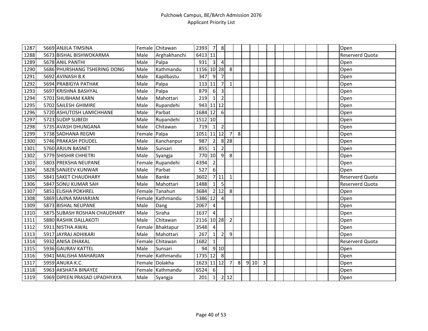| 1287 | 5669 ANJILA TIMSINA          |        | Female Chitawan  | 2393       | 7              | 8              |                |   |      |   |  |  |  | Open            |
|------|------------------------------|--------|------------------|------------|----------------|----------------|----------------|---|------|---|--|--|--|-----------------|
| 1288 | 5673 BISHAL BISHWOKARMA      | Male   | Arghakhanchi     | 6413 11    |                |                |                |   |      |   |  |  |  | Reserverd Quota |
| 1289 | 5678 ANIL PANTHI             | Male   | Palpa            | 931        | $\overline{3}$ | $\overline{4}$ |                |   |      |   |  |  |  | Open            |
| 1290 | 5686 PHURSHANG TSHERING DONG | Male   | Kathmandu        | 1156       |                | $10$   28      | 8              |   |      |   |  |  |  | Open            |
| 1291 | 5692 AVINASH B.K             | Male   | Kapilbastu       | 347        | 9              | $\overline{7}$ |                |   |      |   |  |  |  | Open            |
| 1292 | 5694 PRABIGYA PATHAK         | Male   | Palpa            | 113        | 11             | $\overline{7}$ | $\mathbf{1}$   |   |      |   |  |  |  | Open            |
| 1293 | 5697 KRISHNA BASHYAL         | Male   | Palpa            | 879        | $6 \mid$       | 3              |                |   |      |   |  |  |  | Open            |
| 1294 | 5701 SHUBHAM KARN            | Male   | Mahottari        | 219        | $\mathbf{1}$   | $\overline{2}$ |                |   |      |   |  |  |  | Open            |
| 1295 | 5702 SAILESH GHIMIRE         | Male   | Rupandehi        | 943 11 12  |                |                |                |   |      |   |  |  |  | Open            |
| 1296 | 5720 ASHUTOSH LAMICHHANE     | Male   | Parbat           | 1684 12    |                | 6              |                |   |      |   |  |  |  | Open            |
| 1297 | 5723 SUDIP SUBEDI            | Male   | Rupandehi        | 1512 10    |                |                |                |   |      |   |  |  |  | Open            |
| 1298 | 5735 AVASH DHUNGANA          | Male   | Chitawan         | 719        | $\mathbf{1}$   | $\overline{2}$ |                |   |      |   |  |  |  | Open            |
| 1299 | 5738 SADHANA REGMI           | Female | Palpa            | 1051       |                | $11$ 12        | $\overline{7}$ | 8 |      |   |  |  |  | Open            |
| 1300 | 5746 PRAKASH POUDEL          | Male   | Kanchanpur       | 987        | $\overline{2}$ |                | 8 28           |   |      |   |  |  |  | Open            |
| 1301 | 5760 ARJUN BASNET            | Male   | Sunsari          | 855        | $\mathbf{1}$   | $\overline{2}$ |                |   |      |   |  |  |  | Open            |
| 1302 | 5779 SHISHIR CHHETRI         | Male   | Syangja          | 770 10     |                | 9              | 8              |   |      |   |  |  |  | Open            |
| 1303 | 5803 PREKSHA NEUPANE         |        | Female Rupandehi | 4394       | $\overline{2}$ |                |                |   |      |   |  |  |  | Open            |
| 1304 | 5828 SANJEEV KUNWAR          | Male   | Parbat           | 527        | 6              |                |                |   |      |   |  |  |  | Open            |
| 1305 | 5841 SAKET CHAUDHARY         | Male   | <b>Banke</b>     | 3602       |                | 7 11           | $\mathbf{1}$   |   |      |   |  |  |  | Reserverd Quota |
| 1306 | 5847 SONU KUMAR SAH          | Male   | Mahottari        | 1488       | $1\vert$       | 5              |                |   |      |   |  |  |  | Reserverd Quota |
| 1307 | 5851 ELISHA POKHREL          | Female | Tanahun          | 3684       |                | 2 12           | 8 <sup>1</sup> |   |      |   |  |  |  | Open            |
| 1308 | 5869 LAJINA MAHARJAN         |        | Female Kathmandu | 5386 12    |                | $\overline{4}$ |                |   |      |   |  |  |  | Open            |
| 1309 | 5873 BISHAL NEUPANE          | Male   | Dang             | 2067       | $\overline{a}$ |                |                |   |      |   |  |  |  | Open            |
| 1310 | 5875 SUBASH ROSHAN CHAUDHARY | Male   | Siraha           | 1637       | $\overline{4}$ |                |                |   |      |   |  |  |  | Open            |
| 1311 | 5880 RASHIK DALLAKOTI        | Male   | Chitawan         | 2116 10 28 |                |                | $\overline{2}$ |   |      |   |  |  |  | Open            |
| 1312 | 5911 NISTHA AWAL             |        | Female Bhaktapur | 3548       | 4              |                |                |   |      |   |  |  |  | Open            |
| 1313 | 5917 JAYRAJ ADHIKARI         | Male   | Mahottari        | 267        | $\mathbf{1}$   | $\overline{2}$ | $\overline{9}$ |   |      |   |  |  |  | Open            |
| 1314 | 5932 ANISA DHAKAL            | Female | Chitawan         | 1682       | $\mathbf{1}$   |                |                |   |      |   |  |  |  | Reserverd Quota |
| 1315 | 5936 GAURAV KATTEL           | Male   | Sunsari          | 94         |                | 9 10           |                |   |      |   |  |  |  | Open            |
| 1316 | 5941 MALISHA MAHARJAN        |        | Female Kathmandu | 1735 12    |                | 8              |                |   |      |   |  |  |  | Open            |
| 1317 | 5959 ANUKA K.C.              |        | Female Dolakha   | 1623       |                | $11$ $12$      | $\overline{7}$ | 8 | 9 10 | 3 |  |  |  | Open            |
| 1318 | 5963 AKSHATA BINAYEE         |        | Female Kathmandu | 6524       | 6              |                |                |   |      |   |  |  |  | Open            |
| 1319 | 5969 DIPEEN PRASAD UPADHYAYA | Male   | Syangja          | 201        | 1              |                | 2 12           |   |      |   |  |  |  | Open            |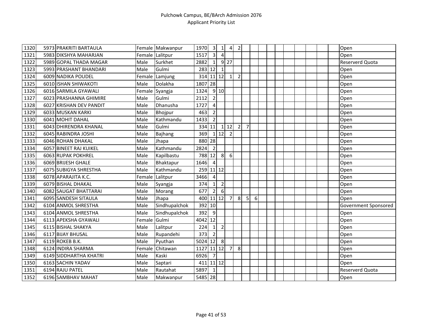| 1320 | 5973 PRAKRITI BARTAULA  |        | Female Makwanpur | 1970      | $\overline{\mathbf{3}}$ | $\mathbf{1}$      | 4              | $\overline{2}$ |                |                |  |  |  |  | Open                 |
|------|-------------------------|--------|------------------|-----------|-------------------------|-------------------|----------------|----------------|----------------|----------------|--|--|--|--|----------------------|
| 1321 | 5983 DIKSHYA MAHARJAN   |        | Female Lalitpur  | 1517      | $\overline{\mathbf{3}}$ | $\overline{4}$    |                |                |                |                |  |  |  |  | Open                 |
| 1322 | 5989 GOPAL THADA MAGAR  | Male   | Surkhet          | 2882      | $1\vert$                |                   | $9$ 27         |                |                |                |  |  |  |  | Reserverd Quota      |
| 1323 | 5993 PRASHANT BHANDARI  | Male   | Gulmi            | 283       | 12                      | $\mathbf{1}$      |                |                |                |                |  |  |  |  | Open                 |
| 1324 | 6009 NADIKA POUDEL      | Female | Lamjung          | 314       |                         | $11 \mid 12 \mid$ | 1              | $\overline{2}$ |                |                |  |  |  |  | Open                 |
| 1325 | 6010 ISHAN SHIWAKOTI    | Male   | Dolakha          | 1807      | 28                      |                   |                |                |                |                |  |  |  |  | Open                 |
| 1326 | 6016 SARMILA GYAWALI    |        | Female Syangja   | 1324      |                         | 9 10              |                |                |                |                |  |  |  |  | Open                 |
| 1327 | 6023 PRASHANNA GHIMIRE  | Male   | Gulmi            | 2112      | $\overline{2}$          |                   |                |                |                |                |  |  |  |  | Open                 |
| 1328 | 6027 KRISHAN DEV PANDIT | Male   | Dhanusha         | 1727      | $\vert$                 |                   |                |                |                |                |  |  |  |  | Open                 |
| 1329 | 6033 MUSKAN KARKI       | Male   | Bhojpur          | 463       | $\overline{2}$          |                   |                |                |                |                |  |  |  |  | Open                 |
| 1330 | 6041 MOHIT DAHAL        | Male   | Kathmandu        | 1433      | $\overline{2}$          |                   |                |                |                |                |  |  |  |  | Open                 |
| 1331 | 6043 DHIRENDRA KHANAL   | Male   | Gulmi            | 334       | 11                      |                   | $1 \vert 12$   | $\overline{2}$ | $\overline{7}$ |                |  |  |  |  | Open                 |
| 1332 | 6045 RABINDRA JOSHI     | Male   | Bajhang          | 369       |                         | 1112              | $\overline{2}$ |                |                |                |  |  |  |  | Open                 |
| 1333 | 6046 ROHAN DHAKAL       | Male   | Jhapa            | 880 28    |                         |                   |                |                |                |                |  |  |  |  | Open                 |
| 1334 | 6057 BINEET RAJ KUIKEL  | Male   | Kathmandu        | 2824      | $\overline{2}$          |                   |                |                |                |                |  |  |  |  | Open                 |
| 1335 | 6063 RUPAK POKHREL      | Male   | Kapilbastu       | 788       | 12                      | 8                 | 6              |                |                |                |  |  |  |  | Open                 |
| 1336 | 6069 BRIJESH GHALE      | Male   | Bhaktapur        | 1646      | $\overline{4}$          |                   |                |                |                |                |  |  |  |  | Open                 |
| 1337 | 6075 SUBIGYA SHRESTHA   | Male   | Kathmandu        | 259 11 12 |                         |                   |                |                |                |                |  |  |  |  | Open                 |
| 1338 | 6078 APARAJITA K.C.     | Female | Lalitpur         | 3466      | $\overline{4}$          |                   |                |                |                |                |  |  |  |  | Open                 |
| 1339 | 6079 BISHAL DHAKAL      | Male   | Syangja          | 374       | $1\vert$                | $\overline{2}$    |                |                |                |                |  |  |  |  | Open                 |
| 1340 | 6082 SAUGAT BHATTARAI   | Male   | Morang           | 677       | $\overline{2}$          | $6\phantom{1}6$   |                |                |                |                |  |  |  |  | Open                 |
| 1341 | 6095 SANDESH SITAULA    | Male   | Jhapa            | 400 11 12 |                         |                   | $\overline{7}$ | 8              | $\overline{5}$ | 6 <sup>1</sup> |  |  |  |  | Open                 |
| 1342 | 6104 ANMOL SHRESTHA     | Male   | Sindhupalchok    | 392       | 10                      |                   |                |                |                |                |  |  |  |  | Government Sponsored |
| 1343 | 6104 ANMOL SHRESTHA     | Male   | Sindhupalchok    | 392       | $\overline{9}$          |                   |                |                |                |                |  |  |  |  | Open                 |
| 1344 | 6113 APEKSHA GYAWALI    | Female | Gulmi            | 4042      | 12                      |                   |                |                |                |                |  |  |  |  | Open                 |
| 1345 | 6115 BISHAL SHAKYA      | Male   | Lalitpur         | 224       | $1\vert$                | $\overline{2}$    |                |                |                |                |  |  |  |  | Open                 |
| 1346 | 6117 BIJAY BHUSAL       | Male   | Rupandehi        | 373       | $\overline{2}$          |                   |                |                |                |                |  |  |  |  | Open                 |
| 1347 | 6119 ROKEB B.K.         | Male   | Pyuthan          | 5024      | 12                      | 8                 |                |                |                |                |  |  |  |  | Open                 |
| 1348 | 6124 INDIRA SHARMA      | Female | Chitawan         | 1127      |                         |                   | 11 12 7        | 8              |                |                |  |  |  |  | Open                 |
| 1349 | 6149 SIDDHARTHA KHATRI  | Male   | Kaski            | 6926      | $\overline{7}$          |                   |                |                |                |                |  |  |  |  | Open                 |
| 1350 | 6163 SACHIN YADAV       | Male   | Saptari          | 411       |                         | $11$ 12           |                |                |                |                |  |  |  |  | Open                 |
| 1351 | 6194 RAJU PATEL         | Male   | Rautahat         | 5897      | $1\vert$                |                   |                |                |                |                |  |  |  |  | Reserverd Quota      |
| 1352 | 6196 SAMBHAV MAHAT      | Male   | Makwanpur        | 5485 28   |                         |                   |                |                |                |                |  |  |  |  | Open                 |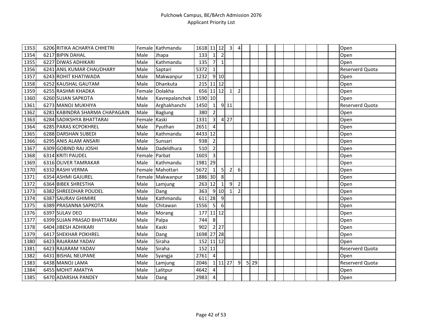| 1353 | 6206 RITIKA ACHARYA CHHETRI    |               | Female Kathmandu | 1618 11 12  |                         |                | $\overline{3}$ | $\overline{4}$ |          |  |  |  |  | Open                   |
|------|--------------------------------|---------------|------------------|-------------|-------------------------|----------------|----------------|----------------|----------|--|--|--|--|------------------------|
| 1354 | 6217 BIPIN DAHAL               | Male          | Jhapa            | 133         | $1\vert$                | $\overline{2}$ |                |                |          |  |  |  |  | Open                   |
| 1355 | 6227 DIWAS ADHIKARI            | Male          | Kathmandu        | 135         | 7                       | $\mathbf{1}$   |                |                |          |  |  |  |  | Open                   |
| 1356 | 6241 ANIL KUMAR CHAUDHARY      | Male          | Saptari          | 5372        | $\vert$ 1               |                |                |                |          |  |  |  |  | <b>Reserverd Quota</b> |
| 1357 | 6243 ROHIT KHATIWADA           | Male          | Makwanpur        | 1232        |                         | 9 10           |                |                |          |  |  |  |  | Open                   |
| 1358 | 6252 KAUSHAL GAUTAM            | Male          | Dhankuta         | 215 11 12   |                         |                |                |                |          |  |  |  |  | Open                   |
| 1359 | 6255 RASHMI KHADKA             | Female        | Dolakha          | 656 11 12 1 |                         |                |                | $\overline{2}$ |          |  |  |  |  | Open                   |
| 1360 | 6260 SUJAN SAPKOTA             | Male          | Kavrepalanchok   | 1590 10     |                         |                |                |                |          |  |  |  |  | Open                   |
| 1361 | 6273 MANOJ MUKHIYA             | Male          | Arghakhanchi     | 1450        | $\vert$ 1               |                | $9$ 11         |                |          |  |  |  |  | Reserverd Quota        |
| 1362 | 6281 KABINDRA SHARMA CHAPAGAIN | Male          | <b>Baglung</b>   | 380         | $\overline{2}$          |                |                |                |          |  |  |  |  | Open                   |
| 1363 | 6284 SADIKSHYA BHATTARAI       | Female Kaski  |                  | 1331        | $\overline{3}$          |                | 4 27           |                |          |  |  |  |  | Open                   |
| 1364 | 6285 PARAS KCPOKHREL           | Male          | Pyuthan          | 2651        | $\overline{4}$          |                |                |                |          |  |  |  |  | Open                   |
| 1365 | 6288 DARSHAN SUBEDI            | Male          | Kathmandu        | 4433        | 12                      |                |                |                |          |  |  |  |  | Open                   |
| 1366 | 6295 ANIS ALAM ANSARI          | Male          | Sunsari          | 938         | $\overline{2}$          |                |                |                |          |  |  |  |  | Open                   |
| 1367 | 6309 GOBIND RAJ JOSHI          | Male          | Dadeldhura       | 510         | $\overline{2}$          |                |                |                |          |  |  |  |  | Open                   |
| 1368 | 6314 KRITI PAUDEL              | Female Parbat |                  | 1603        | $\overline{\mathbf{3}}$ |                |                |                |          |  |  |  |  | Open                   |
| 1369 | 6316 OLIVER TAMRAKAR           | Male          | Kathmandu        | 1981 29     |                         |                |                |                |          |  |  |  |  | Open                   |
| 1370 | 6332 RASHI VERMA               |               | Female Mahottari | 5672        | $\vert$ 1               | 5              | $\overline{2}$ | 6              |          |  |  |  |  | Open                   |
| 1371 | 6354 ASHMI GAJUREL             |               | Female Makwanpur | 1886 30     |                         | 8              |                |                |          |  |  |  |  | Open                   |
| 1372 | 6364 BIBEK SHRESTHA            | Male          | Lamjung          | 263         | 12                      | $\mathbf{1}$   | 9              | $\overline{2}$ |          |  |  |  |  | Open                   |
| 1373 | 6382 SHREEDHAR POUDEL          | Male          | Dang             | 363         |                         | 9 10           | $\mathbf{1}$   | $\overline{2}$ |          |  |  |  |  | Open                   |
| 1374 | 6387 SAURAV GHIMIRE            | Male          | Kathmandu        | 611 28      |                         | 9              |                |                |          |  |  |  |  | Open                   |
| 1375 | 6389 PRASANNA SAPKOTA          | Male          | Chitawan         | 1556        | 5                       | $6\,$          |                |                |          |  |  |  |  | Open                   |
| 1376 | 6397 SULAV DEO                 | Male          | Morang           | 177         |                         | $11$ 12        |                |                |          |  |  |  |  | Open                   |
| 1377 | 6399 SUJAN PRASAD BHATTARAI    | Male          | Palpa            | 744         | 8                       |                |                |                |          |  |  |  |  | Open                   |
| 1378 | 6404 JIBESH ADHIKARI           | Male          | Kaski            | 902         |                         | 2 27           |                |                |          |  |  |  |  | Open                   |
| 1379 | 6417 SHEKHAR POKHREL           | Male          | Dang             | 1698 27 28  |                         |                |                |                |          |  |  |  |  | Open                   |
| 1380 | 6423 RAJARAM YADAV             | Male          | Siraha           | 152         | 11 12                   |                |                |                |          |  |  |  |  | Open                   |
| 1381 | 6423 RAJARAM YADAV             | Male          | Siraha           | 152         | 11                      |                |                |                |          |  |  |  |  | Reserverd Quota        |
| 1382 | 6431 BISHAL NEUPANE            | Male          | Syangja          | 2761        | $\overline{4}$          |                |                |                |          |  |  |  |  | Open                   |
| 1383 | 6438 MANOJ LAMA                | Male          | Lamjung          | 2046        |                         |                | 1 11 27        | 9              | $5$   29 |  |  |  |  | Reserverd Quota        |
| 1384 | 6455 MOHIT AMATYA              | Male          | Lalitpur         | 4642        | $\vert$                 |                |                |                |          |  |  |  |  | Open                   |
| 1385 | 6470 ADARSHA PANDEY            | Male          | Dang             | 2983        | $\overline{4}$          |                |                |                |          |  |  |  |  | Open                   |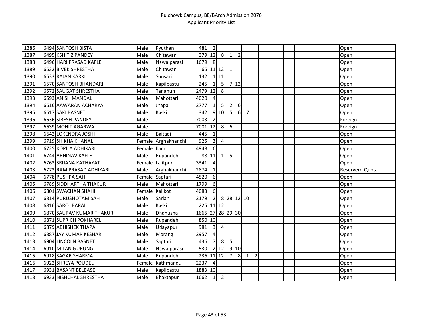| 1386 | 6494 SANTOSH BISTA       | Male           | Pyuthan             | 481              | $\overline{2}$          |                         |                |                |                 |                |  |  |  |  | Open            |
|------|--------------------------|----------------|---------------------|------------------|-------------------------|-------------------------|----------------|----------------|-----------------|----------------|--|--|--|--|-----------------|
| 1387 | 6495 KSHITIZ PANDEY      | Male           | Chitawan            | 379 12           |                         | 8                       | $\mathbf{1}$   | $\overline{2}$ |                 |                |  |  |  |  | Open            |
| 1388 | 6496 HARI PRASAD KAFLE   | Male           | Nawalparasi         | 1679             | 8                       |                         |                |                |                 |                |  |  |  |  | Open            |
| 1389 | 6532 BIVEK SHRESTHA      | Male           | Chitawan            | 65               | 11 12                   |                         | $\mathbf{1}$   |                |                 |                |  |  |  |  | Open            |
| 1390 | 6533 RAJAN KARKI         | Male           | Sunsari             | 132              |                         | 111                     |                |                |                 |                |  |  |  |  | Open            |
| 1391 | 6570 SANTOSH BHANDARI    | Male           | Kapilbastu          | 245              | $\mathbf{1}$            | 5 <sub>l</sub>          |                | 712            |                 |                |  |  |  |  | Open            |
| 1392 | 6572 SAUGAT SHRESTHA     | Male           | Tanahun             | 2479 12          |                         | 8                       |                |                |                 |                |  |  |  |  | Open            |
| 1393 | 6593 ANISH MANDAL        | Male           | Mahottari           | 4020             | $\overline{a}$          |                         |                |                |                 |                |  |  |  |  | Open            |
| 1394 | 6616 AAWARAN ACHARYA     | Male           | Jhapa               | 2777             | $1\vert$                | 5 <sub>l</sub>          | $\overline{2}$ | 6              |                 |                |  |  |  |  | Open            |
| 1395 | 6617 SAKI BASNET         | Male           | Kaski               | 342              |                         | 9 10                    | 5              | $6 \mid$       | $\overline{7}$  |                |  |  |  |  | Open            |
| 1396 | 6636 SIBESH PANDEY       | Male           |                     | 7003             | $\overline{2}$          |                         |                |                |                 |                |  |  |  |  | Foreign         |
| 1397 | 6639 MOHIT AGARWAL       | Male           |                     | 7001             | 12                      | 8                       | $6 \mid$       |                |                 |                |  |  |  |  | Foreign         |
| 1398 | 6642 LOKENDRA JOSHI      | Male           | <b>Baitadi</b>      | 445              | $\mathbf{1}$            |                         |                |                |                 |                |  |  |  |  | Open            |
| 1399 | 6719 SHIKHA KHANAL       |                | Female Arghakhanchi | 925              | $\overline{\mathbf{3}}$ | $\overline{\mathbf{4}}$ |                |                |                 |                |  |  |  |  | Open            |
| 1400 | 6725 KOPILA ADHIKARI     | Female Illam   |                     | 4948             | 6                       |                         |                |                |                 |                |  |  |  |  | Open            |
| 1401 | 6744 ABHINAV KAFLE       | Male           | Rupandehi           | 88               | 11                      | $1\vert$                | 5              |                |                 |                |  |  |  |  | Open            |
| 1402 | 6763 SRIJANA KATHAYAT    |                | Female Lalitpur     | 3341             | 4                       |                         |                |                |                 |                |  |  |  |  | Open            |
| 1403 | 6773 RAM PRASAD ADHIKARI | Male           | Arghakhanchi        | 2874             | $\mathbf{1}$            |                         |                |                |                 |                |  |  |  |  | Reserverd Quota |
| 1404 | 6778 PUSHPA SAH          | Female Saptari |                     | 4520             | 6                       |                         |                |                |                 |                |  |  |  |  | Open            |
| 1405 | 6789 SIDDHARTHA THAKUR   | Male           | Mahottari           | 1799             | 6                       |                         |                |                |                 |                |  |  |  |  | Open            |
| 1406 | 6801 SWACHAN SHAHI       | Female         | Kalikot             | 4083             | 6                       |                         |                |                |                 |                |  |  |  |  | Open            |
| 1407 | 6814 PURUSHOTAM SAH      | Male           | Sarlahi             | 2179             | $\overline{2}$          |                         | 8 28 12 10     |                |                 |                |  |  |  |  | Open            |
| 1408 | 6816 SAROJ BARAL         | Male           | Kaski               | 225              | $11$ 12                 |                         |                |                |                 |                |  |  |  |  | Open            |
| 1409 | 6870 SAURAV KUMAR THAKUR | Male           | Dhanusha            | 1665 27 28 29 30 |                         |                         |                |                |                 |                |  |  |  |  | Open            |
| 1410 | 6871 SUPRICH POKHAREL    | Male           | Rupandehi           | 850 10           |                         |                         |                |                |                 |                |  |  |  |  | Open            |
| 1411 | 6879 ABHISHEK THAPA      | Male           | Udayapur            | 981              | $\overline{\mathbf{3}}$ | $\overline{4}$          |                |                |                 |                |  |  |  |  | Open            |
| 1412 | 6887 JAY KUMAR KESHARI   | Male           | Morang              | 2957             | $\overline{4}$          |                         |                |                |                 |                |  |  |  |  | Open            |
| 1413 | 6904 LINCOLN BASNET      | Male           | Saptari             | 436              | 7 <sup>1</sup>          | 8                       | 5 <sub>l</sub> |                |                 |                |  |  |  |  | Open            |
| 1414 | 6910 MILAN GURUNG        | Male           | Nawalparasi         | 530              |                         | $2$   12                |                | 9 10           |                 |                |  |  |  |  | Open            |
| 1415 | 6918 SAGAR SHARMA        | Male           | Rupandehi           | 236 11 12        |                         |                         | $\overline{7}$ | 8              | $1\overline{)}$ | $\overline{2}$ |  |  |  |  | Open            |
| 1416 | 6922 SHREYA POUDEL       | Female         | Kathmandu           | 2237             | $\overline{a}$          |                         |                |                |                 |                |  |  |  |  | Open            |
| 1417 | 6931 BASANT BELBASE      | Male           | Kapilbastu          | 1883 10          |                         |                         |                |                |                 |                |  |  |  |  | Open            |
| 1418 | 6933 NISHCHAL SHRESTHA   | Male           | Bhaktapur           | 1662             | $\vert$ 1               | $\overline{2}$          |                |                |                 |                |  |  |  |  | Open            |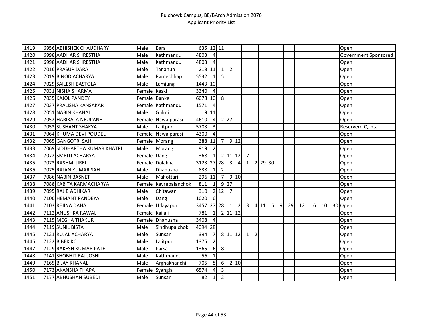| 1419 | 6956 ABHISHEK CHAUDHARY      | Male           | <b>Bara</b>           | 635 12 11 |                |                |                     |                |                |                |      |           |   |    |    |   |           | Open                 |
|------|------------------------------|----------------|-----------------------|-----------|----------------|----------------|---------------------|----------------|----------------|----------------|------|-----------|---|----|----|---|-----------|----------------------|
| 1420 | 6998 AADHAR SHRESTHA         | Male           | Kathmandu             | 4803      | $\vert$        |                |                     |                |                |                |      |           |   |    |    |   |           | Government Sponsored |
| 1421 | 6998 AADHAR SHRESTHA         | Male           | Kathmandu             | 4803      | $\overline{4}$ |                |                     |                |                |                |      |           |   |    |    |   |           | Open                 |
| 1422 | 7016 PRASUP DARAI            | Male           | Tanahun               | 218 11    |                | $\mathbf{1}$   | $\overline{2}$      |                |                |                |      |           |   |    |    |   |           | Open                 |
| 1423 | 7019 BINOD ACHARYA           | Male           | Ramechhap             | 5532      | 1              | 5              |                     |                |                |                |      |           |   |    |    |   |           | Open                 |
| 1424 | 7029 SAILESH BASTOLA         | Male           | Lamjung               | 1443 10   |                |                |                     |                |                |                |      |           |   |    |    |   |           | Open                 |
| 1425 | 7031 NISHA SHARMA            | Female Kaski   |                       | 3340      | $\overline{4}$ |                |                     |                |                |                |      |           |   |    |    |   |           | Open                 |
| 1426 | 7035 KAJOL PANDEY            | Female Banke   |                       | 6078 10   |                | 8              |                     |                |                |                |      |           |   |    |    |   |           | Open                 |
| 1427 | 7037 PRALISHA KANSAKAR       |                | Female Kathmandu      | 1571      | $\overline{4}$ |                |                     |                |                |                |      |           |   |    |    |   |           | Open                 |
| 1428 | 7051 NABIN KHANAL            | Male           | Gulmi                 |           | $9$ 11         |                |                     |                |                |                |      |           |   |    |    |   |           | Open                 |
| 1429 | 7052 HARIKALA NEUPANE        |                | Female Nawalparasi    | 4610      | $\overline{4}$ |                | $2 \overline{27}$   |                |                |                |      |           |   |    |    |   |           | Open                 |
| 1430 | 7053 SUSHANT SHAKYA          | Male           | Lalitpur              | 5703      | $\mathbf{3}$   |                |                     |                |                |                |      |           |   |    |    |   |           | Reserverd Quota      |
| 1431 | 7064 KHUMA DEVI POUDEL       |                | Female Nawalparasi    | 4300      | $\overline{4}$ |                |                     |                |                |                |      |           |   |    |    |   |           | Open                 |
| 1432 | 7065 GANGOTRI SAH            |                | Female Morang         | 388       | 11             | $\overline{7}$ |                     | $9$ 12         |                |                |      |           |   |    |    |   |           | Open                 |
| 1433 | 7069 SIDDHARTHA KUMAR KHATRI | Male           | Morang                | 919       | $\overline{2}$ |                |                     |                |                |                |      |           |   |    |    |   |           | Open                 |
| 1434 | 7072 SMRITI ACHARYA          | Female Dang    |                       | 368       | $\mathbf{1}$   |                | $2 \mid 11 \mid 12$ |                | $\overline{7}$ |                |      |           |   |    |    |   |           | Open                 |
| 1435 | 7073 RASHMI JIREL            |                | Female Dolakha        | 3123      |                | 27 28          | $\overline{3}$      | $\overline{4}$ | $\mathbf{1}$   |                |      | $2$ 29 30 |   |    |    |   |           | Open                 |
| 1436 | 7075 RAJAN KUMAR SAH         | Male           | Dhanusha              | 838       | $1\vert$       | $\overline{2}$ |                     |                |                |                |      |           |   |    |    |   |           | Open                 |
| 1437 | 7086 NABIN BASNET            | Male           | Mahottari             | 296 11    |                | $\overline{7}$ |                     | 910            |                |                |      |           |   |    |    |   |           | Open                 |
| 1438 | 7088 KABITA KARMACHARYA      |                | Female Kavrepalanchok | 811       | $\mathbf{1}$   |                | $9$   27            |                |                |                |      |           |   |    |    |   |           | Open                 |
| 1439 | 7095 RAJIB ADHIKARI          | Male           | Chitawan              | 310       |                | 2 12           | $\overline{7}$      |                |                |                |      |           |   |    |    |   |           | Open                 |
| 1440 | 7100 HEMANT PANDEYA          | Male           | Dang                  | 1020      | $6 \mid$       |                |                     |                |                |                |      |           |   |    |    |   |           | Open                 |
| 1441 | 7103 REJINA DAHAL            | Female         | Udayapur              | 3457      |                | $27$ 28        | 1                   | $\overline{2}$ | $\overline{3}$ |                | 4 11 | 5         | 9 | 29 | 12 | 6 | <b>10</b> | 30 Open              |
| 1442 | 7112 ANUSHKA RAWAL           | Female Kailali |                       | 781       | $1\vert$       |                | $2 \mid 11 \mid 12$ |                |                |                |      |           |   |    |    |   |           | Open                 |
| 1443 | 7115 MEGHA THAKUR            |                | Female Dhanusha       | 3408      | $\overline{4}$ |                |                     |                |                |                |      |           |   |    |    |   |           | Open                 |
| 1444 | 7119 SUNIL BISTA             | Male           | Sindhupalchok         | 4094 28   |                |                |                     |                |                |                |      |           |   |    |    |   |           | Open                 |
| 1445 | 7121 RUJAL ACHARYA           | Male           | Sunsari               | 394       | $\overline{7}$ |                | 8 11 12             |                | 1              | $\overline{2}$ |      |           |   |    |    |   |           | Open                 |
| 1446 | 7122 BIBEK KC                | Male           | Lalitpur              | 1375      | 2              |                |                     |                |                |                |      |           |   |    |    |   |           | Open                 |
| 1447 | 7129 RAKESH KUMAR PATEL      | Male           | Parsa                 | 1365      | $6 \mid$       | 8              |                     |                |                |                |      |           |   |    |    |   |           | Open                 |
| 1448 | 7141 SHOBHIT RAJ JOSHI       | Male           | Kathmandu             | 56        | $1\vert$       |                |                     |                |                |                |      |           |   |    |    |   |           | Open                 |
| 1449 | 7165 BIJAY KHANAL            | Male           | Arghakhanchi          | 705       | 8              | 6              |                     | 2 10           |                |                |      |           |   |    |    |   |           | Open                 |
| 1450 | 7173 AKANSHA THAPA           |                | Female Syangja        | 6574      | $\overline{4}$ | $\mathbf{3}$   |                     |                |                |                |      |           |   |    |    |   |           | Open                 |
| 1451 | 7177 ABHUSHAN SUBEDI         | Male           | Sunsari               | 82        | 1              | $\overline{2}$ |                     |                |                |                |      |           |   |    |    |   |           | Open                 |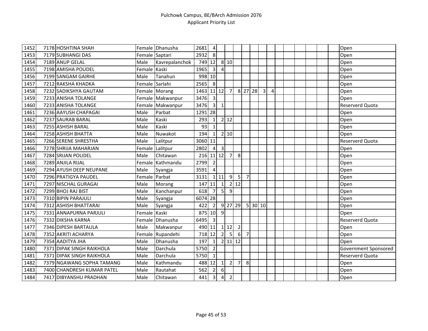| 1452 | 7178 HOSHTINA SHAH         |                | Female Dhanusha  | 2681      | $\overline{4}$          |                         |                |                 |                |         |                |                |  |  |  | Open                   |
|------|----------------------------|----------------|------------------|-----------|-------------------------|-------------------------|----------------|-----------------|----------------|---------|----------------|----------------|--|--|--|------------------------|
| 1453 | 7179 SUBHANGI DAS          | Female Saptari |                  | 2932      | 8                       |                         |                |                 |                |         |                |                |  |  |  | Open                   |
| 1454 | 7189 ANUP GELAL            | Male           | Kavrepalanchok   | 749       | 12                      |                         | 8 10           |                 |                |         |                |                |  |  |  | Open                   |
| 1455 | 7198 AMISHA POUDEL         | Female         | Kaski            | 1965      | $\overline{3}$          | $\overline{4}$          |                |                 |                |         |                |                |  |  |  | Open                   |
| 1456 | 7199 SANGAM GAIRHE         | Male           | Tanahun          | 998 10    |                         |                         |                |                 |                |         |                |                |  |  |  | Open                   |
| 1457 | 7212 RAKSHA KHADKA         | Female Sarlahi |                  | 2565      | 8                       |                         |                |                 |                |         |                |                |  |  |  | Open                   |
| 1458 | 7232 SADIKSHYA GAUTAM      |                | Female Morang    | 1463      | 11 12                   |                         | $\overline{7}$ |                 |                | 8 27 28 | $\overline{3}$ | $\overline{4}$ |  |  |  | Open                   |
| 1459 | 7233 ANISHA TOLANGE        |                | Female Makwanpur | 3476      | $\overline{\mathbf{3}}$ |                         |                |                 |                |         |                |                |  |  |  | Open                   |
| 1460 | 7233 ANISHA TOLANGE        |                | Female Makwanpur | 3476      | $\overline{\mathbf{3}}$ | $\mathbf{1}$            |                |                 |                |         |                |                |  |  |  | Reserverd Quota        |
| 1461 | 7236 AAYUSH CHAPAGAI       | Male           | Parbat           | 1291      | 28                      |                         |                |                 |                |         |                |                |  |  |  | Open                   |
| 1462 | 7237 SAURAB BARAL          | Male           | Kaski            | 293       | $1\vert$                |                         | $2$ 12         |                 |                |         |                |                |  |  |  | Open                   |
| 1463 | 7255 ASHISH BARAL          | Male           | Kaski            | 93        | $\mathbf{1}$            |                         |                |                 |                |         |                |                |  |  |  | Open                   |
| 1464 | 7258 ASHISH BHATTA         | Male           | Nuwakot          | 194       | $1\vert$                |                         | 2 10           |                 |                |         |                |                |  |  |  | Open                   |
| 1465 | 7266 SERENE SHRESTHA       | Male           | Lalitpur         | 3060 11   |                         |                         |                |                 |                |         |                |                |  |  |  | Reserverd Quota        |
| 1466 | 7278 SHRIJA MAHARJAN       | Female         | Lalitpur         | 2802      | $\overline{4}$          | $\overline{3}$          |                |                 |                |         |                |                |  |  |  | Open                   |
| 1467 | 7284 SRIJAN POUDEL         | Male           | Chitawan         | 216 11 12 |                         |                         | 7              | 8               |                |         |                |                |  |  |  | Open                   |
| 1468 | 7289 ANJILA RIJAL          |                | Female Kathmandu | 2799      | $\overline{2}$          |                         |                |                 |                |         |                |                |  |  |  | Open                   |
| 1469 | 7294 AYUSH DEEP NEUPANE    | Male           | Syangja          | 3591      | $\overline{4}$          |                         |                |                 |                |         |                |                |  |  |  | Open                   |
| 1470 | 7296 PRATIGYA PAUDEL       | Female         | Parbat           | 3131      |                         | 111                     | 9              | $5\phantom{.0}$ | $\overline{7}$ |         |                |                |  |  |  | Open                   |
| 1471 | 7297 NISCHAL GURAGAI       | Male           | Morang           | 147       | 11                      | 1                       |                | $2$ 12          |                |         |                |                |  |  |  | Open                   |
| 1472 | 7299 BHOJ RAJ BIST         | Male           | Kanchanpur       | 618       | 7                       | $\overline{5}$          | 9              |                 |                |         |                |                |  |  |  | Open                   |
| 1473 | 7310 BIPIN PARAJULI        | Male           | Syangja          | 6074 28   |                         |                         |                |                 |                |         |                |                |  |  |  | Open                   |
| 1474 | 7312 ASHISH BHATTARAI      | Male           | Syangja          | 422       | $\overline{2}$          |                         | $9$ 27 29      |                 |                | 5 30 10 |                |                |  |  |  | Open                   |
| 1475 | 7331 ANNAPURNA PARJULI     | Female Kaski   |                  | 875       | 10                      | 9                       |                |                 |                |         |                |                |  |  |  | Open                   |
| 1476 | 7332 DIKSHA KARNA          | Female         | Dhanusha         | 6495      | $\overline{3}$          |                         |                |                 |                |         |                |                |  |  |  | <b>Reserverd Quota</b> |
| 1477 | 7346 DIPESH BARTAULA       | Male           | Makwanpur        | 490 11    |                         |                         | 112            | $\overline{2}$  |                |         |                |                |  |  |  | Open                   |
| 1478 | 7352 AKRITI ACHARYA        | Female         | Rupandehi        | 718       | 12                      | $\overline{2}$          | 5              | 6               | $\overline{7}$ |         |                |                |  |  |  | Open                   |
| 1479 | 7354 AADITYA JHA           | Male           | Dhanusha         | 197       | $1\vert$                |                         | 2 11 12        |                 |                |         |                |                |  |  |  | Open                   |
| 1480 | 7371 DIPAK SINGH RAIKHOLA  | Male           | Darchula         | 5750      | $\overline{2}$          |                         |                |                 |                |         |                |                |  |  |  | Government Sponsored   |
| 1481 | 7371 DIPAK SINGH RAIKHOLA  | Male           | Darchula         | 5750      | $\vert$ 1               |                         |                |                 |                |         |                |                |  |  |  | <b>Reserverd Quota</b> |
| 1482 | 7379 NGAWANG SOPHA TAMANG  | Male           | Kathmandu        | 488       | 12                      | $\mathbf{1}$            | $\overline{2}$ | $\overline{7}$  | 8              |         |                |                |  |  |  | Open                   |
| 1483 | 7400 CHANDRESH KUMAR PATEL | Male           | Rautahat         | 562       | 2                       | $\boldsymbol{6}$        |                |                 |                |         |                |                |  |  |  | Open                   |
| 1484 | 7417 DIBYANSHU PRADHAN     | Male           | Chitawan         | 441       | $\overline{\mathbf{3}}$ | $\overline{\mathbf{4}}$ | $\overline{2}$ |                 |                |         |                |                |  |  |  | Open                   |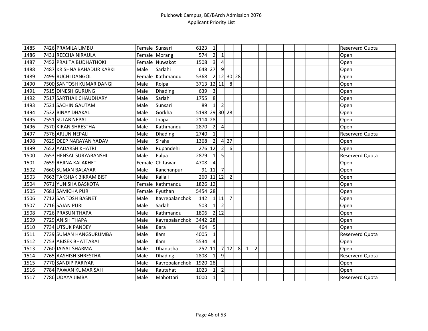| $\overline{1}$ 485 | 7426 PRAMILA LIMBU         | Female Sunsari |                  | 6123          | $\mathbf{1}$   |                |                |   |              |                |  |  |  |  | <b>Reserverd Quota</b> |
|--------------------|----------------------------|----------------|------------------|---------------|----------------|----------------|----------------|---|--------------|----------------|--|--|--|--|------------------------|
| 1486               | 7431 REECHA NIRAULA        |                | Female Morang    | 574           | $\overline{2}$ | $\mathbf{1}$   |                |   |              |                |  |  |  |  | Open                   |
| 1487               | 7452 PRAJITA BUDHATHOKI    |                | Female Nuwakot   | 1508          | $\overline{3}$ | $\overline{4}$ |                |   |              |                |  |  |  |  | Open                   |
| 1488               | 7487 KRISHNA BAHADUR KARKI | Male           | Sarlahi          | 648           | 27             | 9              |                |   |              |                |  |  |  |  | Open                   |
| 1489               | 7499 RUCHI DANGOL          |                | Female Kathmandu | 5368          |                |                | 2 12 30 28     |   |              |                |  |  |  |  | Open                   |
| 1490               | 7500 SANTOSH KUMAR DANGI   | Male           | Rolpa            | 3713 12 11    |                |                | 8              |   |              |                |  |  |  |  | Open                   |
| 1491               | 7515 DINESH GURUNG         | Male           | Dhading          | 639           | $\overline{3}$ |                |                |   |              |                |  |  |  |  | Open                   |
| 1492               | 7517 SARTHAK CHAUDHARY     | Male           | Sarlahi          | 1755          | 8 <sup>1</sup> |                |                |   |              |                |  |  |  |  | Open                   |
| 1493               | 7521 SACHIN GAUTAM         | Male           | Sunsari          | 89            | $1\vert$       | $\overline{2}$ |                |   |              |                |  |  |  |  | Open                   |
| 1494               | 7532 BINAY DHAKAL          | Male           | Gorkha           | 5198 29 30 28 |                |                |                |   |              |                |  |  |  |  | Open                   |
| 1495               | 7551 SULAB NEPAL           | Male           | Jhapa            | 2114 28       |                |                |                |   |              |                |  |  |  |  | Open                   |
| 1496               | 7570 KIRAN SHRESTHA        | Male           | Kathmandu        | 2870          | $\overline{2}$ | 4              |                |   |              |                |  |  |  |  | Open                   |
| 1497               | 7576 ARJUN NEPALI          | Male           | Dhading          | 2740          | $\mathbf{1}$   |                |                |   |              |                |  |  |  |  | <b>Reserverd Quota</b> |
| 1498               | 7629 DEEP NARAYAN YADAV    | Male           | Siraha           | 1368          | $\overline{2}$ | $\overline{4}$ | 27             |   |              |                |  |  |  |  | Open                   |
| 1499               | 7652 AADARSH KHATRI        | Male           | Rupandehi        | 276 12        |                | $\overline{2}$ | 6              |   |              |                |  |  |  |  | Open                   |
| 1500               | 7653 HENSAL SURYABANSHI    | Male           | Palpa            | 2879          | $\mathbf{1}$   | 5              |                |   |              |                |  |  |  |  | Reserverd Quota        |
| 1501               | 7659 REJINA KALAKHETI      |                | Female Chitawan  | 4708          | $\overline{a}$ |                |                |   |              |                |  |  |  |  | Open                   |
| 1502               | 7660 SUMAN BALAYAR         | Male           | Kanchanpur       |               | $91$ 11        | $\overline{7}$ |                |   |              |                |  |  |  |  | Open                   |
| 1503               | 7663 TAKSHAK BIKRAM BIST   | Male           | Kailali          | 260 11 12     |                |                | $\overline{2}$ |   |              |                |  |  |  |  | Open                   |
| 1504               | 7671 YUNISHA BASKOTA       |                | Female Kathmandu | 1826 12       |                |                |                |   |              |                |  |  |  |  | Open                   |
| 1505               | 7681 SAMICHA PURI          |                | Female Pyuthan   | 5454 28       |                |                |                |   |              |                |  |  |  |  | Open                   |
| 1506               | 7712 SANTOSH BASNET        | Male           | Kavrepalanchok   | 142           |                | $1$   11       | $\overline{7}$ |   |              |                |  |  |  |  | Open                   |
| 1507               | 7716 SAJAN PURI            | Male           | Sarlahi          | 503           | $\overline{1}$ | $\overline{2}$ |                |   |              |                |  |  |  |  | Open                   |
| 1508               | 7726 PRASUN THAPA          | Male           | Kathmandu        | 1806          |                | $2$ 12         |                |   |              |                |  |  |  |  | Open                   |
| 1509               | 7729 ANISH THAPA           | Male           | Kavrepalanchok   | 3442          | 28             |                |                |   |              |                |  |  |  |  | Open                   |
| 1510               | 7734 UTSUK PANDEY          | Male           | <b>Bara</b>      | 464           | 5              |                |                |   |              |                |  |  |  |  | Open                   |
| 1511               | 7739 SUMAN HANGSURUMBA     | Male           | Ilam             | 4005          | $\mathbf{1}$   |                |                |   |              |                |  |  |  |  | <b>Reserverd Quota</b> |
| 1512               | 7753 ABISEK BHATTARAI      | Male           | Ilam             | 5534          | $\overline{4}$ |                |                |   |              |                |  |  |  |  | Open                   |
| 1513               | 7760 JAISAL SHARMA         | Male           | Dhanusha         | 252 11        |                |                | 712            | 8 | $\mathbf{1}$ | $\overline{2}$ |  |  |  |  | Open                   |
| 1514               | 7765 AASHISH SHRESTHA      | Male           | Dhading          | 2808          | $\mathbf{1}$   | $\overline{9}$ |                |   |              |                |  |  |  |  | <b>Reserverd Quota</b> |
| 1515               | 7770 SANDIP PARIYAR        | Male           | Kavrepalanchok   | 1920 28       |                |                |                |   |              |                |  |  |  |  | Open                   |
| 1516               | 7784 PAWAN KUMAR SAH       | Male           | Rautahat         | 1023          | 1              | $\overline{2}$ |                |   |              |                |  |  |  |  | Open                   |
| 1517               | 7786 UDAYA JIMBA           | Male           | Mahottari        | 1000          | $\mathbf{1}$   |                |                |   |              |                |  |  |  |  | <b>Reserverd Quota</b> |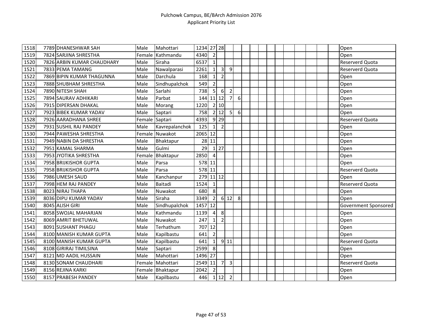| $\overline{1518}$ | 7789 DHANESHWAR SAH        | Male           | Mahottari      | 1234    | 27 28          |                    |                |   |  |  |  |  |  | Open                   |
|-------------------|----------------------------|----------------|----------------|---------|----------------|--------------------|----------------|---|--|--|--|--|--|------------------------|
| 1519              | 7824 SARJINA SHRESTHA      | Female         | Kathmandu      | 4340    | $\overline{2}$ |                    |                |   |  |  |  |  |  | Open                   |
| 1520              | 7826 ARBIN KUMAR CHAUDHARY | Male           | Siraha         | 6537    | 1              |                    |                |   |  |  |  |  |  | <b>Reserverd Quota</b> |
| 1521              | 7833 PEMA TAMANG           | Male           | Nawalparasi    | 2261    | $\mathbf{1}$   | 3                  | 9              |   |  |  |  |  |  | Reserverd Quota        |
| 1522              | 7869 BIPIN KUMAR THAGUNNA  | Male           | Darchula       | 168     | 1 <sup>1</sup> | $\overline{2}$     |                |   |  |  |  |  |  | Open                   |
| 1523              | 7888 SHUBHAM SHRESTHA      | Male           | Sindhupalchok  | 549     | $\overline{2}$ |                    |                |   |  |  |  |  |  | Open                   |
| 1524              | 7890 NITESH SHAH           | Male           | Sarlahi        | 738     | 5 <sub>l</sub> | $6\,$              | $\overline{2}$ |   |  |  |  |  |  | Open                   |
| 1525              | 7894 SAURAV ADHIKARI       | Male           | Parbat         | 144     |                | $11$   12          | 7              | 6 |  |  |  |  |  | Open                   |
| 1526              | 7915 DIPERSAN DHAKAL       | Male           | Morang         | 1220    |                | 2 10               |                |   |  |  |  |  |  | Open                   |
| 1527              | 7923 BIBEK KUMAR YADAV     | Male           | Saptari        | 758     |                | 2 12               | 5              | 6 |  |  |  |  |  | Open                   |
| 1528              | 7926 AARADHANA SHREE       | Female Saptari |                | 4393    |                | $9$ 29             |                |   |  |  |  |  |  | Reserverd Quota        |
| 1529              | 7931 SUSHIL RAJ PANDEY     | Male           | Kavrepalanchok | 125     | $1\vert$       | $\overline{2}$     |                |   |  |  |  |  |  | Open                   |
| 1530              | 7944 PAWESHA SHRESTHA      |                | Female Nuwakot | 2065    | 12             |                    |                |   |  |  |  |  |  | Open                   |
| 1531              | 7949 NABIN DA SHRESTHA     | Male           | Bhaktapur      | 28      | 11             |                    |                |   |  |  |  |  |  | Open                   |
| 1532              | 7951 KAMAL SHARMA          | Male           | Gulmi          | 29      |                | $1 \overline{27}$  |                |   |  |  |  |  |  | Open                   |
| 1533              | 7953 JYOTIKA SHRESTHA      | Female         | Bhaktapur      | 2850    | 4              |                    |                |   |  |  |  |  |  | Open                   |
| 1534              | 7958 BRIJKISHOR GUPTA      | Male           | Parsa          | 578 11  |                |                    |                |   |  |  |  |  |  | Open                   |
| 1535              | 7958 BRIJKISHOR GUPTA      | Male           | Parsa          | 578 11  |                |                    |                |   |  |  |  |  |  | <b>Reserverd Quota</b> |
| 1536              | 7986 UMESH SAUD            | Male           | Kanchanpur     | 279     |                | $11$ 12            |                |   |  |  |  |  |  | Open                   |
| 1537              | 7998 HEM RAJ PANDEY        | Male           | Baitadi        | 1524    | 1              |                    |                |   |  |  |  |  |  | <b>Reserverd Quota</b> |
| 1538              | 8023 NIRAJ THAPA           | Male           | Nuwakot        | 680     | 8              |                    |                |   |  |  |  |  |  | Open                   |
| 1539              | 8036 DIPU KUMAR YADAV      | Male           | Siraha         | 3349    | $\overline{2}$ |                    | 6 12           | 8 |  |  |  |  |  | Open                   |
| 1540              | 8045 ALISH GIRI            | Male           | Sindhupalchok  | 1457    | 12             |                    |                |   |  |  |  |  |  | Government Sponsored   |
| 1541              | 8058 SWOJAL MAHARJAN       | Male           | Kathmandu      | 1139    | $\vert$        | 8                  |                |   |  |  |  |  |  | Open                   |
| 1542              | 8069 AMRIT BHETUWAL        | Male           | Nuwakot        | 247     | $\mathbf{1}$   | $\overline{2}$     |                |   |  |  |  |  |  | Open                   |
| 1543              | 8091 SUSHANT PHAGU         | Male           | Terhathum      | 707     | 12             |                    |                |   |  |  |  |  |  | Open                   |
| 1544              | 8100 MANISH KUMAR GUPTA    | Male           | Kapilbastu     | 641     | $\overline{2}$ |                    |                |   |  |  |  |  |  | Open                   |
| 1545              | 8100 MANISH KUMAR GUPTA    | Male           | Kapilbastu     | 641     | $1\vert$       |                    | 9 11           |   |  |  |  |  |  | Reserverd Quota        |
| 1546              | 8108 GIRIRAJ TIMILSINA     | Male           | Saptari        | 2599    | 8              |                    |                |   |  |  |  |  |  | Open                   |
| 1547              | 8121 MD AADIL HUSSAIN      | Male           | Mahottari      | 1496 27 |                |                    |                |   |  |  |  |  |  | Open                   |
| 1548              | 8130 SONAM CHAUDHARI       | Female         | Mahottari      | 2549    | 11             | $\overline{7}$     | 3              |   |  |  |  |  |  | Reserverd Quota        |
| 1549              | 8156 REJINA KARKI          | Female         | Bhaktapur      | 2042    | $\overline{2}$ |                    |                |   |  |  |  |  |  | Open                   |
| 1550              | 8157 PRABESH PANDEY        | Male           | Kapilbastu     | 446     |                | $1 \overline{)12}$ | $\overline{2}$ |   |  |  |  |  |  | Open                   |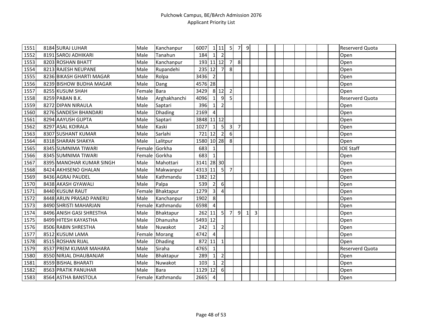| 1551 | 8184 SURAJ LUHAR         | Male          | Kanchanpur       | 6007       |                         | $1$ 11           | 5              | $\overline{7}$ | $\overline{9}$ |   |  |  |  |  | Reserverd Quota  |
|------|--------------------------|---------------|------------------|------------|-------------------------|------------------|----------------|----------------|----------------|---|--|--|--|--|------------------|
| 1552 | 8191 SAROJ ADHIKARI      | Male          | Tanahun          | 184        | $1\vert$                | $\overline{2}$   |                |                |                |   |  |  |  |  | Open             |
| 1553 | 8203 ROSHAN BHATT        | Male          | Kanchanpur       | 193 11 12  |                         |                  | $\overline{7}$ | 8 <sup>1</sup> |                |   |  |  |  |  | Open             |
| 1554 | 8213 RAJESH NEUPANE      | Male          | Rupandehi        | 235 12     |                         | $\overline{7}$   | 8              |                |                |   |  |  |  |  | Open             |
| 1555 | 8236 BIKASH GHARTI MAGAR | Male          | Rolpa            | 3436       | $\overline{2}$          |                  |                |                |                |   |  |  |  |  | Open             |
| 1556 | 8239 BISHOW BUDHA MAGAR  | Male          | Dang             | 4576 28    |                         |                  |                |                |                |   |  |  |  |  | Open             |
| 1557 | 8255 KUSUM SHAH          | Female Bara   |                  | 3429       |                         | 8 12             | $\overline{2}$ |                |                |   |  |  |  |  | Open             |
| 1558 | 8259 PABAN B.K.          | Male          | Arghakhanchi     | 4096       | $1\vert$                | $\overline{9}$   | 5              |                |                |   |  |  |  |  | Reserverd Quota  |
| 1559 | 8272 DIPAN NIRAULA       | Male          | Saptari          | 396        | 1                       | $\overline{2}$   |                |                |                |   |  |  |  |  | Open             |
| 1560 | 8276 SANDESH BHANDARI    | Male          | Dhading          | 2169       | $\overline{4}$          |                  |                |                |                |   |  |  |  |  | Open             |
| 1561 | 8294 AAYUSH GUPTA        | Male          | Saptari          | 3848 11 12 |                         |                  |                |                |                |   |  |  |  |  | Open             |
| 1562 | 8297 ASAL KOIRALA        | Male          | Kaski            | 1027       | $\mathbf{1}$            | 5                | 3              | 7              |                |   |  |  |  |  | Open             |
| 1563 | 8307 SUSHANT KUMAR       | Male          | Sarlahi          | 721        | 12                      | $\overline{2}$   | 6              |                |                |   |  |  |  |  | Open             |
| 1564 | 8318 SHARAN SHAKYA       | Male          | Lalitpur         | 1580 10 28 |                         |                  | 8              |                |                |   |  |  |  |  | Open             |
| 1565 | 8345 SUMNIMA TIWARI      | Female Gorkha |                  | 683        | $\mathbf{1}$            |                  |                |                |                |   |  |  |  |  | <b>IOE Staff</b> |
| 1566 | 8345 SUMNIMA TIWARI      | Female Gorkha |                  | 683        | $\mathbf{1}$            |                  |                |                |                |   |  |  |  |  | Open             |
| 1567 | 8395 MANOHAR KUMAR SINGH | Male          | Mahottari        | 3141 28 30 |                         |                  |                |                |                |   |  |  |  |  | Open             |
| 1568 | 8424 AKHISENO GHALAN     | Male          | Makwanpur        | 4313 11    |                         | 5                | $\overline{7}$ |                |                |   |  |  |  |  | Open             |
| 1569 | 8436 AGRAJ PAUDEL        | Male          | Kathmandu        | 1382 12    |                         |                  |                |                |                |   |  |  |  |  | Open             |
| 1570 | 8438 AKASH GYAWALI       | Male          | Palpa            | 539        | $\overline{2}$          | $\boldsymbol{6}$ |                |                |                |   |  |  |  |  | Open             |
| 1571 | 8440 KUSUM RAUT          |               | Female Bhaktapur | 1279       | $\overline{3}$          | $\overline{a}$   |                |                |                |   |  |  |  |  | Open             |
| 1572 | 8448 ARUN PRASAD PANERU  | Male          | Kanchanpur       | 1902       | 8 <sup>1</sup>          |                  |                |                |                |   |  |  |  |  | Open             |
| 1573 | 8490 SHRISTI MAHARJAN    |               | Female Kathmandu | 6598       | $\overline{\mathbf{4}}$ |                  |                |                |                |   |  |  |  |  | Open             |
| 1574 | 8496 ANISH GASI SHRESTHA | Male          | Bhaktapur        | 262        | 11                      | 5 <sup>1</sup>   | 7              | $\overline{9}$ | $\mathbf{1}$   | 3 |  |  |  |  | Open             |
| 1575 | 8499 HITESH KAYASTHA     | Male          | Dhanusha         | 5493 12    |                         |                  |                |                |                |   |  |  |  |  | Open             |
| 1576 | 8506 RABIN SHRESTHA      | Male          | Nuwakot          | 242        | $\mathbf{1}$            | $\overline{2}$   |                |                |                |   |  |  |  |  | Open             |
| 1577 | 8512 KUSUM LAMA          |               | Female Morang    | 4742       | $\overline{4}$          |                  |                |                |                |   |  |  |  |  | Open             |
| 1578 | 8515 ROSHAN RIJAL        | Male          | Dhading          | 872        | 11                      | $\mathbf{1}$     |                |                |                |   |  |  |  |  | Open             |
| 1579 | 8537 PREM KUMAR MAHARA   | Male          | Siraha           | 4765       | $\mathbf{1}$            |                  |                |                |                |   |  |  |  |  | Reserverd Quota  |
| 1580 | 8550 NIRJAL DHAUBANJAR   | Male          | Bhaktapur        | 289        | $1\vert$                | $\overline{2}$   |                |                |                |   |  |  |  |  | Open             |
| 1581 | 8559 BISHAL BHARATI      | Male          | Nuwakot          | 103        | $\mathbf{1}$            | $\mathbf 2$      |                |                |                |   |  |  |  |  | Open             |
| 1582 | 8563 PRATIK PANUHAR      | Male          | Bara             | 1129 12    |                         | 6                |                |                |                |   |  |  |  |  | Open             |
| 1583 | 8564 ASTHA BANSTOLA      |               | Female Kathmandu | 2665       | $\overline{4}$          |                  |                |                |                |   |  |  |  |  | Open             |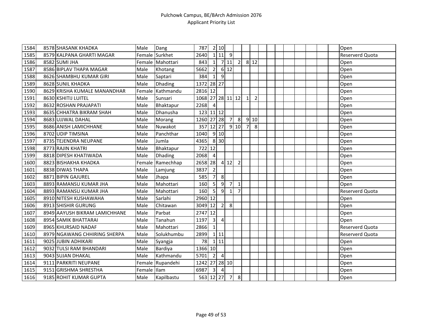| 1584 | 8578 SHASANK KHADKA           | Male        | Dang             | 787              |                         | 2 10           |                |                |                |                |  |  |  |  | Open                   |
|------|-------------------------------|-------------|------------------|------------------|-------------------------|----------------|----------------|----------------|----------------|----------------|--|--|--|--|------------------------|
| 1585 | 8579 KALPANA GHARTI MAGAR     |             | Female Surkhet   | 2640             |                         | 111            | 9              |                |                |                |  |  |  |  | Reserverd Quota        |
| 1586 | 8582 SUMI JHA                 |             | Female Mahottari | 843              | $1\vert$                |                | 7 11           | $\overline{2}$ |                | 8 12           |  |  |  |  | Open                   |
| 1587 | 8586 BIPLAV THAPA MAGAR       | Male        | Khotang          | 5662             | $\overline{2}$          |                | 6 12           |                |                |                |  |  |  |  | Open                   |
| 1588 | 8626 SHAMBHU KUMAR GIRI       | Male        | Saptari          | 384              | 1 <sup>1</sup>          | 9              |                |                |                |                |  |  |  |  | Open                   |
| 1589 | 8628 SUNIL KHADKA             | Male        | <b>Dhading</b>   | 1372 28 27       |                         |                |                |                |                |                |  |  |  |  | Open                   |
| 1590 | 8629 KRISHA KUMALE MANANDHAR  | Female      | Kathmandu        | 2816 12          |                         |                |                |                |                |                |  |  |  |  | Open                   |
| 1591 | 8630 KSHITIJ LUITEL           | Male        | Sunsari          | 1068 27 28 11 12 |                         |                |                |                | $\mathbf{1}$   | $\overline{2}$ |  |  |  |  | Open                   |
| 1592 | 8632 ROSHAN PRAJAPATI         | Male        | Bhaktapur        | 2268             | $\overline{4}$          |                |                |                |                |                |  |  |  |  | Open                   |
| 1593 | 8635 CHHATRA BIKRAM SHAH      | Male        | Dhanusha         | 123 11 12        |                         |                |                |                |                |                |  |  |  |  | Open                   |
| 1594 | 8683 UJJWAL DAHAL             | Male        | Morang           | 1260 27 28       |                         |                | $\overline{7}$ | 8              |                | 9 10           |  |  |  |  | Open                   |
| 1595 | 8686 ANISH LAMICHHANE         | Male        | Nuwakot          | 357              | $12$   27               |                |                | 910            | $\overline{7}$ | 8              |  |  |  |  | Open                   |
| 1596 | 8702 UDIP TIMSINA             | Male        | Panchthar        | 1040             |                         | 9 10           |                |                |                |                |  |  |  |  | Open                   |
| 1597 | 8735 TEJENDRA NEUPANE         | Male        | Jumla            | 4365             |                         | 8 30           |                |                |                |                |  |  |  |  | Open                   |
| 1598 | 8773 RAJIN KHATRI             | Male        | Bhaktapur        | 722              | 12                      |                |                |                |                |                |  |  |  |  | Open                   |
| 1599 | 8818 DIPESH KHATIWADA         | Male        | Dhading          | 2068             | 4                       |                |                |                |                |                |  |  |  |  | Open                   |
| 1600 | 8823 BISHAKHA KHADKA          | Female      | Ramechhap        | 2658 28          |                         |                | 412            | $\overline{2}$ |                |                |  |  |  |  | Open                   |
| 1601 | 8838 DIWAS THAPA              | Male        | Lamjung          | 3837             | $\overline{2}$          |                |                |                |                |                |  |  |  |  | Open                   |
| 1602 | 8871 BIPIN GAJUREL            | Male        | Jhapa            | 585              | $\overline{7}$          | 8              |                |                |                |                |  |  |  |  | Open                   |
| 1603 | 8893 RAMANSU KUMAR JHA        | Male        | Mahottari        | 160              | 5                       | 9              | $\overline{7}$ | 1              |                |                |  |  |  |  | Open                   |
| 1604 | 8893 RAMANSU KUMAR JHA        | Male        | Mahottari        | 160              | $\mathsf{5}$            | 9              | $\mathbf{1}$   | $\overline{7}$ |                |                |  |  |  |  | <b>Reserverd Quota</b> |
| 1605 | 8910 NITESH KUSHAWAHA         | Male        | Sarlahi          | 2960 12          |                         |                |                |                |                |                |  |  |  |  | Open                   |
| 1606 | 8913 SHISHIR GURUNG           | Male        | Chitawan         | 3049 12          |                         | $\overline{2}$ | 8              |                |                |                |  |  |  |  | Open                   |
| 1607 | 8949 AAYUSH BIKRAM LAMICHHANE | Male        | Parbat           | 2747             | 12                      |                |                |                |                |                |  |  |  |  | Open                   |
| 1608 | 8954 SAMIK BHATTARAI          | Male        | Tanahun          | 1197             | $\overline{3}$          | $\overline{4}$ |                |                |                |                |  |  |  |  | Open                   |
| 1609 | 8965 KHURSAID NADAF           | Male        | Mahottari        | 2866             | $1\vert$                |                |                |                |                |                |  |  |  |  | Reserverd Quota        |
| 1610 | 8979 NGAWANG CHHIRING SHERPA  | Male        | Solukhumbu       | 2899             |                         | $1$   11       |                |                |                |                |  |  |  |  | Reserverd Quota        |
| 1611 | 9025 JUBIN ADHIKARI           | Male        | Syangja          | 78               |                         | 111            |                |                |                |                |  |  |  |  | Open                   |
| 1612 | 9032 TULSI RAM BHANDARI       | Male        | Bardiya          | 1366 10          |                         |                |                |                |                |                |  |  |  |  | Open                   |
| 1613 | 9043 SUJAN DHAKAL             | Male        | Kathmandu        | 5701             | $\overline{2}$          | $\overline{4}$ |                |                |                |                |  |  |  |  | Open                   |
| 1614 | 9111 PARKRITI NEUPANE         |             | Female Rupandehi | 1242             |                         |                | 27 28 10       |                |                |                |  |  |  |  | Open                   |
| 1615 | 9151 GRISHMA SHRESTHA         | Female Ilam |                  | 6987             | $\overline{\mathbf{3}}$ | $\overline{4}$ |                |                |                |                |  |  |  |  | Open                   |
| 1616 | 9185 ROHIT KUMAR GUPTA        | Male        | Kapilbastu       | 563 12 27 7      |                         |                |                | 8              |                |                |  |  |  |  | Open                   |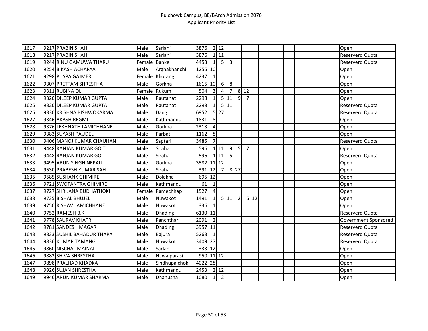| $\overline{1617}$ | 9217 PRABIN SHAH          | Male         | Sarlahi        | 3876      |                         | 2 12              |                |                |                |     |  |  |  |  | Open                   |
|-------------------|---------------------------|--------------|----------------|-----------|-------------------------|-------------------|----------------|----------------|----------------|-----|--|--|--|--|------------------------|
| 1618              | 9217 PRABIN SHAH          | Male         | Sarlahi        | 3876      |                         | $1\overline{11}$  |                |                |                |     |  |  |  |  | Reserverd Quota        |
| 1619              | 9244 RINU GAMUWA THARU    | Female Banke |                | 4453      | $1\vert$                | 5                 | $\overline{3}$ |                |                |     |  |  |  |  | <b>Reserverd Quota</b> |
| 1620              | 9254 BIKASH ACHARYA       | Male         | Arghakhanchi   | 1255 10   |                         |                   |                |                |                |     |  |  |  |  | Open                   |
| 1621              | 9298 PUSPA GAJMER         |              | Female Khotang | 4237      | $\mathbf{1}$            |                   |                |                |                |     |  |  |  |  | Open                   |
| 1622              | 9307 PRETTAM SHRESTHA     | Male         | Gorkha         | 1615 10   |                         | 6                 | 8              |                |                |     |  |  |  |  | Open                   |
| 1623              | 9311 RUBINA OLI           | Female       | Rukum          | 504       | $\overline{\mathbf{3}}$ | $\overline{4}$    | 7              |                | 8 1 2          |     |  |  |  |  | Open                   |
| 1624              | 9320 DILEEP KUMAR GUPTA   | Male         | Rautahat       | 2298      | $1\vert$                | 5 <sub>l</sub>    | 11             | $\overline{9}$ | $\overline{7}$ |     |  |  |  |  | Open                   |
| 1625              | 9320 DILEEP KUMAR GUPTA   | Male         | Rautahat       | 2298      | $1\vert$                |                   | 5 11           |                |                |     |  |  |  |  | Reserverd Quota        |
| 1626              | 9330 KRISHNA BISHWOKARMA  | Male         | Dang           | 6952      |                         | $5 \overline{27}$ |                |                |                |     |  |  |  |  | <b>Reserverd Quota</b> |
| 1627              | 9346 AKASH REGMI          | Male         | Kathmandu      | 1831      | 8                       |                   |                |                |                |     |  |  |  |  | Open                   |
| 1628              | 9376 LEKHNATH LAMICHHANE  | Male         | Gorkha         | 2313      | $\overline{4}$          |                   |                |                |                |     |  |  |  |  | Open                   |
| 1629              | 9383 SUYASH PAUDEL        | Male         | Parbat         | 1162      | 8                       |                   |                |                |                |     |  |  |  |  | Open                   |
| 1630              | 9406 MANOJ KUMAR CHAUHAN  | Male         | Saptari        | 3485      | 7                       |                   |                |                |                |     |  |  |  |  | Reserverd Quota        |
| 1631              | 9448 RANJAN KUMAR GOIT    | Male         | Siraha         | 596       |                         | $1$   11          | 9              | 5              | $\overline{7}$ |     |  |  |  |  | Open                   |
| 1632              | 9448 RANJAN KUMAR GOIT    | Male         | Siraha         | 596       |                         | 111               | 5              |                |                |     |  |  |  |  | Reserverd Quota        |
| 1633              | 9495 ARUN SINGH NEPALI    | Male         | Gorkha         | 3582      |                         | $11$ 12           |                |                |                |     |  |  |  |  | Open                   |
| 1634              | 9530 PRABESH KUMAR SAH    | Male         | Siraha         | 391       | 12                      | $\overline{7}$    |                | $8$ 27         |                |     |  |  |  |  | Open                   |
| 1635              | 9585 SUSHANK GHIMIRE      | Male         | Dolakha        | 695       | 12                      |                   |                |                |                |     |  |  |  |  | Open                   |
| 1636              | 9721 SWOTANTRA GHIMIRE    | Male         | Kathmandu      | 61        | 1                       |                   |                |                |                |     |  |  |  |  | Open                   |
| 1637              | 9727 SHRIJANA BUDHATHOKI  | Female       | Ramechhap      | 1527      | $\overline{4}$          |                   |                |                |                |     |  |  |  |  | Open                   |
| 1638              | 9735 BISHAL BHUJEL        | Male         | Nuwakot        | 1491      | $\vert$ 1               |                   | 5 11           | $\overline{2}$ |                | 612 |  |  |  |  | Open                   |
| 1639              | 9750 RISHAV LAMICHHANE    | Male         | Nuwakot        | 336       | $\mathbf{1}$            |                   |                |                |                |     |  |  |  |  | Open                   |
| 1640              | 9752 RAMESH B.K           | Male         | <b>Dhading</b> | 6130 11   |                         |                   |                |                |                |     |  |  |  |  | Reserverd Quota        |
| 1641              | 9778 SAURAV KHATRI        | Male         | Panchthar      | 2091      | $\overline{2}$          |                   |                |                |                |     |  |  |  |  | Government Sponsored   |
| 1642              | 9781 SANDESH MAGAR        | Male         | Dhading        | 3957 11   |                         |                   |                |                |                |     |  |  |  |  | Reserverd Quota        |
| 1643              | 9833 SUSHIL BAHADUR THAPA | Male         | Bajura         | 5263      | $\mathbf{1}$            |                   |                |                |                |     |  |  |  |  | Reserverd Quota        |
| 1644              | 9836 KUMAR TAMANG         | Male         | Nuwakot        | 3409      | 27                      |                   |                |                |                |     |  |  |  |  | Reserverd Quota        |
| 1645              | 9860 NISCHAL MAINALI      | Male         | Sarlahi        | 333 12    |                         |                   |                |                |                |     |  |  |  |  | Open                   |
| 1646              | 9882 SHIVA SHRESTHA       | Male         | Nawalparasi    | 950 11 12 |                         |                   |                |                |                |     |  |  |  |  | Open                   |
| 1647              | 9898 PRALHAD KHADKA       | Male         | Sindhupalchok  | 4022 28   |                         |                   |                |                |                |     |  |  |  |  | Open                   |
| 1648              | 9926 SUJAN SHRESTHA       | Male         | Kathmandu      | 2453      |                         | 2 12              |                |                |                |     |  |  |  |  | Open                   |
| 1649              | 9946 ARUN KUMAR SHARMA    | Male         | Dhanusha       | 1080      | 1                       | $\overline{2}$    |                |                |                |     |  |  |  |  | Open                   |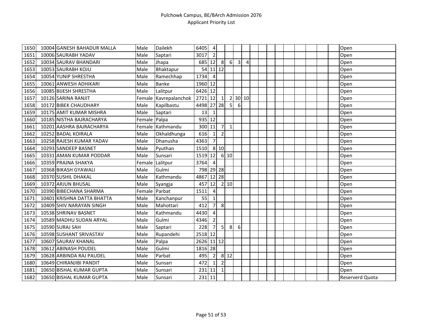| 1650 | 10004 GANESH BAHADUR MALLA | Male   | <b>Dailekh</b>   | 6405       | $\overline{a}$ |                |                |                  |       |  |  |  |  | Open                   |
|------|----------------------------|--------|------------------|------------|----------------|----------------|----------------|------------------|-------|--|--|--|--|------------------------|
| 1651 | 10006 SAURABH YADAV        | Male   | Saptari          | 3017       | $\overline{2}$ |                |                |                  |       |  |  |  |  | Open                   |
| 1652 | 10034 SAURAV BHANDARI      | Male   | Jhapa            | 685        | 12             | 8              | $6 \mid$       | 3                | 4     |  |  |  |  | Open                   |
| 1653 | 10053 SAURABH KOJU         | Male   | Bhaktapur        | 54         | $11$ 12        |                |                |                  |       |  |  |  |  | Open                   |
| 1654 | 10054 YUNIP SHRESTHA       | Male   | Ramechhap        | 1734       | $\overline{4}$ |                |                |                  |       |  |  |  |  | Open                   |
| 1655 | 10061 ANWESH ADHIKARI      | Male   | <b>Banke</b>     | 1960 12    |                |                |                |                  |       |  |  |  |  | Open                   |
| 1656 | 10085 BIJESH SHRESTHA      | Male   | Lalitpur         | 6426 12    |                |                |                |                  |       |  |  |  |  | Open                   |
| 1657 | 10126 SARINA RANJIT        | Female | Kavrepalanchok   | 2721       | 12             | 1              | $\overline{2}$ |                  | 30 10 |  |  |  |  | Open                   |
| 1658 | 10172 BIBEK CHAUDHARY      | Male   | Kapilbastu       | 4498 27 28 |                |                | 5 <sub>l</sub> | 6                |       |  |  |  |  | Open                   |
| 1659 | 10175 AMIT KUMAR MISHRA    | Male   | Saptari          | 13         | 1              |                |                |                  |       |  |  |  |  | Open                   |
| 1660 | 10185 NISTHA BAJRACHARYA   | Female | Palpa            | 935 12     |                |                |                |                  |       |  |  |  |  | Open                   |
| 1661 | 10201 AASHRA BAJRACHARYA   |        | Female Kathmandu | 300 11     |                | $\overline{7}$ | $\mathbf{1}$   |                  |       |  |  |  |  | Open                   |
| 1662 | 10252 BADAL KOIRALA        | Male   | Okhaldhunga      | 616        | 1              | $\mathbf 2$    |                |                  |       |  |  |  |  | Open                   |
| 1663 | 10258 RAJESH KUMAR YADAV   | Male   | Dhanusha         | 4363       | $\overline{7}$ |                |                |                  |       |  |  |  |  | Open                   |
| 1664 | 10293 SANDEEP BASNET       | Male   | Pyuthan          | 1510       |                | 8 10           |                |                  |       |  |  |  |  | Open                   |
| 1665 | 10331 AMAN KUMAR PODDAR    | Male   | Sunsari          | 1519 12    |                |                | 6 10           |                  |       |  |  |  |  | Open                   |
| 1666 | 10359 PRAJNA SHAKYA        | Female | Lalitpur         | 3764       | $\overline{4}$ |                |                |                  |       |  |  |  |  | Open                   |
| 1667 | 10368 BIKASH GYAWALI       | Male   | Gulmi            | 798 29 28  |                |                |                |                  |       |  |  |  |  | Open                   |
| 1668 | 10370 SUSHIL DHAKAL        | Male   | Kathmandu        | 4867 12 28 |                |                |                |                  |       |  |  |  |  | Open                   |
| 1669 | 10372 ARJUN BHUSAL         | Male   | Syangja          | 457        | 12             |                | 2 10           |                  |       |  |  |  |  | Open                   |
| 1670 | 10390 BIBECHANA SHARMA     | Female | Parbat           | 1511       | $\overline{a}$ |                |                |                  |       |  |  |  |  | Open                   |
| 1671 | 10401 KRISHNA DATTA BHATTA | Male   | Kanchanpur       | 55         | $\vert$ 1      |                |                |                  |       |  |  |  |  | Open                   |
| 1672 | 10409 SHIV NARAYAN SINGH   | Male   | Mahottari        | 412        | $\overline{7}$ | 8              |                |                  |       |  |  |  |  | Open                   |
| 1673 | 10538 SHRINAV BASNET       | Male   | Kathmandu        | 4430       | 4              |                |                |                  |       |  |  |  |  | Open                   |
| 1674 | 10589 MADHU SUDAN ARYAL    | Male   | Gulmi            | 4346       | $\overline{2}$ |                |                |                  |       |  |  |  |  | Open                   |
| 1675 | 10590 SURAJ SAH            | Male   | Saptari          | 228        | $\overline{7}$ | 5              | 8 <sup>1</sup> | $\boldsymbol{6}$ |       |  |  |  |  | Open                   |
| 1676 | 10598 SUSHANT SRIVASTAV    | Male   | Rupandehi        | 2518 12    |                |                |                |                  |       |  |  |  |  | Open                   |
| 1677 | 10607 SAURAV KHANAL        | Male   | Palpa            | 2626 11 12 |                |                |                |                  |       |  |  |  |  | Open                   |
| 1678 | 10612 ABINASH POUDEL       | Male   | Gulmi            | 1816 28    |                |                |                |                  |       |  |  |  |  | Open                   |
| 1679 | 10628 ARBINDA RAJ PAUDEL   | Male   | Parbat           | 495        | $\overline{2}$ |                | 8 12           |                  |       |  |  |  |  | Open                   |
| 1680 | 10649 CHIRANJIBI PANDIT    | Male   | Sunsari          | 472        | 1              | $\overline{2}$ |                |                  |       |  |  |  |  | Open                   |
| 1681 | 10650 BISHAL KUMAR GUPTA   | Male   | Sunsari          | 231        | 11             | $\mathbf 1$    |                |                  |       |  |  |  |  | Open                   |
| 1682 | 10650 BISHAL KUMAR GUPTA   | Male   | Sunsari          | 231 11     |                |                |                |                  |       |  |  |  |  | <b>Reserverd Quota</b> |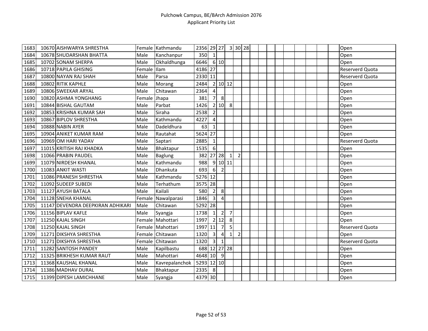| 1683 | 10670 AISHWARYA SHRESTHA          |        | Female Kathmandu | 2356 29 27   |                         |                |                | 3 30 28        |  |  |  |  |  | Open                   |
|------|-----------------------------------|--------|------------------|--------------|-------------------------|----------------|----------------|----------------|--|--|--|--|--|------------------------|
| 1684 | 10678 SHUDARSHAN BHATTA           | Male   | Kanchanpur       | 350          | $\mathbf{1}$            |                |                |                |  |  |  |  |  | Open                   |
| 1685 | 10702 SONAM SHERPA                | Male   | Okhaldhunga      | 6646         |                         | 6 10           |                |                |  |  |  |  |  | Open                   |
| 1686 | 10718 PAPILA GHISING              | Female | <b>Ilam</b>      | 4186 27      |                         |                |                |                |  |  |  |  |  | <b>Reserverd Quota</b> |
| 1687 | 10800 NAYAN RAJ SHAH              | Male   | Parsa            | 2330 11      |                         |                |                |                |  |  |  |  |  | <b>Reserverd Quota</b> |
| 1688 | 10802 RITIK KAPHLE                | Male   | Morang           | 2484         |                         |                | 2 10 12        |                |  |  |  |  |  | Open                   |
| 1689 | 10806 SWEEKAR ARYAL               | Male   | Chitawan         | 2364         | $\overline{4}$          |                |                |                |  |  |  |  |  | Open                   |
| 1690 | 10820 ASHMA YONGHANG              | Female | Jhapa            | 381          | $\overline{7}$          | 8              |                |                |  |  |  |  |  | Open                   |
| 1691 | 10844 BISHAL GAUTAM               | Male   | Parbat           | 1426         |                         | 2 10           | 8              |                |  |  |  |  |  | Open                   |
| 1692 | 10853 KRISHNA KUMAR SAH           | Male   | Siraha           | 2538         | $\overline{2}$          |                |                |                |  |  |  |  |  | Open                   |
| 1693 | 10867 BIPLOV SHRESTHA             | Male   | Kathmandu        | 4227         | $\overline{4}$          |                |                |                |  |  |  |  |  | Open                   |
| 1694 | 10888 NABIN AYER                  | Male   | Dadeldhura       | 63           | $\mathbf{1}$            |                |                |                |  |  |  |  |  | Open                   |
| 1695 | 10904 ANIKET KUMAR RAM            | Male   | Rautahat         | 5624         | 27                      |                |                |                |  |  |  |  |  | Open                   |
| 1696 | 10969 OM HARI YADAV               | Male   | Saptari          | 2885         | 1                       |                |                |                |  |  |  |  |  | Reserverd Quota        |
| 1697 | 11015 KRITISH RAJ KHADKA          | Male   | Bhaktapur        | 1535         | $6 \overline{6}$        |                |                |                |  |  |  |  |  | Open                   |
| 1698 | 11066 PRABIN PAUDEL               | Male   | <b>Baglung</b>   | 382          |                         | 27 28          | $\mathbf{1}$   | $\overline{2}$ |  |  |  |  |  | Open                   |
| 1699 | 11079 NIRDESH KHANAL              | Male   | Kathmandu        | 988          |                         | 9 10 11        |                |                |  |  |  |  |  | Open                   |
| 1700 | 11083 ANKIT WASTI                 | Male   | Dhankuta         | 693          | $6 \mid$                | $\overline{2}$ |                |                |  |  |  |  |  | Open                   |
| 1701 | 11086 PRANESH SHRESTHA            | Male   | Kathmandu        | 5276         | 12                      |                |                |                |  |  |  |  |  | Open                   |
| 1702 | 11092 SUDEEP SUBEDI               | Male   | Terhathum        | 3575         | 28                      |                |                |                |  |  |  |  |  | Open                   |
| 1703 | 11127 AYUSH BATALA                | Male   | Kailali          | 580          | $\overline{2}$          | 8              |                |                |  |  |  |  |  | Open                   |
| 1704 | 11128 SNEHA KHANAL                | Female | Nawalparasi      | 1846         | $\overline{\mathbf{3}}$ | $\overline{4}$ |                |                |  |  |  |  |  | Open                   |
| 1705 | 11147 DEVENDRA DEEPKIRAN ADHIKARI | Male   | Chitawan         | 5292 28      |                         |                |                |                |  |  |  |  |  | Open                   |
| 1706 | 11156 BIPLAV KAFLE                | Male   | Syangja          | 1738         | $1\vert$                | $\overline{2}$ | $\overline{7}$ |                |  |  |  |  |  | Open                   |
| 1707 | 11250 KAJAL SINGH                 | Female | Mahottari        | 1997         |                         | 2 12           | 8 <sup>1</sup> |                |  |  |  |  |  | Open                   |
| 1708 | 11250 KAJAL SINGH                 |        | Female Mahottari | 1997         | 11                      | $\overline{7}$ | 5              |                |  |  |  |  |  | <b>Reserverd Quota</b> |
| 1709 | 11271 DIKSHYA SHRESTHA            | Female | Chitawan         | 1320         | $\overline{3}$          | 4              | 1              | $\overline{2}$ |  |  |  |  |  | Open                   |
| 1710 | 11271 DIKSHYA SHRESTHA            | Female | Chitawan         | 1320         | $\overline{\mathbf{3}}$ | $\mathbf{1}$   |                |                |  |  |  |  |  | Reserverd Quota        |
| 1711 | 11282 SANTOSH PANDEY              | Male   | Kapilbastu       | 688 12 27 28 |                         |                |                |                |  |  |  |  |  | Open                   |
| 1712 | 11325 BRIKHESH KUMAR RAUT         | Male   | Mahottari        | 4648 10      |                         | 9              |                |                |  |  |  |  |  | Open                   |
| 1713 | 11368 KAUSHAL KHANAL              | Male   | Kavrepalanchok   | 5293         | $12$ 10                 |                |                |                |  |  |  |  |  | Open                   |
| 1714 | 11386 MADHAV DURAL                | Male   | Bhaktapur        | 2335         | 8                       |                |                |                |  |  |  |  |  | Open                   |
| 1715 | 11399 DIPESH LAMICHHANE           | Male   | Syangja          | 4379 30      |                         |                |                |                |  |  |  |  |  | Open                   |